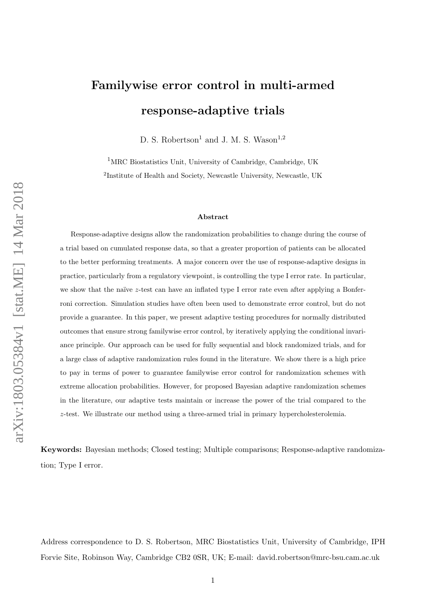# arXiv:1803.05384v1 [stat.ME] 14 Mar 2018 arXiv:1803.05384v1 [stat.ME] 14 Mar 2018

# Familywise error control in multi-armed response-adaptive trials

D. S. Robertson<sup>1</sup> and J. M. S. Wason<sup>1,2</sup>

<sup>1</sup>MRC Biostatistics Unit, University of Cambridge, Cambridge, UK <sup>2</sup>Institute of Health and Society, Newcastle University, Newcastle, UK

#### Abstract

Response-adaptive designs allow the randomization probabilities to change during the course of a trial based on cumulated response data, so that a greater proportion of patients can be allocated to the better performing treatments. A major concern over the use of response-adaptive designs in practice, particularly from a regulatory viewpoint, is controlling the type I error rate. In particular, we show that the naïve  $z$ -test can have an inflated type I error rate even after applying a Bonferroni correction. Simulation studies have often been used to demonstrate error control, but do not provide a guarantee. In this paper, we present adaptive testing procedures for normally distributed outcomes that ensure strong familywise error control, by iteratively applying the conditional invariance principle. Our approach can be used for fully sequential and block randomized trials, and for a large class of adaptive randomization rules found in the literature. We show there is a high price to pay in terms of power to guarantee familywise error control for randomization schemes with extreme allocation probabilities. However, for proposed Bayesian adaptive randomization schemes in the literature, our adaptive tests maintain or increase the power of the trial compared to the z-test. We illustrate our method using a three-armed trial in primary hypercholesterolemia.

Keywords: Bayesian methods; Closed testing; Multiple comparisons; Response-adaptive randomization; Type I error.

Address correspondence to D. S. Robertson, MRC Biostatistics Unit, University of Cambridge, IPH Forvie Site, Robinson Way, Cambridge CB2 0SR, UK; E-mail: david.robertson@mrc-bsu.cam.ac.uk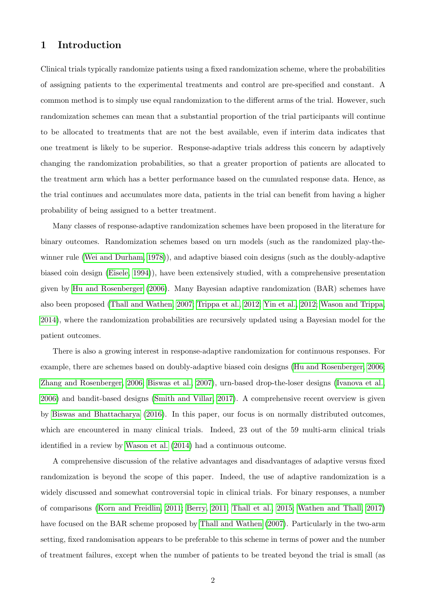# 1 Introduction

Clinical trials typically randomize patients using a fixed randomization scheme, where the probabilities of assigning patients to the experimental treatments and control are pre-specified and constant. A common method is to simply use equal randomization to the different arms of the trial. However, such randomization schemes can mean that a substantial proportion of the trial participants will continue to be allocated to treatments that are not the best available, even if interim data indicates that one treatment is likely to be superior. Response-adaptive trials address this concern by adaptively changing the randomization probabilities, so that a greater proportion of patients are allocated to the treatment arm which has a better performance based on the cumulated response data. Hence, as the trial continues and accumulates more data, patients in the trial can benefit from having a higher probability of being assigned to a better treatment.

Many classes of response-adaptive randomization schemes have been proposed in the literature for binary outcomes. Randomization schemes based on urn models (such as the randomized play-thewinner rule [\(Wei and Durham, 1978\)](#page-23-0)), and adaptive biased coin designs (such as the doubly-adaptive biased coin design [\(Eisele, 1994\)](#page-21-0)), have been extensively studied, with a comprehensive presentation given by [Hu and Rosenberger](#page-22-0) [\(2006\)](#page-22-0). Many Bayesian adaptive randomization (BAR) schemes have also been proposed [\(Thall and Wathen, 2007;](#page-23-1) [Trippa et al., 2012;](#page-23-2) [Yin et al., 2012;](#page-24-0) [Wason and Trippa,](#page-23-3) [2014\)](#page-23-3), where the randomization probabilities are recursively updated using a Bayesian model for the patient outcomes.

There is also a growing interest in response-adaptive randomization for continuous responses. For example, there are schemes based on doubly-adaptive biased coin designs [\(Hu and Rosenberger, 2006;](#page-22-0) [Zhang and Rosenberger, 2006;](#page-24-1) [Biswas et al., 2007\)](#page-21-1), urn-based drop-the-loser designs [\(Ivanova et al.,](#page-22-1) [2006\)](#page-22-1) and bandit-based designs [\(Smith and Villar, 2017\)](#page-23-4). A comprehensive recent overview is given by [Biswas and Bhattacharya](#page-21-2) [\(2016\)](#page-21-2). In this paper, our focus is on normally distributed outcomes, which are encountered in many clinical trials. Indeed, 23 out of the 59 multi-arm clinical trials identified in a review by [Wason et al.](#page-23-5) [\(2014\)](#page-23-5) had a continuous outcome.

A comprehensive discussion of the relative advantages and disadvantages of adaptive versus fixed randomization is beyond the scope of this paper. Indeed, the use of adaptive randomization is a widely discussed and somewhat controversial topic in clinical trials. For binary responses, a number of comparisons [\(Korn and Freidlin, 2011;](#page-22-2) [Berry, 2011;](#page-21-3) [Thall et al., 2015;](#page-23-6) [Wathen and Thall, 2017\)](#page-23-7) have focused on the BAR scheme proposed by [Thall and Wathen](#page-23-1) [\(2007\)](#page-23-1). Particularly in the two-arm setting, fixed randomisation appears to be preferable to this scheme in terms of power and the number of treatment failures, except when the number of patients to be treated beyond the trial is small (as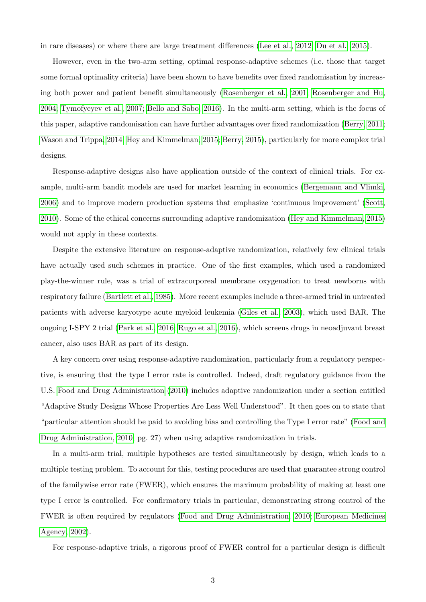in rare diseases) or where there are large treatment differences [\(Lee et al., 2012;](#page-22-3) [Du et al., 2015\)](#page-21-4).

However, even in the two-arm setting, optimal response-adaptive schemes (i.e. those that target some formal optimality criteria) have been shown to have benefits over fixed randomisation by increasing both power and patient benefit simultaneously [\(Rosenberger et al., 2001;](#page-22-4) [Rosenberger and Hu,](#page-22-5) [2004;](#page-22-5) [Tymofyeyev et al., 2007;](#page-23-8) [Bello and Sabo, 2016\)](#page-20-0). In the multi-arm setting, which is the focus of this paper, adaptive randomisation can have further advantages over fixed randomization [\(Berry, 2011;](#page-21-3) [Wason and Trippa, 2014;](#page-23-3) [Hey and Kimmelman, 2015;](#page-22-6) [Berry, 2015\)](#page-21-5), particularly for more complex trial designs.

Response-adaptive designs also have application outside of the context of clinical trials. For example, multi-arm bandit models are used for market learning in economics [\(Bergemann and Vlimki,](#page-21-6) [2006\)](#page-21-6) and to improve modern production systems that emphasize 'continuous improvement' [\(Scott,](#page-23-9) [2010\)](#page-23-9). Some of the ethical concerns surrounding adaptive randomization [\(Hey and Kimmelman, 2015\)](#page-22-6) would not apply in these contexts.

Despite the extensive literature on response-adaptive randomization, relatively few clinical trials have actually used such schemes in practice. One of the first examples, which used a randomized play-the-winner rule, was a trial of extracorporeal membrane oxygenation to treat newborns with respiratory failure [\(Bartlett et al., 1985\)](#page-20-1). More recent examples include a three-armed trial in untreated patients with adverse karyotype acute myeloid leukemia [\(Giles et al., 2003\)](#page-21-7), which used BAR. The ongoing I-SPY 2 trial [\(Park et al., 2016;](#page-22-7) [Rugo et al., 2016\)](#page-23-10), which screens drugs in neoadjuvant breast cancer, also uses BAR as part of its design.

A key concern over using response-adaptive randomization, particularly from a regulatory perspective, is ensuring that the type I error rate is controlled. Indeed, draft regulatory guidance from the U.S. [Food and Drug Administration](#page-21-8) [\(2010\)](#page-21-8) includes adaptive randomization under a section entitled "Adaptive Study Designs Whose Properties Are Less Well Understood". It then goes on to state that "particular attention should be paid to avoiding bias and controlling the Type I error rate" [\(Food and](#page-21-8) [Drug Administration, 2010,](#page-21-8) pg. 27) when using adaptive randomization in trials.

In a multi-arm trial, multiple hypotheses are tested simultaneously by design, which leads to a multiple testing problem. To account for this, testing procedures are used that guarantee strong control of the familywise error rate (FWER), which ensures the maximum probability of making at least one type I error is controlled. For confirmatory trials in particular, demonstrating strong control of the FWER is often required by regulators [\(Food and Drug Administration, 2010;](#page-21-8) [European Medicines](#page-21-9) [Agency, 2002\)](#page-21-9).

For response-adaptive trials, a rigorous proof of FWER control for a particular design is difficult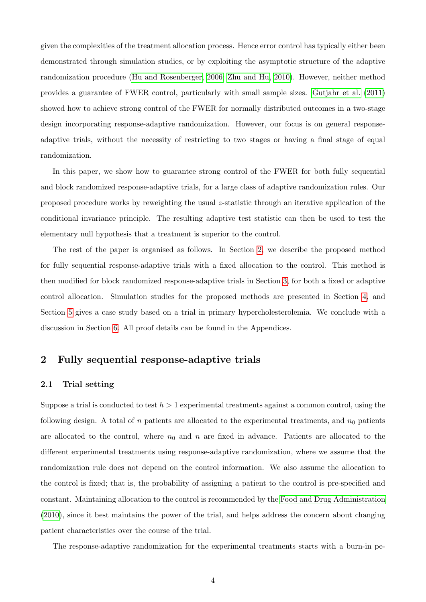given the complexities of the treatment allocation process. Hence error control has typically either been demonstrated through simulation studies, or by exploiting the asymptotic structure of the adaptive randomization procedure [\(Hu and Rosenberger, 2006;](#page-22-0) [Zhu and Hu, 2010\)](#page-24-2). However, neither method provides a guarantee of FWER control, particularly with small sample sizes. [Gutjahr et al.](#page-22-8) [\(2011\)](#page-22-8) showed how to achieve strong control of the FWER for normally distributed outcomes in a two-stage design incorporating response-adaptive randomization. However, our focus is on general responseadaptive trials, without the necessity of restricting to two stages or having a final stage of equal randomization.

In this paper, we show how to guarantee strong control of the FWER for both fully sequential and block randomized response-adaptive trials, for a large class of adaptive randomization rules. Our proposed procedure works by reweighting the usual z-statistic through an iterative application of the conditional invariance principle. The resulting adaptive test statistic can then be used to test the elementary null hypothesis that a treatment is superior to the control.

The rest of the paper is organised as follows. In Section [2,](#page-3-0) we describe the proposed method for fully sequential response-adaptive trials with a fixed allocation to the control. This method is then modified for block randomized response-adaptive trials in Section [3,](#page-7-0) for both a fixed or adaptive control allocation. Simulation studies for the proposed methods are presented in Section [4,](#page-9-0) and Section [5](#page-18-0) gives a case study based on a trial in primary hypercholesterolemia. We conclude with a discussion in Section [6.](#page-19-0) All proof details can be found in the Appendices.

# <span id="page-3-0"></span>2 Fully sequential response-adaptive trials

#### 2.1 Trial setting

Suppose a trial is conducted to test  $h > 1$  experimental treatments against a common control, using the following design. A total of n patients are allocated to the experimental treatments, and  $n_0$  patients are allocated to the control, where  $n_0$  and n are fixed in advance. Patients are allocated to the different experimental treatments using response-adaptive randomization, where we assume that the randomization rule does not depend on the control information. We also assume the allocation to the control is fixed; that is, the probability of assigning a patient to the control is pre-specified and constant. Maintaining allocation to the control is recommended by the [Food and Drug Administration](#page-21-8) [\(2010\)](#page-21-8), since it best maintains the power of the trial, and helps address the concern about changing patient characteristics over the course of the trial.

The response-adaptive randomization for the experimental treatments starts with a burn-in pe-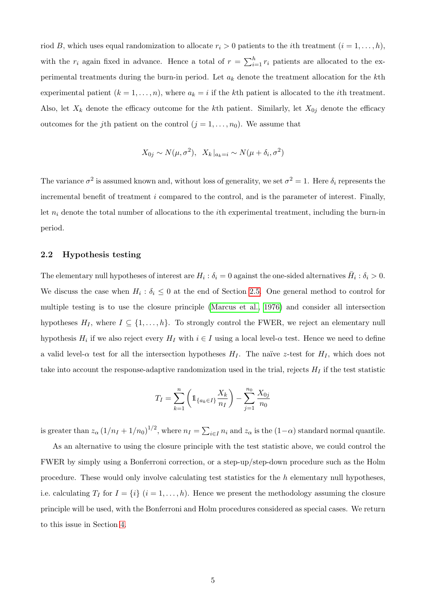riod B, which uses equal randomization to allocate  $r_i > 0$  patients to the *i*th treatment  $(i = 1, \ldots, h)$ , with the  $r_i$  again fixed in advance. Hence a total of  $r = \sum_{i=1}^{h} r_i$  patients are allocated to the experimental treatments during the burn-in period. Let  $a_k$  denote the treatment allocation for the kth experimental patient  $(k = 1, \ldots, n)$ , where  $a_k = i$  if the kth patient is allocated to the *i*th treatment. Also, let  $X_k$  denote the efficacy outcome for the kth patient. Similarly, let  $X_{0j}$  denote the efficacy outcomes for the j<sup>th</sup> patient on the control  $(j = 1, \ldots, n_0)$ . We assume that

$$
X_{0j} \sim N(\mu, \sigma^2), \quad X_k|_{a_k=i} \sim N(\mu + \delta_i, \sigma^2)
$$

The variance  $\sigma^2$  is assumed known and, without loss of generality, we set  $\sigma^2 = 1$ . Here  $\delta_i$  represents the incremental benefit of treatment i compared to the control, and is the parameter of interest. Finally, let  $n_i$  denote the total number of allocations to the *i*th experimental treatment, including the burn-in period.

#### 2.2 Hypothesis testing

The elementary null hypotheses of interest are  $H_i: \delta_i = 0$  against the one-sided alternatives  $\bar{H}_i: \delta_i > 0$ . We discuss the case when  $H_i: \delta_i \leq 0$  at the end of Section [2.5.](#page-6-0) One general method to control for multiple testing is to use the closure principle [\(Marcus et al., 1976\)](#page-22-9) and consider all intersection hypotheses  $H_I$ , where  $I \subseteq \{1, ..., h\}$ . To strongly control the FWER, we reject an elementary null hypothesis  $H_i$  if we also reject every  $H_I$  with  $i \in I$  using a local level- $\alpha$  test. Hence we need to define a valid level- $\alpha$  test for all the intersection hypotheses  $H_I$ . The naïve z-test for  $H_I$ , which does not take into account the response-adaptive randomization used in the trial, rejects  $H_I$  if the test statistic

$$
T_I = \sum_{k=1}^{n} \left( \mathbb{1}_{\{a_k \in I\}} \frac{X_k}{n_I} \right) - \sum_{j=1}^{n_0} \frac{X_{0j}}{n_0}
$$

is greater than  $z_\alpha (1/n_I + 1/n_0)^{1/2}$ , where  $n_I = \sum_{i \in I} n_i$  and  $z_\alpha$  is the  $(1-\alpha)$  standard normal quantile.

As an alternative to using the closure principle with the test statistic above, we could control the FWER by simply using a Bonferroni correction, or a step-up/step-down procedure such as the Holm procedure. These would only involve calculating test statistics for the h elementary null hypotheses, i.e. calculating  $T_I$  for  $I = \{i\}$   $(i = 1, ..., h)$ . Hence we present the methodology assuming the closure principle will be used, with the Bonferroni and Holm procedures considered as special cases. We return to this issue in Section [4.](#page-9-0)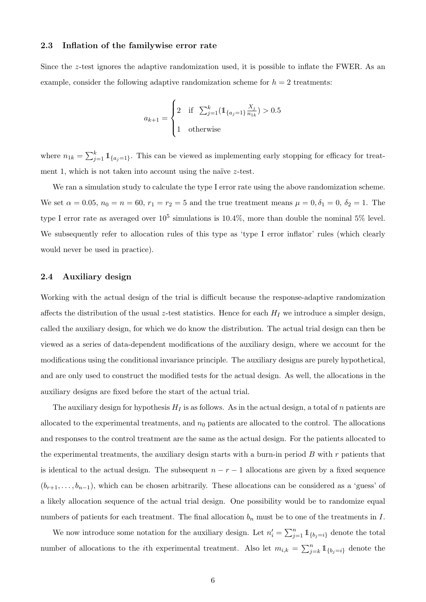#### <span id="page-5-1"></span>2.3 Inflation of the familywise error rate

Since the z-test ignores the adaptive randomization used, it is possible to inflate the FWER. As an example, consider the following adaptive randomization scheme for  $h = 2$  treatments:

$$
a_{k+1} = \begin{cases} 2 & \text{if } \sum_{j=1}^{k} (\mathbb{1}_{\{a_j = 1\}} \frac{X_j}{n_{1k}}) > 0.5\\ 1 & \text{otherwise} \end{cases}
$$

where  $n_{1k} = \sum_{j=1}^{k} \mathbb{1}_{\{a_j=1\}}$ . This can be viewed as implementing early stopping for efficacy for treatment 1, which is not taken into account using the naïve  $z$ -test.

We ran a simulation study to calculate the type I error rate using the above randomization scheme. We set  $\alpha = 0.05$ ,  $n_0 = n = 60$ ,  $r_1 = r_2 = 5$  and the true treatment means  $\mu = 0, \delta_1 = 0, \delta_2 = 1$ . The type I error rate as averaged over  $10^5$  simulations is  $10.4\%$ , more than double the nominal 5% level. We subsequently refer to allocation rules of this type as 'type I error inflator' rules (which clearly would never be used in practice).

#### <span id="page-5-0"></span>2.4 Auxiliary design

Working with the actual design of the trial is difficult because the response-adaptive randomization affects the distribution of the usual z-test statistics. Hence for each  $H_I$  we introduce a simpler design, called the auxiliary design, for which we do know the distribution. The actual trial design can then be viewed as a series of data-dependent modifications of the auxiliary design, where we account for the modifications using the conditional invariance principle. The auxiliary designs are purely hypothetical, and are only used to construct the modified tests for the actual design. As well, the allocations in the auxiliary designs are fixed before the start of the actual trial.

The auxiliary design for hypothesis  $H_I$  is as follows. As in the actual design, a total of n patients are allocated to the experimental treatments, and  $n_0$  patients are allocated to the control. The allocations and responses to the control treatment are the same as the actual design. For the patients allocated to the experimental treatments, the auxiliary design starts with a burn-in period  $B$  with  $r$  patients that is identical to the actual design. The subsequent  $n - r - 1$  allocations are given by a fixed sequence  $(b_{r+1}, \ldots, b_{n-1})$ , which can be chosen arbitrarily. These allocations can be considered as a 'guess' of a likely allocation sequence of the actual trial design. One possibility would be to randomize equal numbers of patients for each treatment. The final allocation  $b_n$  must be to one of the treatments in I.

We now introduce some notation for the auxiliary design. Let  $n'_i = \sum_{j=1}^n \mathbb{1}_{\{b_j=i\}}$  denote the total number of allocations to the *i*th experimental treatment. Also let  $m_{i,k} = \sum_{j=k}^{n} 1 \mathbb{1}_{\{b_j=i\}}$  denote the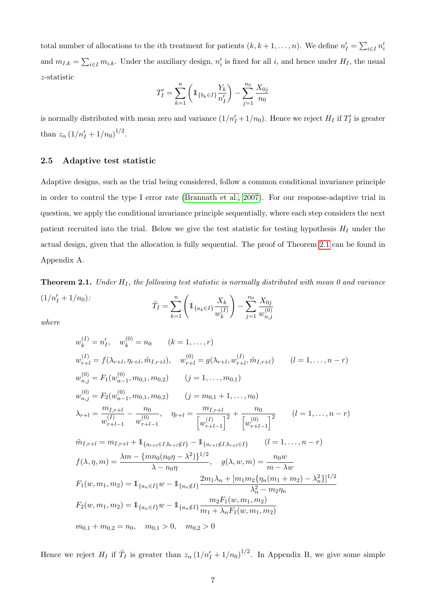total number of allocations to the *i*th treatment for patients  $(k, k+1, \ldots, n)$ . We define  $n'_I = \sum_{i \in I} n'_i$ and  $m_{I,k} = \sum_{i \in I} m_{i,k}$ . Under the auxiliary design,  $n'_i$  is fixed for all i, and hence under  $H_I$ , the usual z-statistic

$$
T'_I = \sum_{k=1}^n \left( 1\!\!1_{\{b_k \in I\}} \frac{Y_k}{n'_I} \right) - \sum_{j=1}^{n_0} \frac{X_{0j}}{n_0}
$$

is normally distributed with mean zero and variance  $(1/n'_I + 1/n_0)$ . Hence we reject  $H_I$  if  $T'_I$  is greater than  $z_{\alpha} (1/n'_I + 1/n_0)^{1/2}$ .

#### <span id="page-6-0"></span>2.5 Adaptive test statistic

Adaptive designs, such as the trial being considered, follow a common conditional invariance principle in order to control the type I error rate [\(Brannath et al., 2007\)](#page-21-10). For our response-adaptive trial in question, we apply the conditional invariance principle sequentially, where each step considers the next patient recruited into the trial. Below we give the test statistic for testing hypothesis  $H_I$  under the actual design, given that the allocation is fully sequential. The proof of Theorem [2.1](#page-6-1) can be found in Appendix A.

<span id="page-6-1"></span>**Theorem 2.1.** Under  $H_I$ , the following test statistic is normally distributed with mean 0 and variance  $(1/n'_I + 1/n_0)$ :  $\tilde{T}_I = \sum_{k=1}^n \Bigg($  $1\!\!1_{\{a_k\in I\}}\frac{X_k}{(I)}$  $w_k^{(I)}$  $\setminus$  $-\sum_{n=0}^{n_0}$  $X_{0j}$  $w_n^{(0)}$ 

k

 $j=1$ 

 $n,j$ 

where

$$
w_k^{(I)} = n'_I, \t w_k^{(0)} = n_0 \t (k = 1, ..., r)
$$
  
\n
$$
w_{r+l}^{(I)} = f(\lambda_{r+l}, \eta_{r+l}, \tilde{m}_{I,r+l}), \t w_{r+l}^{(0)} = g(\lambda_{r+l}, w_{r+l}^{(I)}, \tilde{m}_{I,r+l}) \t (l = 1, ..., n-r)
$$
  
\n
$$
w_{n,j}^{(0)} = F_1(w_{n-1}^{(0)}, m_{0,1}, m_{0,2}) \t (j = 1, ..., m_{0,1})
$$
  
\n
$$
w_{n,j}^{(0)} = F_2(w_{n-1}^{(0)}, m_{0,1}, m_{0,2}) \t (j = m_{0,1} + 1, ..., n_0)
$$
  
\n
$$
\lambda_{r+l} = \frac{m_{I,r+l}}{w_{r+l-1}^{(I)}} - \frac{n_0}{w_{r+l-1}^{(0)}}, \quad \eta_{r+l} = \frac{m_{I,r+l}}{\left[w_{r+l-1}^{(I)}\right]^2} + \frac{n_0}{\left[w_{r+l-1}^{(0)}\right]^2} \t (l = 1, ..., n-r)
$$
  
\n
$$
\tilde{m}_{I,r+l} = m_{I,r+l} + 1_{\{a_{r+l} \in I, b_{r+l} \notin I\}} - 1_{\{a_{r+l} \notin I, b_{r+l} \in I\}} \t (l = 1, ..., n-r)
$$
  
\n
$$
f(\lambda, \eta, m) = \frac{\lambda m - \{mn_0(n_0\eta - \lambda^2)\}^{1/2}}{\lambda - n_0\eta}, \quad g(\lambda, w, m) = \frac{n_0w}{m - \lambda w}
$$
  
\n
$$
F_1(w, m_1, m_2) = 1_{\{a_n \in I\}} w - 1_{\{a_n \notin I\}} \frac{2m_1\lambda_n + [m_1m_2\{\eta_n(m_1 + m_2) - \lambda_n^2\}]^{1/2}}{\lambda_n^2 - m_2\eta_n}
$$
  
\n
$$
F_2(w, m_1, m_2) = 1_{\{a_n \in I\}} w - 1_{\{a_n \notin I\}} \frac{m_2F_1(w, m_1, m_2)}{m_1 + \lambda_nF_1(w, m_1, m_2)}
$$
  
\

Hence we reject  $H_I$  if  $\tilde{T}_I$  is greater than  $z_\alpha (1/n'_I + 1/n_0)^{1/2}$ . In Appendix B, we give some simple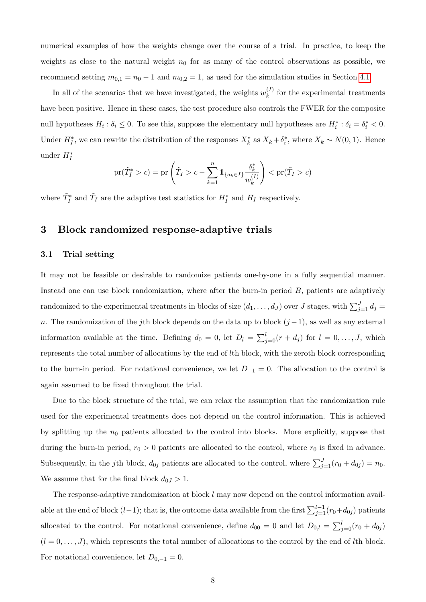numerical examples of how the weights change over the course of a trial. In practice, to keep the weights as close to the natural weight  $n_0$  for as many of the control observations as possible, we recommend setting  $m_{0,1} = n_0 - 1$  and  $m_{0,2} = 1$ , as used for the simulation studies in Section [4.1.](#page-9-1)

In all of the scenarios that we have investigated, the weights  $w_k^{(I)}$  $k^{(I)}$  for the experimental treatments have been positive. Hence in these cases, the test procedure also controls the FWER for the composite null hypotheses  $H_i: \delta_i \leq 0$ . To see this, suppose the elementary null hypotheses are  $H_i^*: \delta_i = \delta_i^* < 0$ . Under  $H_I^*$ , we can rewrite the distribution of the responses  $X_k^*$  as  $X_k + \delta_i^*$ , where  $X_k \sim N(0, 1)$ . Hence under  $H_I^*$ 

$$
\mathrm{pr}(\tilde{T}_I^* > c) = \mathrm{pr}\left(\tilde{T}_I > c - \sum_{k=1}^n \mathbb{1}_{\{a_k \in I\}} \frac{\delta_k^*}{w_k^{(I)}}\right) < \mathrm{pr}(\tilde{T}_I > c)
$$

where  $\tilde{T}_I^*$  and  $\tilde{T}_I$  are the adaptive test statistics for  $H_I^*$  and  $H_I$  respectively.

## <span id="page-7-0"></span>3 Block randomized response-adaptive trials

### <span id="page-7-1"></span>3.1 Trial setting

It may not be feasible or desirable to randomize patients one-by-one in a fully sequential manner. Instead one can use block randomization, where after the burn-in period B, patients are adaptively randomized to the experimental treatments in blocks of size  $(d_1, \ldots, d_J)$  over  $J$  stages, with  $\sum_{j=1}^{J} d_j =$ n. The randomization of the jth block depends on the data up to block  $(j-1)$ , as well as any external information available at the time. Defining  $d_0 = 0$ , let  $D_l = \sum_{j=0}^l (r + d_j)$  for  $l = 0, \ldots, J$ , which represents the total number of allocations by the end of lth block, with the zeroth block corresponding to the burn-in period. For notational convenience, we let  $D_{-1} = 0$ . The allocation to the control is again assumed to be fixed throughout the trial.

Due to the block structure of the trial, we can relax the assumption that the randomization rule used for the experimental treatments does not depend on the control information. This is achieved by splitting up the  $n_0$  patients allocated to the control into blocks. More explicitly, suppose that during the burn-in period,  $r_0 > 0$  patients are allocated to the control, where  $r_0$  is fixed in advance. Subsequently, in the jth block,  $d_{0j}$  patients are allocated to the control, where  $\sum_{j=1}^{J} (r_0 + d_{0j}) = n_0$ . We assume that for the final block  $d_{0J} > 1$ .

The response-adaptive randomization at block l may now depend on the control information available at the end of block  $(l-1)$ ; that is, the outcome data available from the first  $\sum_{j=1}^{l-1}(r_0+d_{0j})$  patients allocated to the control. For notational convenience, define  $d_{00} = 0$  and let  $D_{0,l} = \sum_{j=0}^{l} (r_0 + d_{0j})$  $(l = 0, \ldots, J)$ , which represents the total number of allocations to the control by the end of lth block. For notational convenience, let  $D_{0,-1} = 0$ .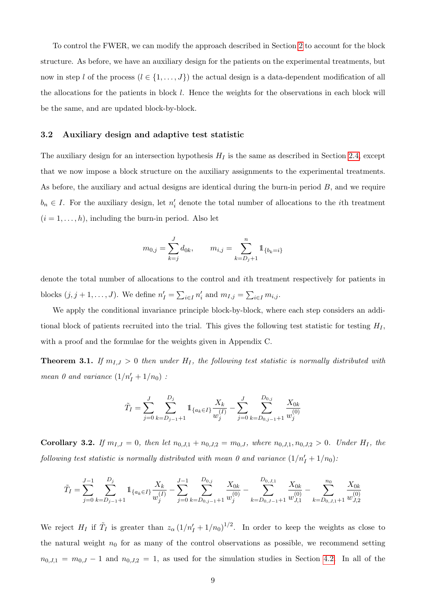To control the FWER, we can modify the approach described in Section [2](#page-3-0) to account for the block structure. As before, we have an auxiliary design for the patients on the experimental treatments, but now in step l of the process  $(l \in \{1, ..., J\})$  the actual design is a data-dependent modification of all the allocations for the patients in block  $l$ . Hence the weights for the observations in each block will be the same, and are updated block-by-block.

#### 3.2 Auxiliary design and adaptive test statistic

The auxiliary design for an intersection hypothesis  $H_I$  is the same as described in Section [2.4,](#page-5-0) except that we now impose a block structure on the auxiliary assignments to the experimental treatments. As before, the auxiliary and actual designs are identical during the burn-in period B, and we require  $b_n \in I$ . For the auxiliary design, let  $n'_i$  denote the total number of allocations to the *i*th treatment  $(i = 1, \ldots, h)$ , including the burn-in period. Also let

$$
m_{0,j} = \sum_{k=j}^{J} d_{0k}, \qquad m_{i,j} = \sum_{k=D_j+1}^{n} \mathbb{1}_{\{b_k=i\}}
$$

denote the total number of allocations to the control and ith treatment respectively for patients in blocks  $(j, j + 1, ..., J)$ . We define  $n'_I = \sum_{i \in I} n'_i$  and  $m_{I,j} = \sum_{i \in I} m_{i,j}$ .

We apply the conditional invariance principle block-by-block, where each step considers an additional block of patients recruited into the trial. This gives the following test statistic for testing  $H_I$ , with a proof and the formulae for the weights given in Appendix C.

**Theorem 3.1.** If  $m_{I,J} > 0$  then under  $H_I$ , the following test statistic is normally distributed with mean 0 and variance  $(1/n'_I + 1/n_0)$ :

$$
\tilde{T}_I = \sum_{j=0}^J \sum_{k=D_{j-1}+1}^{D_j} 1\!\!1_{\{a_k \in I\}} \frac{X_k}{w_j^{(I)}} - \sum_{j=0}^J \sum_{k=D_{0,j-1}+1}^{D_{0,j}} \frac{X_{0k}}{w_j^{(0)}}
$$

**Corollary 3.2.** If  $m_{I,J} = 0$ , then let  $n_{0,J,1} + n_{0,J,2} = m_{0,J}$ , where  $n_{0,J,1}, n_{0,J,2} > 0$ . Under  $H_I$ , the following test statistic is normally distributed with mean 0 and variance  $(1/n'_I + 1/n_0)$ :

$$
\tilde{T}_I = \sum_{j=0}^{J-1} \sum_{k=D_{j-1}+1}^{D_j} 1\!\!1_{\{a_k \in I\}} \frac{X_k}{w_j^{(I)}} - \sum_{j=0}^{J-1} \sum_{k=D_{0,j-1}+1}^{D_{0,j}} \frac{X_{0k}}{w_j^{(0)}} - \sum_{k=D_{0,J-1}+1}^{D_{0,J,1}} \frac{X_{0k}}{w_{J,1}^{(0)}} - \sum_{k=D_{0,J,1}+1}^{n_0} \frac{X_{0k}}{w_{J,2}^{(0)}}
$$

We reject  $H_I$  if  $\tilde{T}_I$  is greater than  $z_\alpha (1/n'_I + 1/n_0)^{1/2}$ . In order to keep the weights as close to the natural weight  $n_0$  for as many of the control observations as possible, we recommend setting  $n_{0,J,1} = m_{0,J} - 1$  and  $n_{0,J,2} = 1$ , as used for the simulation studies in Section [4.2.](#page-13-0) In all of the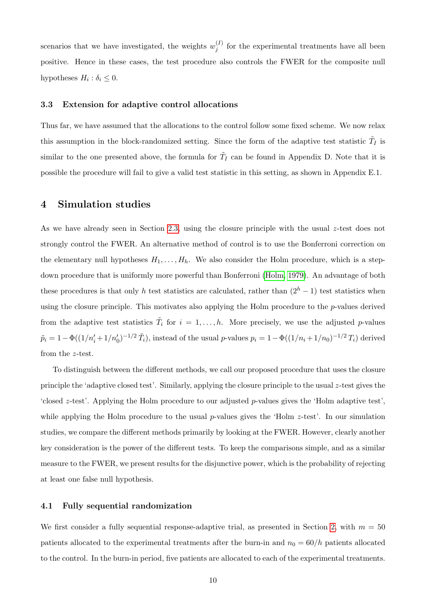scenarios that we have investigated, the weights  $w_i^{(I)}$  $j_j^{(1)}$  for the experimental treatments have all been positive. Hence in these cases, the test procedure also controls the FWER for the composite null hypotheses  $H_i: \delta_i \leq 0$ .

#### <span id="page-9-2"></span>3.3 Extension for adaptive control allocations

Thus far, we have assumed that the allocations to the control follow some fixed scheme. We now relax this assumption in the block-randomized setting. Since the form of the adaptive test statistic  $\tilde{T}_I$  is similar to the one presented above, the formula for  $\tilde{T}_I$  can be found in Appendix D. Note that it is possible the procedure will fail to give a valid test statistic in this setting, as shown in Appendix E.1.

## <span id="page-9-0"></span>4 Simulation studies

As we have already seen in Section [2.3,](#page-5-1) using the closure principle with the usual z-test does not strongly control the FWER. An alternative method of control is to use the Bonferroni correction on the elementary null hypotheses  $H_1, \ldots, H_h$ . We also consider the Holm procedure, which is a stepdown procedure that is uniformly more powerful than Bonferroni [\(Holm, 1979\)](#page-22-10). An advantage of both these procedures is that only h test statistics are calculated, rather than  $(2<sup>h</sup> - 1)$  test statistics when using the closure principle. This motivates also applying the Holm procedure to the  $p$ -values derived from the adaptive test statistics  $\tilde{T}_i$  for  $i = 1, \ldots, h$ . More precisely, we use the adjusted p-values  $\tilde{p}_i = 1 - \Phi((1/n'_i + 1/n'_0)^{-1/2} \tilde{T}_i)$ , instead of the usual p-values  $p_i = 1 - \Phi((1/n_i + 1/n_0)^{-1/2} T_i)$  derived from the z-test.

To distinguish between the different methods, we call our proposed procedure that uses the closure principle the 'adaptive closed test'. Similarly, applying the closure principle to the usual  $z$ -test gives the 'closed z-test'. Applying the Holm procedure to our adjusted p-values gives the 'Holm adaptive test', while applying the Holm procedure to the usual  $p$ -values gives the 'Holm  $z$ -test'. In our simulation studies, we compare the different methods primarily by looking at the FWER. However, clearly another key consideration is the power of the different tests. To keep the comparisons simple, and as a similar measure to the FWER, we present results for the disjunctive power, which is the probability of rejecting at least one false null hypothesis.

#### <span id="page-9-1"></span>4.1 Fully sequential randomization

We first consider a fully sequential response-adaptive trial, as presented in Section [2,](#page-3-0) with  $m = 50$ patients allocated to the experimental treatments after the burn-in and  $n_0 = 60/h$  patients allocated to the control. In the burn-in period, five patients are allocated to each of the experimental treatments.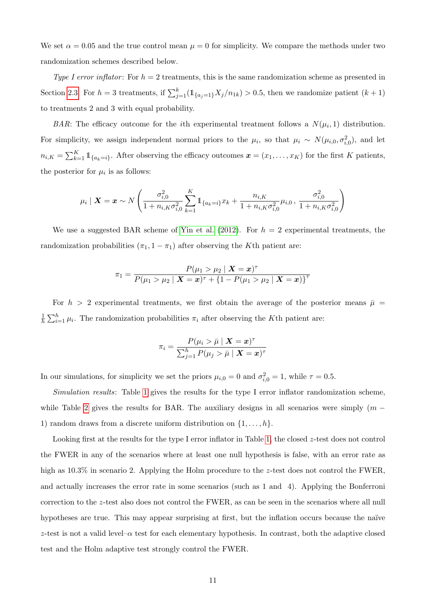We set  $\alpha = 0.05$  and the true control mean  $\mu = 0$  for simplicity. We compare the methods under two randomization schemes described below.

Type I error inflator: For  $h = 2$  treatments, this is the same randomization scheme as presented in Section [2.3.](#page-5-1) For  $h=3$  treatments, if  $\sum_{j=1}^{k} (\mathbb{1}_{\{a_j=1\}} X_j/n_{1k}) > 0.5$ , then we randomize patient  $(k+1)$ to treatments 2 and 3 with equal probability.

BAR: The efficacy outcome for the *i*th experimental treatment follows a  $N(\mu_i, 1)$  distribution. For simplicity, we assign independent normal priors to the  $\mu_i$ , so that  $\mu_i \sim N(\mu_{i,0}, \sigma_{i,0}^2)$ , and let  $n_{i,K} = \sum_{k=1}^{K} 1\!\!1_{\{a_k=i\}}$ . After observing the efficacy outcomes  $\boldsymbol{x} = (x_1, \ldots, x_K)$  for the first K patients, the posterior for  $\mu_i$  is as follows:

$$
\mu_i \mid \bm{X} = \bm{x} \sim N \left( \frac{\sigma_{i,0}^2}{1 + n_{i,K} \sigma_{i,0}^2} \sum_{k=1}^K 1\!\!1_{\{a_k = i\}} x_k + \frac{n_{i,K}}{1 + n_{i,K} \sigma_{i,0}^2} \mu_{i,0}, \, \frac{\sigma_{i,0}^2}{1 + n_{i,K} \sigma_{i,0}^2} \right)
$$

We use a suggested BAR scheme of [Yin et al.](#page-24-0) [\(2012\)](#page-24-0). For  $h = 2$  experimental treatments, the randomization probabilities  $(\pi_1, 1 - \pi_1)$  after observing the K<sup>th</sup> patient are:

$$
\pi_1 = \frac{P(\mu_1 > \mu_2 \mid \bm{X}=\bm{x})^{\tau}}{P(\mu_1 > \mu_2 \mid \bm{X}=\bm{x})^{\tau} + \{1-P(\mu_1 > \mu_2 \mid \bm{X}=\bm{x})\}^{\tau}}
$$

For  $h > 2$  experimental treatments, we first obtain the average of the posterior means  $\bar{\mu}$  = 1  $\frac{1}{h} \sum_{i=1}^{h} \mu_i$ . The randomization probabilities  $\pi_i$  after observing the K<sup>th</sup> patient are:

$$
\pi_i = \frac{P(\mu_i > \bar{\mu} \mid \bm{X} = \bm{x})^{\tau}}{\sum_{j=1}^h P(\mu_j > \bar{\mu} \mid \bm{X} = \bm{x})^{\tau}}
$$

In our simulations, for simplicity we set the priors  $\mu_{i,0} = 0$  and  $\sigma_{i,0}^2 = 1$ , while  $\tau = 0.5$ .

Simulation results: Table [1](#page-11-0) gives the results for the type I error inflator randomization scheme, while Table [2](#page-12-0) gives the results for BAR. The auxiliary designs in all scenarios were simply  $(m -$ 1) random draws from a discrete uniform distribution on  $\{1, \ldots, h\}$ .

Looking first at the results for the type I error inflator in Table [1,](#page-11-0) the closed z-test does not control the FWER in any of the scenarios where at least one null hypothesis is false, with an error rate as high as 10.3% in scenario 2. Applying the Holm procedure to the z-test does not control the FWER, and actually increases the error rate in some scenarios (such as 1 and 4). Applying the Bonferroni correction to the z-test also does not control the FWER, as can be seen in the scenarios where all null hypotheses are true. This may appear surprising at first, but the inflation occurs because the naïve z-test is not a valid level– $\alpha$  test for each elementary hypothesis. In contrast, both the adaptive closed test and the Holm adaptive test strongly control the FWER.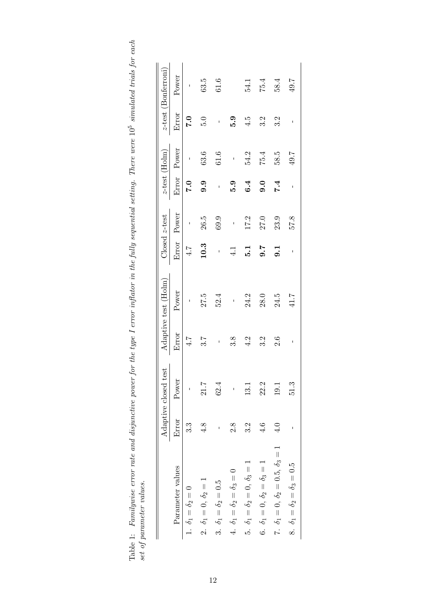<span id="page-11-0"></span>

| į                                                      |                  |
|--------------------------------------------------------|------------------|
|                                                        |                  |
| an trank for enon<br>į<br>3                            |                  |
|                                                        |                  |
|                                                        |                  |
| , sunuuuttu u<br>hatomailatad                          |                  |
|                                                        |                  |
| l'here were 10                                         |                  |
|                                                        |                  |
| $\frac{1}{2}$                                          |                  |
| $1$ cotting $T1$                                       |                  |
| دّ                                                     |                  |
|                                                        |                  |
| inghaa hi                                              |                  |
|                                                        |                  |
|                                                        |                  |
|                                                        |                  |
|                                                        |                  |
|                                                        |                  |
|                                                        |                  |
| the type I error inflator in the fully sequential<br>I |                  |
|                                                        |                  |
| s<br>S                                                 |                  |
|                                                        |                  |
|                                                        |                  |
|                                                        |                  |
|                                                        |                  |
| ì<br>Ì                                                 |                  |
| nan an i                                               |                  |
|                                                        |                  |
| co primale pour attor montage.<br>$\ddot{\phantom{0}}$ |                  |
|                                                        |                  |
| 0.10112                                                | $\sim$ 0.00      |
| $\sim$ 000.00<br>$\ddot{\phantom{a}}$<br>ľ             |                  |
| $\frac{1}{2}$                                          | Co. CO. CA. CO.  |
|                                                        | í.<br>cot C<br>٦ |
| ļ<br>I<br>İ                                            | Ĵ                |

|                                                 |               | Adaptive closed test |       | Adaptive test (Holm) |                  | Closed z-test            |                          | <i>z</i> -test (Holm)    |                   | <i>z</i> -test (Bonferroni) |
|-------------------------------------------------|---------------|----------------------|-------|----------------------|------------------|--------------------------|--------------------------|--------------------------|-------------------|-----------------------------|
| Parameter values                                | Error         | Power                | Error | Power                |                  | Error Power              |                          | Error Power              | Error             | Power                       |
| 1. $\delta_1 = \delta_2 = 0$                    | 3.3           |                      | 4.7   |                      | 4.7              | $\overline{\phantom{a}}$ | 0.7                      | $\overline{\phantom{a}}$ | $\overline{7}$ .0 |                             |
| 2. $\delta_1 = 0, \, \delta_2 = 1$              | 4.8           | 21.7                 | 3.7   | 27.5                 | 10.3             | 26.5                     | 9.9                      | 63.6                     | 5.0               | 63.5                        |
| 3. $\delta_1 = \delta_2 = 0.5$                  | ı             | 62.4                 | ı     | 52.4                 | $\overline{1}$   | 69.9                     | $\overline{\phantom{a}}$ | $61.6\,$                 | $\mathbf{I}$      | $61.6\,$                    |
| 4. $\delta_1 = \delta_2 = \delta_3 = 0$         | 2.8           | $\mathsf I$          | 3.8   | $\mathbf{I}$         | 4.1              | $\frac{1}{2}$            | 5.9                      | $\overline{1}$           | <b>6.6</b>        |                             |
| 5. $\delta_1 = \delta_2 = 0, \delta_3 = 1$      | 3.2           | 13.1                 | 4.2   | 24.2                 | $\overline{5}.1$ | 17.2                     | 6.4                      | 54.2                     | 4.5               | 54.1                        |
| 6. $\delta_1 = 0, \, \delta_2 = \delta_3 = 1$   | 4.6           | 22.2                 | 3.2   | 28.0                 | 9.7              | 27.0                     | 0.6                      | 75.4                     | 3.2               | 75.4                        |
| 7. $\delta_1 = 0, \delta_2 = 0.5, \delta_3 = 1$ | $\frac{1}{4}$ | 19.1                 | 2.6   | 24.5                 | $\overline{0}$   | 23.9                     | 7.4                      | 585                      | 3.2               | 58.4                        |
| 8. $\delta_1 = \delta_2 = \delta_3 = 0.5$       |               | 51.3                 | I     | 41.7                 | I                | 57.8                     | I                        | 49.7                     |                   | 49.7                        |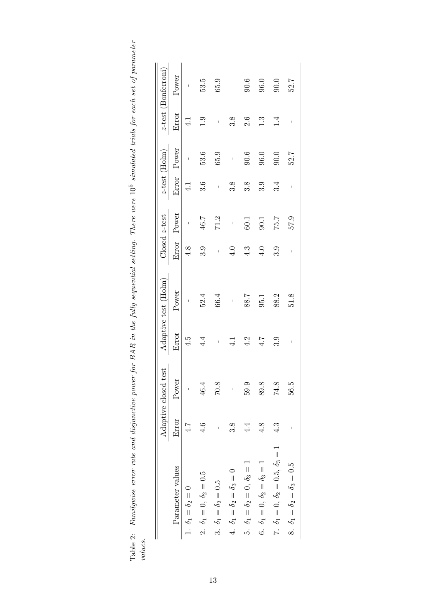<span id="page-12-0"></span>

| ξ<br>ted trials for each set of norr.<br>$\overline{z}$<br>וט טטפ<br>יטעט<br>$\mu$ uere were $10^5$ simallot<br>i<br>.                                             |  |
|--------------------------------------------------------------------------------------------------------------------------------------------------------------------|--|
| $\sim 1$ of $\sim 1$<br>.<br>Dana<br>l<br>inna I nai<br>$BAR$ in the $\pm$<br>č.<br>Ş<br>יירה הום מי<br>ı<br>$\sim$ -roor rate and disminuous.<br>rama da iar<br>3 |  |
| $\frac{1}{2}$ $\frac{1}{2}$ $\frac{1}{2}$ $\frac{1}{2}$ $\frac{1}{2}$<br>$\ddot{\cdot}$                                                                            |  |

|                                                 |            | Adaptive closed test |               | Adaptive test (Holm) |                          | Closed z-test |     | $z$ -test (Holm) |               | <i>z</i> -test (Bonferroni) |
|-------------------------------------------------|------------|----------------------|---------------|----------------------|--------------------------|---------------|-----|------------------|---------------|-----------------------------|
| Parameter values                                | Error      | Power                | Error         | Power                |                          | Error Power   |     | Error Power      | Error         | Power                       |
| 1. $\delta_1 = \delta_2 = 0$                    | 4.7        | $\mathsf I$          | 4.5           | $\mathbf I$          | 4.8                      | $\bar{1}$     | 4.1 | $\mathbf{I}$     | $\frac{1}{4}$ |                             |
| 2. $\delta_1 = 0, \delta_2 = 0.5$               | 4.6        | 46.4                 | 4.4           | 52.4                 | 3.9                      | 46.7          | 3.6 | 53.6             | 1.9           | 53.5                        |
| 3. $\delta_1 = \delta_2 = 0.5$                  |            | 70.8                 | $\mathbf{I}$  | 66.4                 | $\overline{\phantom{a}}$ | 71.2          |     | 65.9             | $\mathbf{I}$  | 65.9                        |
| 4. $\delta_1 = \delta_2 = \delta_3 = 0$         | 3.8        | $\bar{1}$            | $\frac{1}{4}$ | $\mathbf{I}$         | $\ddot{4.0}$             | $\frac{1}{2}$ | 3.8 | $\mathbf{I}$     | 3.8           |                             |
| 5. $\delta_1 = \delta_2 = 0, \delta_3 = 1$      | $4\cdot$   | 59.9                 | $\frac{2}{4}$ | 88.7                 | 4.3                      | 60.1          | 3.8 | 90.6             | 2.6           | 90.6                        |
| 6. $\delta_1 = 0$ , $\delta_2 = \delta_3 = 1$   | 4.8        | 89.8                 | 4.7           | 95.1                 | $\ddot{ }$               | 90.1          | 3.9 | 96.0             | $\ddot{1}$    | 96.0                        |
| 7. $\delta_1 = 0, \delta_2 = 0.5, \delta_3 = 1$ | $\ddot{4}$ | 74.8                 | 3.9           | 88.2                 | 3.9                      | 75.7          | 3.4 | 0.06             | 1.4           | 90.0                        |
| 8. $\delta_1 = \delta_2 = \delta_3 = 0.5$       |            | 56.5                 | ı             | 51.8                 | I                        | 57.9          | ı   | 52.7             | I             | 52.7                        |
|                                                 |            |                      |               |                      |                          |               |     |                  |               |                             |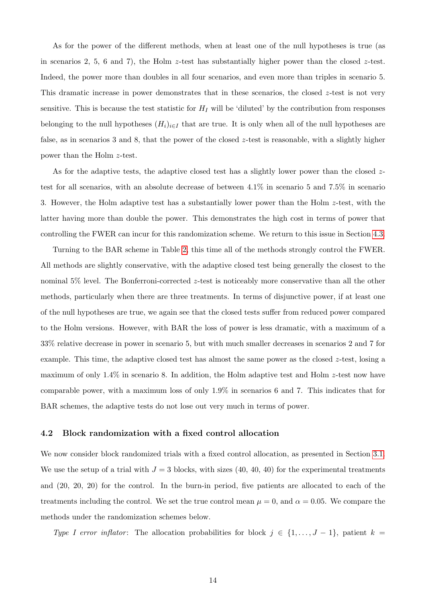As for the power of the different methods, when at least one of the null hypotheses is true (as in scenarios 2, 5, 6 and 7), the Holm z-test has substantially higher power than the closed z-test. Indeed, the power more than doubles in all four scenarios, and even more than triples in scenario 5. This dramatic increase in power demonstrates that in these scenarios, the closed  $z$ -test is not very sensitive. This is because the test statistic for  $H_I$  will be 'diluted' by the contribution from responses belonging to the null hypotheses  $(H_i)_{i\in I}$  that are true. It is only when all of the null hypotheses are false, as in scenarios 3 and 8, that the power of the closed z-test is reasonable, with a slightly higher power than the Holm z-test.

As for the adaptive tests, the adaptive closed test has a slightly lower power than the closed  $z$ test for all scenarios, with an absolute decrease of between 4.1% in scenario 5 and 7.5% in scenario 3. However, the Holm adaptive test has a substantially lower power than the Holm z-test, with the latter having more than double the power. This demonstrates the high cost in terms of power that controlling the FWER can incur for this randomization scheme. We return to this issue in Section [4.3.](#page-17-0)

Turning to the BAR scheme in Table [2,](#page-12-0) this time all of the methods strongly control the FWER. All methods are slightly conservative, with the adaptive closed test being generally the closest to the nominal 5% level. The Bonferroni-corrected z-test is noticeably more conservative than all the other methods, particularly when there are three treatments. In terms of disjunctive power, if at least one of the null hypotheses are true, we again see that the closed tests suffer from reduced power compared to the Holm versions. However, with BAR the loss of power is less dramatic, with a maximum of a 33% relative decrease in power in scenario 5, but with much smaller decreases in scenarios 2 and 7 for example. This time, the adaptive closed test has almost the same power as the closed  $z$ -test, losing a maximum of only 1.4% in scenario 8. In addition, the Holm adaptive test and Holm z-test now have comparable power, with a maximum loss of only 1.9% in scenarios 6 and 7. This indicates that for BAR schemes, the adaptive tests do not lose out very much in terms of power.

#### <span id="page-13-0"></span>4.2 Block randomization with a fixed control allocation

We now consider block randomized trials with a fixed control allocation, as presented in Section [3.1.](#page-7-1) We use the setup of a trial with  $J = 3$  blocks, with sizes (40, 40, 40) for the experimental treatments and (20, 20, 20) for the control. In the burn-in period, five patients are allocated to each of the treatments including the control. We set the true control mean  $\mu = 0$ , and  $\alpha = 0.05$ . We compare the methods under the randomization schemes below.

Type I error inflator: The allocation probabilities for block  $j \in \{1, \ldots, J-1\}$ , patient  $k =$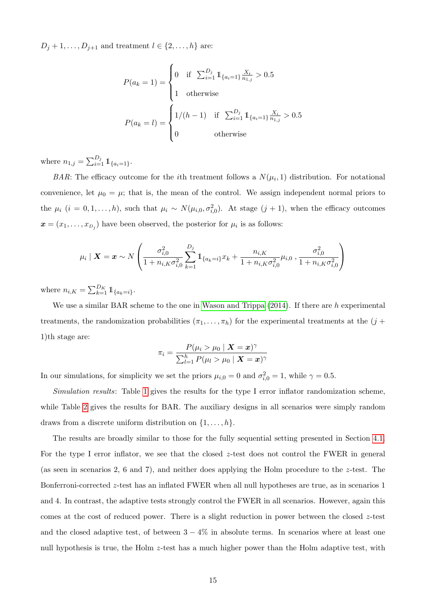$D_j + 1, \ldots, D_{j+1}$  and treatment  $l \in \{2, \ldots, h\}$  are:

$$
P(a_k = 1) = \begin{cases} 0 & \text{if } \sum_{i=1}^{D_j} 1_{\{a_i = 1\} \frac{X_i}{n_{1,j}} > 0.5\\ 1 & \text{otherwise} \end{cases}
$$

$$
P(a_k = l) = \begin{cases} 1/(h-1) & \text{if } \sum_{i=1}^{D_j} 1_{\{a_i = 1\} \frac{X_i}{n_{1,j}} > 0.5\\ 0 & \text{otherwise} \end{cases}
$$

where  $n_{1,j} = \sum_{i=1}^{D_j} 1\!\!1_{\{a_i=1\}}$ .

BAR: The efficacy outcome for the *i*th treatment follows a  $N(\mu_i, 1)$  distribution. For notational convenience, let  $\mu_0 = \mu$ ; that is, the mean of the control. We assign independent normal priors to the  $\mu_i$   $(i = 0, 1, \ldots, h)$ , such that  $\mu_i \sim N(\mu_{i,0}, \sigma_{i,0}^2)$ . At stage  $(j + 1)$ , when the efficacy outcomes  $\boldsymbol{x} = (x_1, \ldots, x_{D_j})$  have been observed, the posterior for  $\mu_i$  is as follows:

$$
\mu_i \mid \bm{X} = \bm{x} \sim N \left( \frac{\sigma_{i,0}^2}{1 + n_{i,K} \sigma_{i,0}^2} \sum_{k=1}^{D_j} \mathbb{1}_{\{a_k = i\}} x_k + \frac{n_{i,K}}{1 + n_{i,K} \sigma_{i,0}^2} \mu_{i,0} , \frac{\sigma_{i,0}^2}{1 + n_{i,K} \sigma_{i,0}^2} \right)
$$

where  $n_{i,K} = \sum_{k=1}^{D_K} 1\!\!1_{\{a_k=i\}}$ .

We use a similar BAR scheme to the one in [Wason and Trippa](#page-23-3)  $(2014)$ . If there are h experimental treatments, the randomization probabilities  $(\pi_1, \ldots, \pi_h)$  for the experimental treatments at the  $(j +$ 1)th stage are:

$$
\pi_i = \frac{P(\mu_i > \mu_0 \mid \mathbf{X} = \mathbf{x})^{\gamma}}{\sum_{l=1}^h P(\mu_l > \mu_0 \mid \mathbf{X} = \mathbf{x})^{\gamma}}
$$

In our simulations, for simplicity we set the priors  $\mu_{i,0} = 0$  and  $\sigma_{i,0}^2 = 1$ , while  $\gamma = 0.5$ .

Simulation results: Table [1](#page-11-0) gives the results for the type I error inflator randomization scheme, while Table [2](#page-12-0) gives the results for BAR. The auxiliary designs in all scenarios were simply random draws from a discrete uniform distribution on  $\{1, \ldots, h\}.$ 

The results are broadly similar to those for the fully sequential setting presented in Section [4.1.](#page-9-1) For the type I error inflator, we see that the closed z-test does not control the FWER in general (as seen in scenarios 2, 6 and 7), and neither does applying the Holm procedure to the z-test. The Bonferroni-corrected z-test has an inflated FWER when all null hypotheses are true, as in scenarios 1 and 4. In contrast, the adaptive tests strongly control the FWER in all scenarios. However, again this comes at the cost of reduced power. There is a slight reduction in power between the closed  $z$ -test and the closed adaptive test, of between  $3 - 4\%$  in absolute terms. In scenarios where at least one null hypothesis is true, the Holm z-test has a much higher power than the Holm adaptive test, with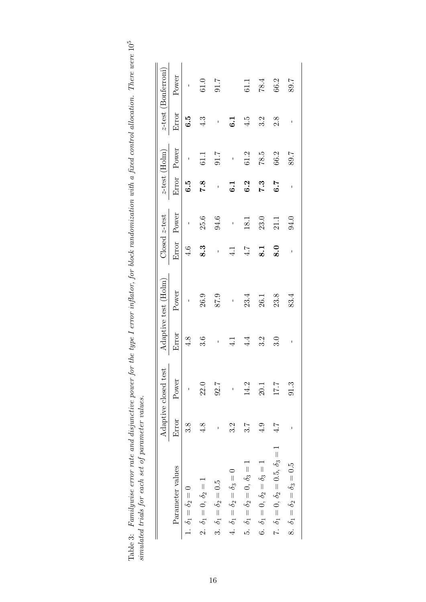|                                                 |       | Adaptive closed test |               | Adaptive test (Holm) |                           | Closed z-test |              | $z$ -test (Holm) |              | <i>z</i> -test (Bonferroni) |
|-------------------------------------------------|-------|----------------------|---------------|----------------------|---------------------------|---------------|--------------|------------------|--------------|-----------------------------|
| Parameter values                                | Error | Power                | Error         | Power                |                           | Error Power   |              | Error Power      | Error        | Power                       |
| $\label{eq:delta_1} \delta_1 = \delta_2 = 0$    | 3.8   |                      | 4.8           | $\mathbf{I}$         | 4.6                       | $\mathbf{I}$  | $\ddot{6}$   | $\mathsf I$      | 6.5          |                             |
| 2. $\delta_1 = 0, \delta_2 = 1$                 | 4.8   | 22.0                 | 3.6           | 26.9                 | 8.3                       | 25.6          | 7.8          | 61.1             | 4.3          | $61.0\,$                    |
| 3. $\delta_1 = \delta_2 = 0.5$                  | ı     | 92.7                 | $\mathbf{I}$  | 87.9                 | $\mathbf{I}$              | 94.6          | $\mathbf{I}$ | 7.10             | $\mathbf{I}$ | 7.16                        |
| 4. $\delta_1 = \delta_2 = \delta_3 = 0$         | 3.2   |                      | $\frac{1}{4}$ | $\mathbf{I}$         | $\frac{1}{4}$             | $\mathbf{I}$  | 6.1          | $\mathbf{I}$     | 6.1          |                             |
| 5. $\delta_1 = \delta_2 = 0, \delta_3 = 1$      | 3.7   | 14.2                 | 4.4           | 23.4                 | 4.7                       | 18.1          | 6.2          | 61.2             | 4.5          | 61.1                        |
| 6. $\delta_1 = 0, \ \delta_2 = \delta_3 = 1$    | 4.9   | 20.1                 | 3.2           | 26.1                 | $\overline{\mathbf{S}}$ . | 23.0          | 7.3          | 78.5             | 3.2          | 78.4                        |
| 7. $\delta_1 = 0, \delta_2 = 0.5, \delta_3 = 1$ | 4.7   | 177                  | 3.0           | 23.8                 | $\ddot{\mathbf{8}}$ .0    | 21.1          | 6.7          | 66.2             | 2.8          | 66.2                        |
| 8. $\delta_1 = \delta_2 = \delta_3 = 0.5$       |       | 91.3                 | I             | 83.4                 | I                         | 94.0          | I            | 89.7             | I            | 89.7                        |

| l                                              |                                                |
|------------------------------------------------|------------------------------------------------|
| į                                              |                                                |
|                                                |                                                |
|                                                |                                                |
| Ş<br>ì                                         |                                                |
| $-4 + 6$                                       |                                                |
|                                                |                                                |
|                                                |                                                |
| ì                                              |                                                |
| i<br>י<br>ו                                    |                                                |
|                                                |                                                |
| ١<br>j<br>ì                                    |                                                |
| $-1$ on $+$ one $+$                            |                                                |
| in the                                         | I<br>J<br>)<br>j                               |
| $\frac{1}{4}$ diagona ation and<br>.<br>.      |                                                |
|                                                | ו עשין נ                                       |
| china main ian ian iang m<br>pur atur where as | emailated trials for each set of parameter not |
|                                                |                                                |
|                                                |                                                |
| Table 3: Family                                |                                                |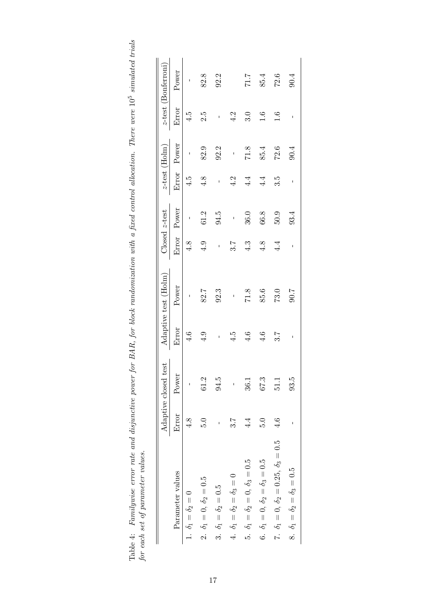| Ç,<br>j<br>nonon <sup>o</sup><br>Ξ                                                                                                                                                  |                        |
|-------------------------------------------------------------------------------------------------------------------------------------------------------------------------------------|------------------------|
| ۲,<br>l<br>ì<br>- 22<br>Ī.<br>power or priver<br>٢<br>ا<br>$\frac{1}{4}$<br>$\overline{a}$<br>l<br>ſ<br>č<br>$l$ uwise error rate and disjunctive $p$<br>a Cuinneach<br>10000t<br>ļ |                        |
| $_1$ able 4: $F$<br>E                                                                                                                                                               | for each set of parame |

|                                                    |       | Adaptive closed test |                 | Adaptive test (Holm) |               | Closed z-test |               | $z$ -test (Holm) |              | <i>z</i> -test (Bonferroni) |
|----------------------------------------------------|-------|----------------------|-----------------|----------------------|---------------|---------------|---------------|------------------|--------------|-----------------------------|
| Parameter values                                   | Error | Power                | Error           | Power                |               | Error Power   |               | Error Power      | Error        | Power                       |
| 1. $\delta_1 = \delta_2 = 0$                       | 4.8   | $\mathsf I$          | 4.6             | I                    | 4.8           | $\mathbf{I}$  | 4.5           | I                | 4.5          |                             |
| 2. $\delta_1 = 0, \delta_2 = 0.5$                  | 5.0   | 61.2                 | 4.9             | 82.7                 | $\ddot{q}$ .  | 61.2          | 4.8           | 82.9             | 2.5          | 82.8                        |
| 3. $\delta_1 = \delta_2 = 0.5$                     |       | 94.5                 | ı               | 92.3                 | $\mathbf{I}$  | 94.5          | ı             | 92.2             | $\mathbf{I}$ | 92.2                        |
| 4. $\delta_1 = \delta_2 = \delta_3 = 0$            | 3.7   | $\mathsf I$          | 4.5             | I                    | 3.7           | $\mathbf{I}$  | 4.2           | $\mathbf{I}$     | 4.2          |                             |
| 5. $\delta_1 = \delta_2 = 0, \delta_3 = 0.5$       | 4.4   | 36.1                 | 4.6             | 71.8                 | 4.3           | 36.0          | $\frac{4}{4}$ | 71.8             | 3.0          | $7.17$                      |
| 6. $\delta_1 = 0, \, \delta_2 = \delta_3 = 0.5$    | 5.0   | 673                  | $\frac{4.6}{4}$ | 85.6                 | $\frac{8}{4}$ | 66.8          | 4.4           | 85.4             | 1.6          | 85.4                        |
| 7. $\delta_1 = 0, \delta_2 = 0.25, \delta_3 = 0.5$ | 4.6   | 51.1                 | 3.7             | 73.0                 | 4.4           | 5.05          | 3.5           | 72.6             | 1.6          | 72.6                        |
| 8. $\delta_1 = \delta_2 = \delta_3 = 0.5$          |       | 93.5                 | I               | 7.06                 | I             | 93.4          | I             | 90.4             | I            | 90.4                        |
|                                                    |       |                      |                 |                      |               |               |               |                  |              |                             |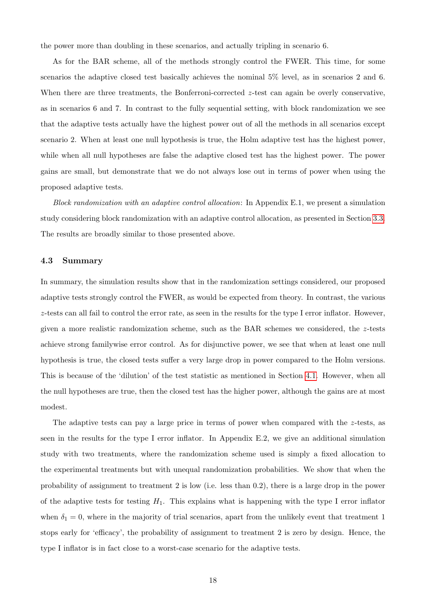the power more than doubling in these scenarios, and actually tripling in scenario 6.

As for the BAR scheme, all of the methods strongly control the FWER. This time, for some scenarios the adaptive closed test basically achieves the nominal 5% level, as in scenarios 2 and 6. When there are three treatments, the Bonferroni-corrected z-test can again be overly conservative, as in scenarios 6 and 7. In contrast to the fully sequential setting, with block randomization we see that the adaptive tests actually have the highest power out of all the methods in all scenarios except scenario 2. When at least one null hypothesis is true, the Holm adaptive test has the highest power, while when all null hypotheses are false the adaptive closed test has the highest power. The power gains are small, but demonstrate that we do not always lose out in terms of power when using the proposed adaptive tests.

Block randomization with an adaptive control allocation: In Appendix E.1, we present a simulation study considering block randomization with an adaptive control allocation, as presented in Section [3.3.](#page-9-2) The results are broadly similar to those presented above.

#### <span id="page-17-0"></span>4.3 Summary

In summary, the simulation results show that in the randomization settings considered, our proposed adaptive tests strongly control the FWER, as would be expected from theory. In contrast, the various z-tests can all fail to control the error rate, as seen in the results for the type I error inflator. However, given a more realistic randomization scheme, such as the BAR schemes we considered, the z-tests achieve strong familywise error control. As for disjunctive power, we see that when at least one null hypothesis is true, the closed tests suffer a very large drop in power compared to the Holm versions. This is because of the 'dilution' of the test statistic as mentioned in Section [4.1.](#page-9-1) However, when all the null hypotheses are true, then the closed test has the higher power, although the gains are at most modest.

The adaptive tests can pay a large price in terms of power when compared with the  $z$ -tests, as seen in the results for the type I error inflator. In Appendix E.2, we give an additional simulation study with two treatments, where the randomization scheme used is simply a fixed allocation to the experimental treatments but with unequal randomization probabilities. We show that when the probability of assignment to treatment 2 is low (i.e. less than 0.2), there is a large drop in the power of the adaptive tests for testing  $H_1$ . This explains what is happening with the type I error inflator when  $\delta_1 = 0$ , where in the majority of trial scenarios, apart from the unlikely event that treatment 1 stops early for 'efficacy', the probability of assignment to treatment 2 is zero by design. Hence, the type I inflator is in fact close to a worst-case scenario for the adaptive tests.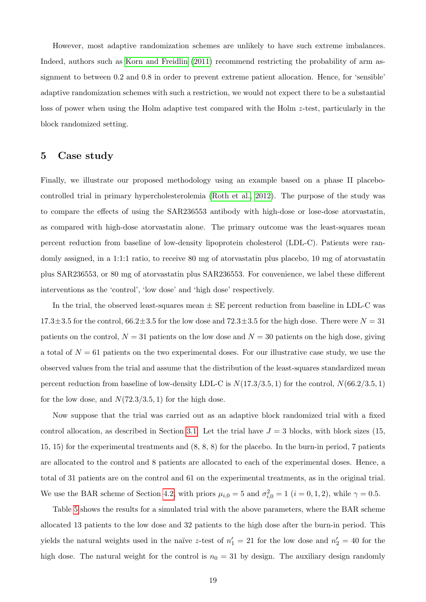However, most adaptive randomization schemes are unlikely to have such extreme imbalances. Indeed, authors such as [Korn and Freidlin](#page-22-2) [\(2011\)](#page-22-2) recommend restricting the probability of arm assignment to between 0.2 and 0.8 in order to prevent extreme patient allocation. Hence, for 'sensible' adaptive randomization schemes with such a restriction, we would not expect there to be a substantial loss of power when using the Holm adaptive test compared with the Holm z-test, particularly in the block randomized setting.

## <span id="page-18-0"></span>5 Case study

Finally, we illustrate our proposed methodology using an example based on a phase II placebocontrolled trial in primary hypercholesterolemia [\(Roth et al., 2012\)](#page-23-11). The purpose of the study was to compare the effects of using the SAR236553 antibody with high-dose or lose-dose atorvastatin, as compared with high-dose atorvastatin alone. The primary outcome was the least-squares mean percent reduction from baseline of low-density lipoprotein cholesterol (LDL-C). Patients were randomly assigned, in a 1:1:1 ratio, to receive 80 mg of atorvastatin plus placebo, 10 mg of atorvastatin plus SAR236553, or 80 mg of atorvastatin plus SAR236553. For convenience, we label these different interventions as the 'control', 'low dose' and 'high dose' respectively.

In the trial, the observed least-squares mean  $\pm$  SE percent reduction from baseline in LDL-C was  $17.3\pm3.5$  for the control,  $66.2\pm3.5$  for the low dose and  $72.3\pm3.5$  for the high dose. There were  $N = 31$ patients on the control,  $N = 31$  patients on the low dose and  $N = 30$  patients on the high dose, giving a total of  $N = 61$  patients on the two experimental doses. For our illustrative case study, we use the observed values from the trial and assume that the distribution of the least-squares standardized mean percent reduction from baseline of low-density LDL-C is  $N(17.3/3.5, 1)$  for the control,  $N(66.2/3.5, 1)$ for the low dose, and  $N(72.3/3.5, 1)$  for the high dose.

Now suppose that the trial was carried out as an adaptive block randomized trial with a fixed control allocation, as described in Section [3.1.](#page-7-1) Let the trial have  $J = 3$  blocks, with block sizes (15, 15, 15) for the experimental treatments and (8, 8, 8) for the placebo. In the burn-in period, 7 patients are allocated to the control and 8 patients are allocated to each of the experimental doses. Hence, a total of 31 patients are on the control and 61 on the experimental treatments, as in the original trial. We use the BAR scheme of Section [4.2,](#page-13-0) with priors  $\mu_{i,0} = 5$  and  $\sigma_{i,0}^2 = 1$   $(i = 0, 1, 2)$ , while  $\gamma = 0.5$ .

Table [5](#page-19-1) shows the results for a simulated trial with the above parameters, where the BAR scheme allocated 13 patients to the low dose and 32 patients to the high dose after the burn-in period. This yields the natural weights used in the naïve z-test of  $n'_1 = 21$  for the low dose and  $n'_2 = 40$  for the high dose. The natural weight for the control is  $n_0 = 31$  by design. The auxiliary design randomly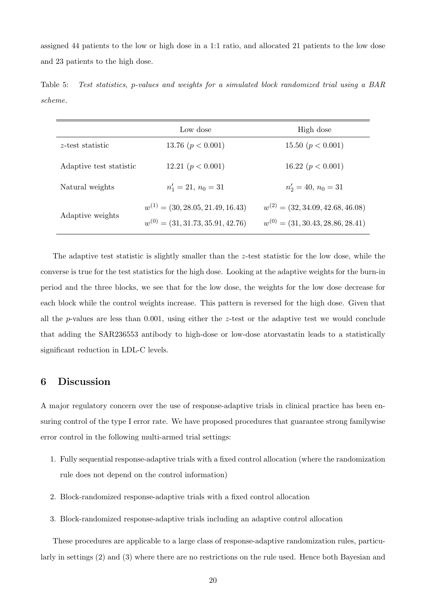assigned 44 patients to the low or high dose in a 1:1 ratio, and allocated 21 patients to the low dose and 23 patients to the high dose.

<span id="page-19-1"></span>Table 5: Test statistics, p-values and weights for a simulated block randomized trial using a BAR scheme.

|                         | Low dose                              | High dose                             |
|-------------------------|---------------------------------------|---------------------------------------|
| $z$ -test statistic     | 13.76 ( $p < 0.001$ )                 | 15.50 $(p < 0.001)$                   |
| Adaptive test statistic | 12.21 ( $p < 0.001$ )                 | 16.22 ( $p < 0.001$ )                 |
| Natural weights         | $n'_1 = 21, n_0 = 31$                 | $n'_2 = 40, n_0 = 31$                 |
| Adaptive weights        | $w^{(1)} = (30, 28.05, 21.49, 16.43)$ | $w^{(2)} = (32, 34.09, 42.68, 46.08)$ |
|                         | $w^{(0)} = (31, 31.73, 35.91, 42.76)$ | $w^{(0)} = (31, 30.43, 28.86, 28.41)$ |

The adaptive test statistic is slightly smaller than the z-test statistic for the low dose, while the converse is true for the test statistics for the high dose. Looking at the adaptive weights for the burn-in period and the three blocks, we see that for the low dose, the weights for the low dose decrease for each block while the control weights increase. This pattern is reversed for the high dose. Given that all the p-values are less than  $0.001$ , using either the z-test or the adaptive test we would conclude that adding the SAR236553 antibody to high-dose or low-dose atorvastatin leads to a statistically significant reduction in LDL-C levels.

## <span id="page-19-0"></span>6 Discussion

A major regulatory concern over the use of response-adaptive trials in clinical practice has been ensuring control of the type I error rate. We have proposed procedures that guarantee strong familywise error control in the following multi-armed trial settings:

- 1. Fully sequential response-adaptive trials with a fixed control allocation (where the randomization rule does not depend on the control information)
- 2. Block-randomized response-adaptive trials with a fixed control allocation
- 3. Block-randomized response-adaptive trials including an adaptive control allocation

These procedures are applicable to a large class of response-adaptive randomization rules, particularly in settings (2) and (3) where there are no restrictions on the rule used. Hence both Bayesian and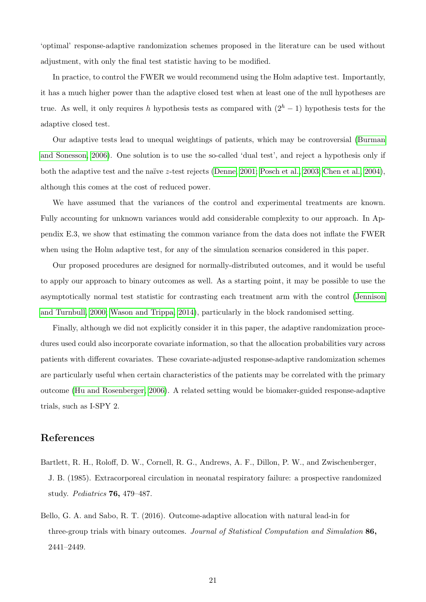'optimal' response-adaptive randomization schemes proposed in the literature can be used without adjustment, with only the final test statistic having to be modified.

In practice, to control the FWER we would recommend using the Holm adaptive test. Importantly, it has a much higher power than the adaptive closed test when at least one of the null hypotheses are true. As well, it only requires h hypothesis tests as compared with  $(2<sup>h</sup> - 1)$  hypothesis tests for the adaptive closed test.

Our adaptive tests lead to unequal weightings of patients, which may be controversial [\(Burman](#page-21-11) [and Sonesson, 2006\)](#page-21-11). One solution is to use the so-called 'dual test', and reject a hypothesis only if both the adaptive test and the naïve z-test rejects [\(Denne, 2001;](#page-21-12) [Posch et al., 2003;](#page-22-11) [Chen et al., 2004\)](#page-21-13), although this comes at the cost of reduced power.

We have assumed that the variances of the control and experimental treatments are known. Fully accounting for unknown variances would add considerable complexity to our approach. In Appendix E.3, we show that estimating the common variance from the data does not inflate the FWER when using the Holm adaptive test, for any of the simulation scenarios considered in this paper.

Our proposed procedures are designed for normally-distributed outcomes, and it would be useful to apply our approach to binary outcomes as well. As a starting point, it may be possible to use the asymptotically normal test statistic for contrasting each treatment arm with the control [\(Jennison](#page-22-12) [and Turnbull, 2000;](#page-22-12) [Wason and Trippa, 2014\)](#page-23-3), particularly in the block randomised setting.

Finally, although we did not explicitly consider it in this paper, the adaptive randomization procedures used could also incorporate covariate information, so that the allocation probabilities vary across patients with different covariates. These covariate-adjusted response-adaptive randomization schemes are particularly useful when certain characteristics of the patients may be correlated with the primary outcome [\(Hu and Rosenberger, 2006\)](#page-22-0). A related setting would be biomaker-guided response-adaptive trials, such as I-SPY 2.

# References

- <span id="page-20-1"></span>Bartlett, R. H., Roloff, D. W., Cornell, R. G., Andrews, A. F., Dillon, P. W., and Zwischenberger, J. B. (1985). Extracorporeal circulation in neonatal respiratory failure: a prospective randomized study. Pediatrics 76, 479–487.
- <span id="page-20-0"></span>Bello, G. A. and Sabo, R. T. (2016). Outcome-adaptive allocation with natural lead-in for three-group trials with binary outcomes. Journal of Statistical Computation and Simulation 86, 2441–2449.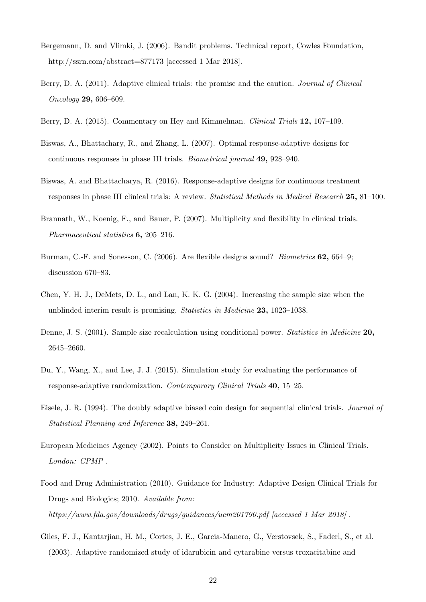- <span id="page-21-6"></span>Bergemann, D. and Vlimki, J. (2006). Bandit problems. Technical report, Cowles Foundation, http://ssrn.com/abstract=877173 [accessed 1 Mar 2018].
- <span id="page-21-3"></span>Berry, D. A. (2011). Adaptive clinical trials: the promise and the caution. *Journal of Clinical* Oncology 29, 606–609.
- <span id="page-21-5"></span>Berry, D. A. (2015). Commentary on Hey and Kimmelman. *Clinical Trials* 12, 107–109.
- <span id="page-21-1"></span>Biswas, A., Bhattachary, R., and Zhang, L. (2007). Optimal response-adaptive designs for continuous responses in phase III trials. Biometrical journal 49, 928–940.
- <span id="page-21-2"></span>Biswas, A. and Bhattacharya, R. (2016). Response-adaptive designs for continuous treatment responses in phase III clinical trials: A review. Statistical Methods in Medical Research 25, 81–100.
- <span id="page-21-10"></span>Brannath, W., Koenig, F., and Bauer, P. (2007). Multiplicity and flexibility in clinical trials. Pharmaceutical statistics 6, 205–216.
- <span id="page-21-11"></span>Burman, C.-F. and Sonesson, C. (2006). Are flexible designs sound? Biometrics 62, 664–9; discussion 670–83.
- <span id="page-21-13"></span>Chen, Y. H. J., DeMets, D. L., and Lan, K. K. G. (2004). Increasing the sample size when the unblinded interim result is promising. Statistics in Medicine 23, 1023–1038.
- <span id="page-21-12"></span>Denne, J. S. (2001). Sample size recalculation using conditional power. Statistics in Medicine 20, 2645–2660.
- <span id="page-21-4"></span>Du, Y., Wang, X., and Lee, J. J. (2015). Simulation study for evaluating the performance of response-adaptive randomization. Contemporary Clinical Trials 40, 15–25.
- <span id="page-21-0"></span>Eisele, J. R. (1994). The doubly adaptive biased coin design for sequential clinical trials. Journal of Statistical Planning and Inference 38, 249–261.
- <span id="page-21-9"></span>European Medicines Agency (2002). Points to Consider on Multiplicity Issues in Clinical Trials. London: CPMP .
- <span id="page-21-8"></span>Food and Drug Administration (2010). Guidance for Industry: Adaptive Design Clinical Trials for Drugs and Biologics; 2010. Available from: https://www.fda.gov/downloads/drugs/guidances/ucm201790.pdf [accessed 1 Mar 2018] .
- <span id="page-21-7"></span>Giles, F. J., Kantarjian, H. M., Cortes, J. E., Garcia-Manero, G., Verstovsek, S., Faderl, S., et al. (2003). Adaptive randomized study of idarubicin and cytarabine versus troxacitabine and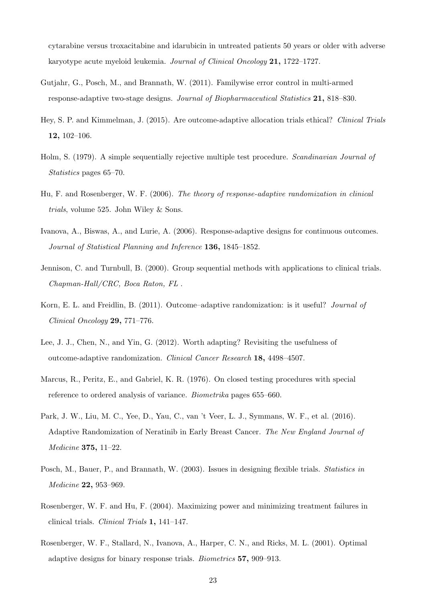cytarabine versus troxacitabine and idarubicin in untreated patients 50 years or older with adverse karyotype acute myeloid leukemia. Journal of Clinical Oncology 21, 1722–1727.

- <span id="page-22-8"></span>Gutjahr, G., Posch, M., and Brannath, W. (2011). Familywise error control in multi-armed response-adaptive two-stage designs. Journal of Biopharmaceutical Statistics 21, 818–830.
- <span id="page-22-6"></span>Hey, S. P. and Kimmelman, J. (2015). Are outcome-adaptive allocation trials ethical? Clinical Trials 12, 102–106.
- <span id="page-22-10"></span>Holm, S. (1979). A simple sequentially rejective multiple test procedure. Scandinavian Journal of Statistics pages 65–70.
- <span id="page-22-0"></span>Hu, F. and Rosenberger, W. F. (2006). The theory of response-adaptive randomization in clinical trials, volume 525. John Wiley & Sons.
- <span id="page-22-1"></span>Ivanova, A., Biswas, A., and Lurie, A. (2006). Response-adaptive designs for continuous outcomes. Journal of Statistical Planning and Inference 136, 1845–1852.
- <span id="page-22-12"></span>Jennison, C. and Turnbull, B. (2000). Group sequential methods with applications to clinical trials. Chapman-Hall/CRC, Boca Raton, FL .
- <span id="page-22-2"></span>Korn, E. L. and Freidlin, B. (2011). Outcome–adaptive randomization: is it useful? Journal of Clinical Oncology 29, 771–776.
- <span id="page-22-3"></span>Lee, J. J., Chen, N., and Yin, G. (2012). Worth adapting? Revisiting the usefulness of outcome-adaptive randomization. Clinical Cancer Research 18, 4498–4507.
- <span id="page-22-9"></span>Marcus, R., Peritz, E., and Gabriel, K. R. (1976). On closed testing procedures with special reference to ordered analysis of variance. Biometrika pages 655–660.
- <span id="page-22-7"></span>Park, J. W., Liu, M. C., Yee, D., Yau, C., van 't Veer, L. J., Symmans, W. F., et al. (2016). Adaptive Randomization of Neratinib in Early Breast Cancer. The New England Journal of Medicine 375, 11–22.
- <span id="page-22-11"></span>Posch, M., Bauer, P., and Brannath, W. (2003). Issues in designing flexible trials. Statistics in Medicine 22, 953–969.
- <span id="page-22-5"></span>Rosenberger, W. F. and Hu, F. (2004). Maximizing power and minimizing treatment failures in clinical trials. Clinical Trials 1, 141–147.
- <span id="page-22-4"></span>Rosenberger, W. F., Stallard, N., Ivanova, A., Harper, C. N., and Ricks, M. L. (2001). Optimal adaptive designs for binary response trials. Biometrics 57, 909–913.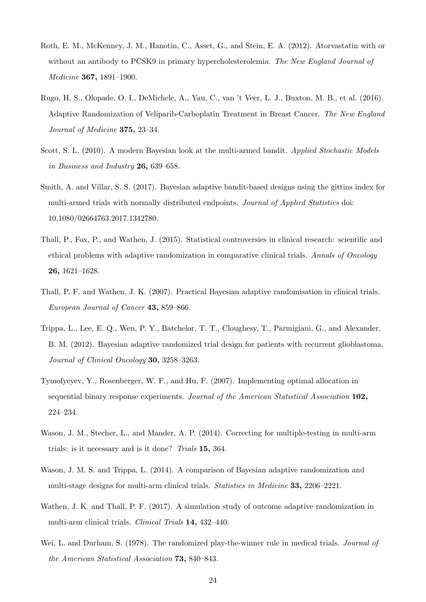- <span id="page-23-11"></span>Roth, E. M., McKenney, J. M., Hanotin, C., Asset, G., and Stein, E. A. (2012). Atorvastatin with or without an antibody to PCSK9 in primary hypercholesterolemia. The New England Journal of Medicine 367, 1891–1900.
- <span id="page-23-10"></span>Rugo, H. S., Olopade, O. I., DeMichele, A., Yau, C., van 't Veer, L. J., Buxton, M. B., et al. (2016). Adaptive Randomization of Veliparib-Carboplatin Treatment in Breast Cancer. The New England Journal of Medicine 375, 23–34.
- <span id="page-23-9"></span>Scott, S. L. (2010). A modern Bayesian look at the multi-armed bandit. Applied Stochastic Models in Business and Industry 26, 639–658.
- <span id="page-23-4"></span>Smith, A. and Villar, S. S. (2017). Bayesian adaptive bandit-based designs using the gittins index for multi-armed trials with normally distributed endpoints. Journal of Applied Statistics doi: 10.1080/02664763.2017.1342780.
- <span id="page-23-6"></span>Thall, P., Fox, P., and Wathen, J. (2015). Statistical controversies in clinical research: scientific and ethical problems with adaptive randomization in comparative clinical trials. Annals of Oncology 26, 1621–1628.
- <span id="page-23-1"></span>Thall, P. F. and Wathen, J. K. (2007). Practical Bayesian adaptive randomisation in clinical trials. European Journal of Cancer 43, 859–866.
- <span id="page-23-2"></span>Trippa, L., Lee, E. Q., Wen, P. Y., Batchelor, T. T., Cloughesy, T., Parmigiani, G., and Alexander, B. M. (2012). Bayesian adaptive randomized trial design for patients with recurrent glioblastoma. Journal of Clinical Oncology 30, 3258–3263.
- <span id="page-23-8"></span>Tymofyeyev, Y., Rosenberger, W. F., and Hu, F. (2007). Implementing optimal allocation in sequential binary response experiments. Journal of the American Statistical Association 102, 224–234.
- <span id="page-23-5"></span>Wason, J. M., Stecher, L., and Mander, A. P. (2014). Correcting for multiple-testing in multi-arm trials: is it necessary and is it done? Trials 15, 364.
- <span id="page-23-3"></span>Wason, J. M. S. and Trippa, L. (2014). A comparison of Bayesian adaptive randomization and multi-stage designs for multi-arm clinical trials. Statistics in Medicine 33, 2206–2221.
- <span id="page-23-7"></span>Wathen, J. K. and Thall, P. F. (2017). A simulation study of outcome adaptive randomization in multi-arm clinical trials. Clinical Trials 14, 432–440.
- <span id="page-23-0"></span>Wei, L. and Durham, S. (1978). The randomized play-the-winner rule in medical trials. *Journal of* the American Statistical Association 73, 840–843.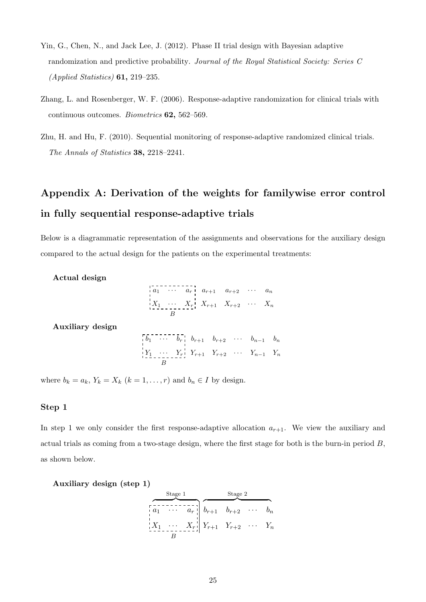- <span id="page-24-0"></span>Yin, G., Chen, N., and Jack Lee, J. (2012). Phase II trial design with Bayesian adaptive randomization and predictive probability. Journal of the Royal Statistical Society: Series C  $(Applied Statistics)$  **61**, 219–235.
- <span id="page-24-1"></span>Zhang, L. and Rosenberger, W. F. (2006). Response-adaptive randomization for clinical trials with continuous outcomes. Biometrics 62, 562–569.
- <span id="page-24-2"></span>Zhu, H. and Hu, F. (2010). Sequential monitoring of response-adaptive randomized clinical trials. The Annals of Statistics 38, 2218–2241.

# Appendix A: Derivation of the weights for familywise error control in fully sequential response-adaptive trials

Below is a diagrammatic representation of the assignments and observations for the auxiliary design compared to the actual design for the patients on the experimental treatments:

Actual design

a<sup>1</sup> · · · a<sup>r</sup> ar+1 ar+2 · · · a<sup>n</sup> X<sup>1</sup> · · · X<sup>r</sup> Xr+1 Xr+2 · · · X<sup>n</sup> B

Auxiliary design

$$
\begin{bmatrix}\n\overline{b_1} & \cdots & \overline{b_r} & b_{r+1} & b_{r+2} & \cdots & b_{n-1} & b_n \\
\vdots & \vdots & \ddots & \vdots & \vdots & \vdots \\
\overline{Y_1} & \cdots & \overline{Y_r} & Y_{r+1} & Y_{r+2} & \cdots & Y_{n-1} & Y_n \\
\hline\nB\n\end{bmatrix}
$$

where  $b_k = a_k$ ,  $Y_k = X_k$   $(k = 1, ..., r)$  and  $b_n \in I$  by design.

#### Step 1

In step 1 we only consider the first response-adaptive allocation  $a_{r+1}$ . We view the auxiliary and actual trials as coming from a two-stage design, where the first stage for both is the burn-in period  $B$ , as shown below.

Auxiliary design (step 1)

|                  | Stage 1 |                                                                         | Stage 2 |       |
|------------------|---------|-------------------------------------------------------------------------|---------|-------|
| $\frac{1}{2}a_1$ |         | $\begin{bmatrix} a_r \\ a_r \end{bmatrix}$ $b_{r+1}$ $b_{r+2}$ $\cdots$ |         |       |
| $X_1$            |         | $\cdots$ $X_r$ $\mid$ $Y_{r+1}$ $Y_{r+2}$ $\cdots$                      |         | $Y_n$ |
|                  |         |                                                                         |         |       |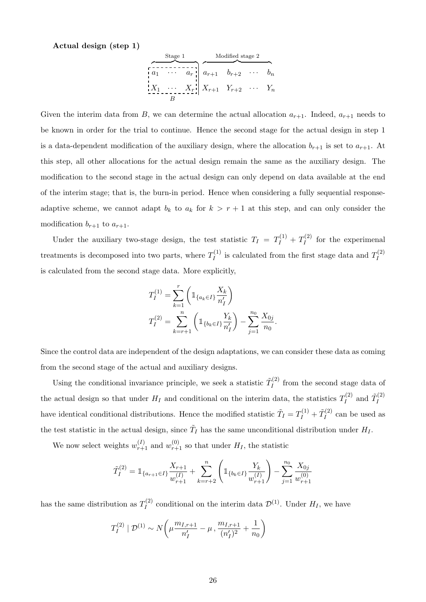Actual design (step 1)

| Stage 1 | Modified stage 2 |          |           |           |          |       |
|---------|------------------|----------|-----------|-----------|----------|-------|
| $a_1$   | $\cdots$         | $a_r$    | $a_{r+1}$ | $b_{r+2}$ | $\cdots$ | $b_n$ |
| $X_1$   | $\cdots$         | $X_r$    | $X_{r+1}$ | $Y_{r+2}$ | $\cdots$ | $Y_n$ |
| $B$     | $B$              | $\cdots$ | $Y_n$     |           |          |       |

Given the interim data from B, we can determine the actual allocation  $a_{r+1}$ . Indeed,  $a_{r+1}$  needs to be known in order for the trial to continue. Hence the second stage for the actual design in step 1 is a data-dependent modification of the auxiliary design, where the allocation  $b_{r+1}$  is set to  $a_{r+1}$ . At this step, all other allocations for the actual design remain the same as the auxiliary design. The modification to the second stage in the actual design can only depend on data available at the end of the interim stage; that is, the burn-in period. Hence when considering a fully sequential responseadaptive scheme, we cannot adapt  $b_k$  to  $a_k$  for  $k > r + 1$  at this step, and can only consider the modification  $b_{r+1}$  to  $a_{r+1}$ .

Under the auxiliary two-stage design, the test statistic  $T_I = T_I^{(1)} + T_I^{(2)}$  $I_I^{(2)}$  for the experimenal treatments is decomposed into two parts, where  $T_I^{(1)}$  $I_I^{(1)}$  is calculated from the first stage data and  $T_I^{(2)}$ I is calculated from the second stage data. More explicitly,

$$
T_I^{(1)} = \sum_{k=1}^r \left( \mathbb{1}_{\{a_k \in I\}} \frac{X_k}{n_I'} \right)
$$
  

$$
T_I^{(2)} = \sum_{k=r+1}^n \left( \mathbb{1}_{\{b_k \in I\}} \frac{Y_k}{n_I'} \right) - \sum_{j=1}^{n_0} \frac{X_{0j}}{n_0}
$$

.

Since the control data are independent of the design adaptations, we can consider these data as coming from the second stage of the actual and auxiliary designs.

Using the conditional invariance principle, we seek a statistic  $\tilde{T}^{(2)}_I$  $I_I^{(2)}$  from the second stage data of the actual design so that under  $H_I$  and conditional on the interim data, the statistics  $T_I^{(2)}$  $\tilde{T}^{(2)}_I$  and  $\tilde{T}^{(2)}_I$ I have identical conditional distributions. Hence the modified statistic  $\tilde{T}_I = T_I^{(1)} + \tilde{T}_I^{(2)}$  $I_I^{(2)}$  can be used as the test statistic in the actual design, since  $\tilde{T}_I$  has the same unconditional distribution under  $H_I$ .

We now select weights  $w_{r+1}^{(I)}$  and  $w_{r+1}^{(0)}$  so that under  $H_I$ , the statistic

$$
\tilde{T}_I^{(2)} = \mathbb{1}_{\{a_{r+1}\in I\}} \frac{X_{r+1}}{w_{r+1}^{(I)}} + \sum_{k=r+2}^n \left( \mathbb{1}_{\{b_k\in I\}} \frac{Y_k}{w_{r+1}^{(I)}} \right) - \sum_{j=1}^{n_0} \frac{X_{0j}}{w_{r+1}^{(0)}}
$$

has the same distribution as  $T_I^{(2)}$  $U_I^{(2)}$  conditional on the interim data  $\mathcal{D}^{(1)}$ . Under  $H_I$ , we have

$$
T_I^{(2)} | \mathcal{D}^{(1)} \sim N\left(\mu \frac{m_{I,r+1}}{n_I'} - \mu, \frac{m_{I,r+1}}{(n_I')^2} + \frac{1}{n_0}\right)
$$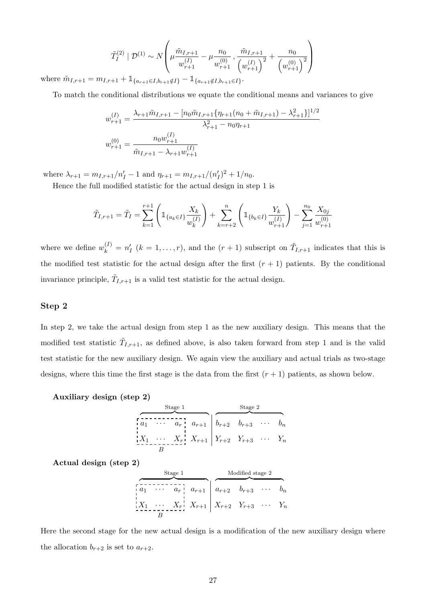$$
\tilde{T}_I^{(2)} | \mathcal{D}^{(1)} \sim N \left( \mu \frac{\tilde{m}_{I,r+1}}{w_{r+1}^{(I)}} - \mu \frac{n_0}{w_{r+1}^{(0)}}, \frac{\tilde{m}_{I,r+1}}{\left(w_{r+1}^{(I)}\right)^2} + \frac{n_0}{\left(w_{r+1}^{(0)}\right)^2} \right)
$$

where  $\tilde{m}_{I,r+1} = m_{I,r+1} + \mathbb{1}_{\{a_{r+1} \in I, b_{r+1} \notin I\}} - \mathbb{1}_{\{a_{r+1} \notin I, b_{r+1} \in I\}}.$ 

To match the conditional distributions we equate the conditional means and variances to give

$$
w_{r+1}^{(I)} = \frac{\lambda_{r+1}\tilde{m}_{I,r+1} - [n_0\tilde{m}_{I,r+1}\{\eta_{r+1}(n_0 + \tilde{m}_{I,r+1}) - \lambda_{r+1}^2\}]^{1/2}}{\lambda_{r+1}^2 - n_0\eta_{r+1}}
$$

$$
w_{r+1}^{(0)} = \frac{n_0w_{r+1}^{(I)}}{\tilde{m}_{I,r+1} - \lambda_{r+1}w_{r+1}^{(I)}}
$$

where  $\lambda_{r+1} = m_{I,r+1}/n'_I - 1$  and  $\eta_{r+1} = m_{I,r+1}/(n'_I)^2 + 1/n_0$ .

Hence the full modified statistic for the actual design in step 1 is

$$
\tilde{T}_{I,r+1} = \tilde{T}_I = \sum_{k=1}^{r+1} \left( \mathbb{1}_{\{a_k \in I\}} \frac{X_k}{w_k^{(I)}} \right) + \sum_{k=r+2}^{n} \left( \mathbb{1}_{\{b_k \in I\}} \frac{Y_k}{w_{r+1}^{(I)}} \right) - \sum_{j=1}^{n_0} \frac{X_{0j}}{w_{r+1}^{(0)}}
$$

where we define  $w_k^{(I)} = n'_I$   $(k = 1, ..., r)$ , and the  $(r + 1)$  subscript on  $\tilde{T}_{I,r+1}$  indicates that this is the modified test statistic for the actual design after the first  $(r + 1)$  patients. By the conditional invariance principle,  $\tilde{T}_{I,r+1}$  is a valid test statistic for the actual design.

#### Step 2

In step 2, we take the actual design from step 1 as the new auxiliary design. This means that the modified test statistic  $\tilde{T}_{I,r+1}$ , as defined above, is also taken forward from step 1 and is the valid test statistic for the new auxiliary design. We again view the auxiliary and actual trials as two-stage designs, where this time the first stage is the data from the first  $(r + 1)$  patients, as shown below.

Auxiliary design (step 2)

| Stage 1 | Stage 2 |       |           |           |           |     |       |
|---------|---------|-------|-----------|-----------|-----------|-----|-------|
| $a_1$   | ...     | $a_r$ | $a_{r+1}$ | $b_{r+2}$ | $b_{r+3}$ | ... | $b_n$ |
| $X_1$   | ...     | $X_r$ | $X_{r+1}$ | $Y_{r+2}$ | $Y_{r+3}$ | ... | $Y_n$ |

Actual design (step 2)

| Stage 1                                                                                                                                                                                                                                                                                                                                                                                                                                                                                                                                                                                                                                                                                                                                                                                                                              | Modified stage 2 |       |           |           |           |          |       |
|--------------------------------------------------------------------------------------------------------------------------------------------------------------------------------------------------------------------------------------------------------------------------------------------------------------------------------------------------------------------------------------------------------------------------------------------------------------------------------------------------------------------------------------------------------------------------------------------------------------------------------------------------------------------------------------------------------------------------------------------------------------------------------------------------------------------------------------|------------------|-------|-----------|-----------|-----------|----------|-------|
| $a_1$                                                                                                                                                                                                                                                                                                                                                                                                                                                                                                                                                                                                                                                                                                                                                                                                                                | $\cdots$         | $a_r$ | $a_{r+1}$ | $a_{r+2}$ | $b_{r+3}$ | $\cdots$ | $b_n$ |
| $\begin{array}{ccc c}\n & & & \\ \hline\n & & & \\ \hline\n & & & \\ \hline\n & & & \\ \hline\n & & & \\ \hline\n & & & \\ \hline\n & & & \\ \hline\n & & & \\ \hline\n & & & \\ \hline\n & & & \\ \hline\n & & & \\ \hline\n & & & \\ \hline\n & & & \\ \hline\n & & & \\ \hline\n & & & \\ \hline\n & & & \\ \hline\n & & & \\ \hline\n & & & \\ \hline\n & & & \\ \hline\n & & & \\ \hline\n & & & \\ \hline\n & & & \\ \hline\n & & & \\ \hline\n & & & \\ \hline\n & & & \\ \hline\n & & & \\ \hline\n & & & \\ \hline\n & & & \\ \hline\n & & & \\ \hline\n & & & \\ \hline\n & & & \\ \hline\n & & & \\ \hline\n & & & \\ \hline\n & & & \\ \hline\n & & & \\ \hline\n & & & \\ \hline\n & & & \\ \hline\n & & & \\ \hline\n & & & \\ \hline\n & & & \\ \hline\n & & & \\ \hline\n & & & \\ \hline\n & & & \\ \hline\n & & &$ |                  |       |           |           |           |          |       |

Here the second stage for the new actual design is a modification of the new auxiliary design where the allocation  $b_{r+2}$  is set to  $a_{r+2}$ .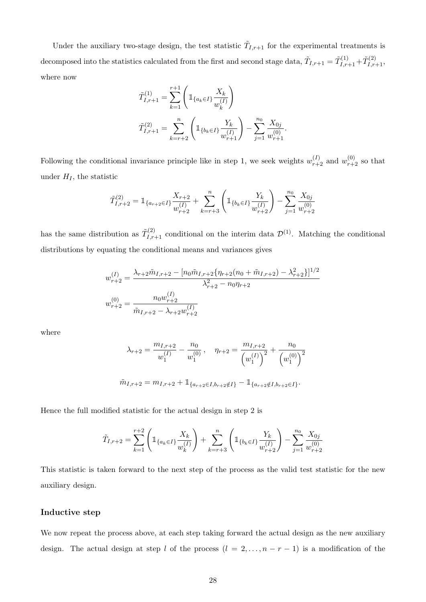Under the auxiliary two-stage design, the test statistic  $\tilde{T}_{I,r+1}$  for the experimental treatments is decomposed into the statistics calculated from the first and second stage data,  $\tilde{T}_{I,r+1} = \tilde{T}^{(1)}_{I,r+1} + \tilde{T}^{(2)}_{I,r+1}$ where now

$$
\tilde{T}_{I,r+1}^{(1)} = \sum_{k=1}^{r+1} \left( \mathbb{1}_{\{a_k \in I\}} \frac{X_k}{w_k^{(I)}} \right)
$$
\n
$$
\tilde{T}_{I,r+1}^{(2)} = \sum_{k=r+2}^{n} \left( \mathbb{1}_{\{b_k \in I\}} \frac{Y_k}{w_{r+1}^{(I)}} \right) - \sum_{j=1}^{n_0} \frac{X_{0j}}{w_{r+1}^{(0)}}.
$$

Following the conditional invariance principle like in step 1, we seek weights  $w_{r+2}^{(I)}$  and  $w_{r+2}^{(0)}$  so that under  $H_I$ , the statistic

$$
\tilde{T}_{I,r+2}^{(2)} = \mathbb{1}_{\{a_{r+2} \in I\}} \frac{X_{r+2}}{w_{r+2}^{(I)}} + \sum_{k=r+3}^{n} \left( \mathbb{1}_{\{b_k \in I\}} \frac{Y_k}{w_{r+2}^{(I)}} \right) - \sum_{j=1}^{n_0} \frac{X_{0j}}{w_{r+2}^{(0)}}
$$

has the same distribution as  $\tilde{T}^{(2)}_{I,r+1}$  conditional on the interim data  $\mathcal{D}^{(1)}$ . Matching the conditional distributions by equating the conditional means and variances gives

$$
w_{r+2}^{(I)} = \frac{\lambda_{r+2}\tilde{m}_{I,r+2} - [n_0\tilde{m}_{I,r+2}\{\eta_{r+2}(n_0 + \tilde{m}_{I,r+2}) - \lambda_{r+2}^2\}]^{1/2}}{\lambda_{r+2}^2 - n_0\eta_{r+2}}
$$
  

$$
w_{r+2}^{(0)} = \frac{n_0w_{r+2}^{(I)}}{\tilde{m}_{I,r+2} - \lambda_{r+2}w_{r+2}^{(I)}}
$$

where

$$
\lambda_{r+2} = \frac{m_{I,r+2}}{w_1^{(I)}} - \frac{n_0}{w_1^{(0)}}, \quad \eta_{r+2} = \frac{m_{I,r+2}}{\left(w_1^{(I)}\right)^2} + \frac{n_0}{\left(w_1^{(0)}\right)^2}
$$

$$
\tilde{m}_{I,r+2} = m_{I,r+2} + \mathbb{1}_{\{a_{r+2} \in I, b_{r+2} \notin I\}} - \mathbb{1}_{\{a_{r+2} \notin I, b_{r+2} \in I\}}.
$$

Hence the full modified statistic for the actual design in step 2 is

$$
\tilde{T}_{I,r+2} = \sum_{k=1}^{r+2} \left( \mathbb{1}_{\{a_k \in I\}} \frac{X_k}{w_k^{(I)}} \right) + \sum_{k=r+3}^{n} \left( \mathbb{1}_{\{b_k \in I\}} \frac{Y_k}{w_{r+2}^{(I)}} \right) - \sum_{j=1}^{n_0} \frac{X_{0j}}{w_{r+2}^{(0)}}
$$

This statistic is taken forward to the next step of the process as the valid test statistic for the new auxiliary design.

#### Inductive step

We now repeat the process above, at each step taking forward the actual design as the new auxiliary design. The actual design at step l of the process  $(l = 2, ..., n - r - 1)$  is a modification of the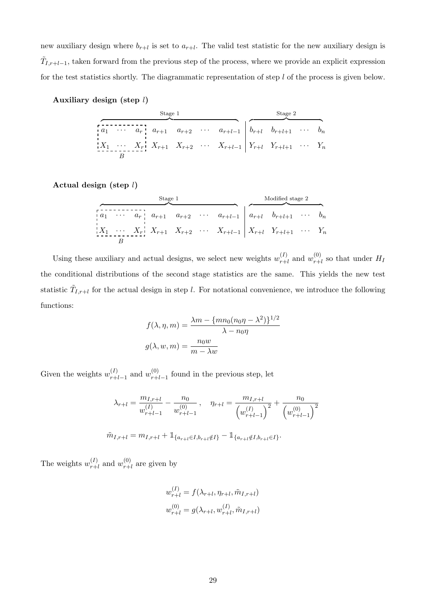new auxiliary design where  $b_{r+l}$  is set to  $a_{r+l}$ . The valid test statistic for the new auxiliary design is  $\tilde{T}_{I,r+l-1}$ , taken forward from the previous step of the process, where we provide an explicit expression for the test statistics shortly. The diagrammatic representation of step  $l$  of the process is given below.

| Auxiliary design (step $l$ ) |  |  |  |
|------------------------------|--|--|--|
|------------------------------|--|--|--|

|  | Stage 1 |  |                                                                                                                                                                                                                                                                                                                               | Stage 2 |  |
|--|---------|--|-------------------------------------------------------------------------------------------------------------------------------------------------------------------------------------------------------------------------------------------------------------------------------------------------------------------------------|---------|--|
|  |         |  | $\begin{bmatrix} 1 & 0 & 0 & 0 \\ 0 & 1 & 0 & 0 \\ 0 & 0 & 0 & 0 \\ 0 & 0 & 0 & 0 \\ 0 & 0 & 0 & 0 \\ 0 & 0 & 0 & 0 \\ 0 & 0 & 0 & 0 \\ 0 & 0 & 0 & 0 \\ 0 & 0 & 0 & 0 \\ 0 & 0 & 0 & 0 \\ 0 & 0 & 0 & 0 & 0 \\ 0 & 0 & 0 & 0 & 0 \\ 0 & 0 & 0 & 0 & 0 \\ 0 & 0 & 0 & 0 & 0 & 0 \\ 0 & 0 & 0 & 0 & 0 & 0 \\ 0 & 0 & 0 & 0 & $ |         |  |
|  |         |  | $X_1 \cdots X_r$ $X_{r+1}$ $X_{r+2}$ $\cdots X_{r+l-1}$ $Y_{r+l}$ $Y_{r+l+1}$ $\cdots Y_n$                                                                                                                                                                                                                                    |         |  |
|  |         |  |                                                                                                                                                                                                                                                                                                                               |         |  |

Actual design (step l)

| Stage 1 |  |  |  |  |                                                                                                                                                  |  | Modified stage 2 |  |  |  |
|---------|--|--|--|--|--------------------------------------------------------------------------------------------------------------------------------------------------|--|------------------|--|--|--|
|         |  |  |  |  | $\begin{array}{ccccccccccccc}\n a_1 & \cdots & a_{r} & a_{r+1} & a_{r+2} & \cdots & a_{r+l-1} & a_{r+l} & b_{r+l+1} & \cdots & b_n\n\end{array}$ |  |                  |  |  |  |
|         |  |  |  |  | $X_1 \cdots X_r$ $X_{r+1} X_{r+2} \cdots X_{r+l-1} X_{r+l} Y_{r+l+1} \cdots Y_n$                                                                 |  |                  |  |  |  |
|         |  |  |  |  |                                                                                                                                                  |  |                  |  |  |  |

Using these auxiliary and actual designs, we select new weights  $w_{r+1}^{(I)}$  $v_{r+l}^{(I)}$  and  $w_{r+1}^{(0)}$  $r_{r+l}^{(0)}$  so that under  $H_I$ the conditional distributions of the second stage statistics are the same. This yields the new test statistic  $\tilde{T}_{I,r+l}$  for the actual design in step l. For notational convenience, we introduce the following functions:

$$
f(\lambda, \eta, m) = \frac{\lambda m - \{mn_0(n_0\eta - \lambda^2)\}^{1/2}}{\lambda - n_0\eta}
$$

$$
g(\lambda, w, m) = \frac{n_0w}{m - \lambda w}
$$

Given the weights  $w_{r+1}^{(I)}$  $_{r+l-1}^{(I)}$  and  $w_{r+1}^{(0)}$  $r_{r+l-1}^{(0)}$  found in the previous step, let

$$
\lambda_{r+l} = \frac{m_{I,r+l}}{w_{r+l-1}^{(I)}} - \frac{n_0}{w_{r+l-1}^{(0)}}, \quad \eta_{r+l} = \frac{m_{I,r+l}}{\left(w_{r+l-1}^{(I)}\right)^2} + \frac{n_0}{\left(w_{r+l-1}^{(0)}\right)^2}
$$

$$
\tilde{m}_{I,r+l} = m_{I,r+l} + \mathbb{1}_{\{a_{r+l} \in I, b_{r+l} \notin I\}} - \mathbb{1}_{\{a_{r+l} \notin I, b_{r+l} \in I\}}.
$$

The weights  $w_{r+1}^{(I)}$  $_{r+l}^{(I)}$  and  $w_{r+}^{(0)}$  $r+l$  are given by

$$
w_{r+l}^{(I)} = f(\lambda_{r+l}, \eta_{r+l}, \tilde{m}_{I,r+l})
$$
  

$$
w_{r+l}^{(0)} = g(\lambda_{r+l}, w_{r+l}^{(I)}, \tilde{m}_{I,r+l})
$$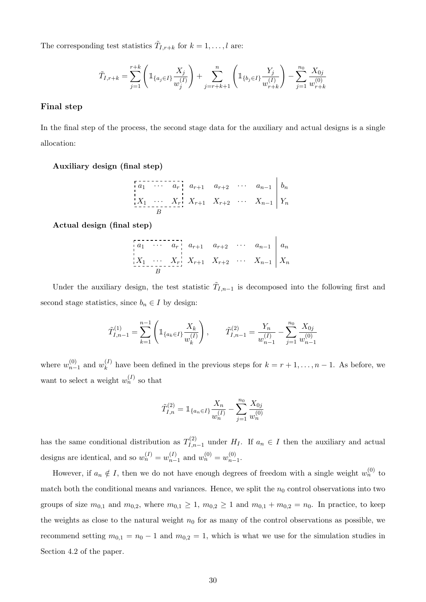The corresponding test statistics  $\tilde{T}_{I,r+k}$  for  $k = 1, \ldots, l$  are:

$$
\tilde{T}_{I,r+k} = \sum_{j=1}^{r+k} \left( \mathbb{1}_{\{a_j \in I\}} \frac{X_j}{w_j^{(I)}} \right) + \sum_{j=r+k+1}^{n} \left( \mathbb{1}_{\{b_j \in I\}} \frac{Y_j}{w_{r+k}^{(I)}} \right) - \sum_{j=1}^{n_0} \frac{X_{0j}}{w_{r+k}^{(0)}}
$$

#### Final step

In the final step of the process, the second stage data for the auxiliary and actual designs is a single allocation:

Auxiliary design (final step)

a<sup>1</sup> · · · a<sup>r</sup> ar+1 ar+2 · · · an−<sup>1</sup> b<sup>n</sup> X<sup>1</sup> · · · X<sup>r</sup> Xr+1 Xr+2 · · · Xn−<sup>1</sup> Y<sup>n</sup> B

Actual design (final step)

a<sup>1</sup> · · · a<sup>r</sup> ar+1 ar+2 · · · an−<sup>1</sup> a<sup>n</sup> X<sup>1</sup> · · · X<sup>r</sup> Xr+1 Xr+2 · · · Xn−<sup>1</sup> X<sup>n</sup> B

Under the auxiliary design, the test statistic  $\tilde{T}_{I,n-1}$  is decomposed into the following first and second stage statistics, since  $b_n \in I$  by design:

$$
\tilde{T}_{I,n-1}^{(1)} = \sum_{k=1}^{n-1} \left( \mathbb{1}_{\{a_k \in I\}} \frac{X_k}{w_k^{(I)}} \right), \qquad \tilde{T}_{I,n-1}^{(2)} = \frac{Y_n}{w_{n-1}^{(I)}} - \sum_{j=1}^{n_0} \frac{X_{0j}}{w_{n-1}^{(0)}}
$$

where  $w_{n-}^{(0)}$  $_{n-1}^{(0)}$  and  $w_k^{(I)}$  $\binom{n}{k}$  have been defined in the previous steps for  $k = r + 1, \ldots, n - 1$ . As before, we want to select a weight  $w_n^{(I)}$  so that

$$
\tilde{T}_{I,n}^{(2)} = \mathbb{1}_{\{a_n \in I\}} \frac{X_n}{w_n^{(I)}} - \sum_{j=1}^{n_0} \frac{X_{0j}}{w_n^{(0)}}
$$

has the same conditional distribution as  $T^{(2)}_{l,n}$  $I_{I,n-1}^{(2)}$  under  $H_I$ . If  $a_n \in I$  then the auxiliary and actual designs are identical, and so  $w_n^{(I)} = w_{n-1}^{(I)}$  $y_{n-1}^{(I)}$  and  $w_n^{(0)} = w_{n-1}^{(0)}$  $\binom{(0)}{n-1}$ .

However, if  $a_n \notin I$ , then we do not have enough degrees of freedom with a single weight  $w_n^{(0)}$  to match both the conditional means and variances. Hence, we split the  $n_0$  control observations into two groups of size  $m_{0,1}$  and  $m_{0,2}$ , where  $m_{0,1} \geq 1$ ,  $m_{0,2} \geq 1$  and  $m_{0,1} + m_{0,2} = n_0$ . In practice, to keep the weights as close to the natural weight  $n_0$  for as many of the control observations as possible, we recommend setting  $m_{0,1} = n_0 - 1$  and  $m_{0,2} = 1$ , which is what we use for the simulation studies in Section 4.2 of the paper.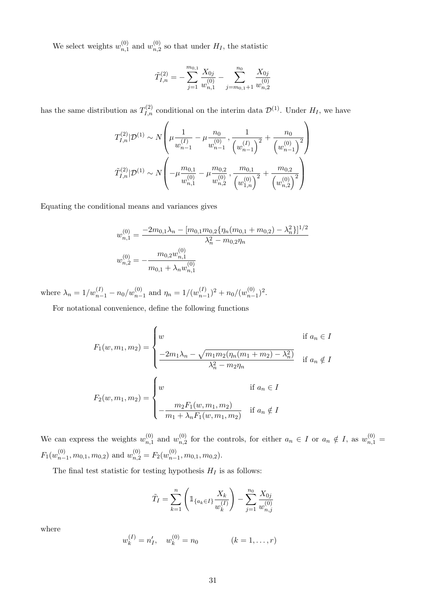We select weights  $w_{n,1}^{(0)}$  $\binom{0}{n,1}$  and  $w_{n,2}^{(0)}$  $n,2$  so that under  $H_I$ , the statistic

$$
\tilde{T}_{I,n}^{(2)} = -\sum_{j=1}^{m_{0,1}} \frac{X_{0j}}{w_{n,1}^{(0)}} - \sum_{j=m_{0,1}+1}^{n_0} \frac{X_{0j}}{w_{n,2}^{(0)}}
$$

has the same distribution as  $T_{I,n}^{(2)}$  conditional on the interim data  $\mathcal{D}^{(1)}$ . Under  $H_I$ , we have

$$
T_{I,n}^{(2)}|\mathcal{D}^{(1)} \sim N\left(\mu \frac{1}{w_{n-1}^{(I)}} - \mu \frac{n_0}{w_{n-1}^{(0)}}, \frac{1}{\left(w_{n-1}^{(I)}\right)^2} + \frac{n_0}{\left(w_{n-1}^{(0)}\right)^2}\right)
$$

$$
\tilde{T}_{I,n}^{(2)}|\mathcal{D}^{(1)} \sim N\left(-\mu \frac{m_{0,1}}{w_{n,1}^{(0)}} - \mu \frac{m_{0,2}}{w_{n,2}^{(0)}}, \frac{m_{0,1}}{\left(w_{1,n}^{(0)}\right)^2} + \frac{m_{0,2}}{\left(w_{n,2}^{(0)}\right)^2}\right)
$$

Equating the conditional means and variances gives

$$
w_{n,1}^{(0)} = \frac{-2m_{0,1}\lambda_n - [m_{0,1}m_{0,2}\{\eta_n(m_{0,1} + m_{0,2}) - \lambda_n^2\}]^{1/2}}{\lambda_n^2 - m_{0,2}\eta_n}
$$
  

$$
w_{n,2}^{(0)} = -\frac{m_{0,2}w_{n,1}^{(0)}}{m_{0,1} + \lambda_n w_{n,1}^{(0)}}
$$

where  $\lambda_n = 1/w_{n-1}^{(I)} - n_0/w_{n-1}^{(0)}$  and  $\eta_n = 1/(w_{n-1}^{(I)})$  $(n-1)(n-1)^2 + n_0/(w_{n-1}^{(0)})$  $\binom{(0)}{n-1}^2$ .

For notational convenience, define the following functions

$$
F_1(w, m_1, m_2) = \begin{cases} w & \text{if } a_n \in I \\ \frac{-2m_1\lambda_n - \sqrt{m_1m_2(\eta_n(m_1 + m_2) - \lambda_n^2)}}{\lambda_n^2 - m_2\eta_n} & \text{if } a_n \notin I \end{cases}
$$

$$
F_2(w, m_1, m_2) = \begin{cases} w & \text{if } a_n \in I \\ -\frac{m_2F_1(w, m_1, m_2)}{m_1 + \lambda_nF_1(w, m_1, m_2)} & \text{if } a_n \notin I \end{cases}
$$

We can express the weights  $w_{n-1}^{(0)}$  $\binom{0}{n,1}$  and  $w_{n,2}^{(0)}$  $\binom{0}{n,2}$  for the controls, for either  $a_n \in I$  or  $a_n \notin I$ , as  $w_{n,1}^{(0)} =$  $F_1(w_{n-}^{(0)}$  $\binom{0}{n-1}, m_{0,1}, m_{0,2}$  and  $w_{n,2}^{(0)} = F_2(w_{n-1}^{(0)})$  $_{n-1}^{(0)}, m_{0,1}, m_{0,2}).$ 

The final test statistic for testing hypothesis  $H_I$  is as follows:

$$
\tilde{T}_I = \sum_{k=1}^n \left( \mathbb{1}_{\{a_k \in I\}} \frac{X_k}{w_k^{(I)}} \right) - \sum_{j=1}^{n_0} \frac{X_{0j}}{w_{n,j}^{(0)}}
$$

where

$$
w_k^{(I)} = n'_I, \quad w_k^{(0)} = n_0 \qquad (k = 1, \dots, r)
$$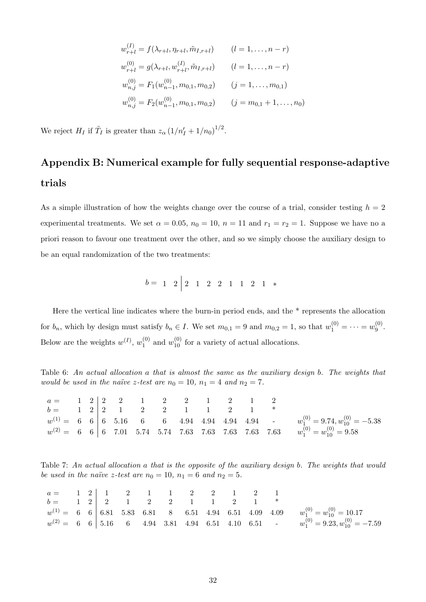$$
w_{r+l}^{(I)} = f(\lambda_{r+l}, \eta_{r+l}, \tilde{m}_{I,r+l}) \qquad (l = 1, \dots, n-r)
$$
  
\n
$$
w_{r+l}^{(0)} = g(\lambda_{r+l}, w_{r+l}^{(I)}, \tilde{m}_{I,r+l}) \qquad (l = 1, \dots, n-r)
$$
  
\n
$$
w_{n,j}^{(0)} = F_1(w_{n-1}^{(0)}, m_{0,1}, m_{0,2}) \qquad (j = 1, \dots, m_{0,1})
$$
  
\n
$$
w_{n,j}^{(0)} = F_2(w_{n-1}^{(0)}, m_{0,1}, m_{0,2}) \qquad (j = m_{0,1} + 1, \dots, n_0)
$$

We reject  $H_I$  if  $\tilde{T}_I$  is greater than  $z_\alpha \left(1/n'_I + 1/n_0\right)^{1/2}$ .

# Appendix B: Numerical example for fully sequential response-adaptive trials

As a simple illustration of how the weights change over the course of a trial, consider testing  $h = 2$ experimental treatments. We set  $\alpha = 0.05$ ,  $n_0 = 10$ ,  $n = 11$  and  $r_1 = r_2 = 1$ . Suppose we have no a priori reason to favour one treatment over the other, and so we simply choose the auxiliary design to be an equal randomization of the two treatments:

$$
b = 1 \quad 2 \begin{array}{|ccc|} 2 & 1 & 2 & 2 & 1 & 1 & 2 & 1 & * \end{array}
$$

Here the vertical line indicates where the burn-in period ends, and the \* represents the allocation for  $b_n$ , which by design must satisfy  $b_n \in I$ . We set  $m_{0,1} = 9$  and  $m_{0,2} = 1$ , so that  $w_1^{(0)} = \cdots = w_9^{(0)}$  $9^{(0)}$ . Below are the weights  $w^{(I)}$ ,  $w_1^{(0)}$  $_1^{(0)}$  and  $w_{10}^{(0)}$  for a variety of actual allocations.

Table 6: An actual allocation a that is almost the same as the auxiliary design b. The weights that would be used in the naïve z-test are  $n_0 = 10$ ,  $n_1 = 4$  and  $n_2 = 7$ .

| $a = \begin{pmatrix} 1 & 2 & 2 & 2 & 1 & 2 & 2 & 1 & 2 & 1 & 2 \end{pmatrix}$ |  |  |  |  |  |                                                                                  |
|-------------------------------------------------------------------------------|--|--|--|--|--|----------------------------------------------------------------------------------|
| $b =$ 1 2   2 1 2 2 1 1 2 1 *                                                 |  |  |  |  |  |                                                                                  |
|                                                                               |  |  |  |  |  |                                                                                  |
|                                                                               |  |  |  |  |  | $w^{(2)} = 666667015.745.747.637.637.637.637.63 w_1^{(0)} = w_{10}^{(0)} = 9.58$ |

Table 7: An actual allocation a that is the opposite of the auxiliary design b. The weights that would be used in the naïve z-test are  $n_0 = 10$ ,  $n_1 = 6$  and  $n_2 = 5$ .

| $a = \begin{pmatrix} 1 & 2 & 1 & 2 & 1 & 1 & 2 & 2 & 1 & 2 & 1 \end{pmatrix}$ |  |  |  |  |  |                                                                                                   |
|-------------------------------------------------------------------------------|--|--|--|--|--|---------------------------------------------------------------------------------------------------|
| $b =$ 1 2   2   1   2   2   1   1   2   1   *                                 |  |  |  |  |  |                                                                                                   |
|                                                                               |  |  |  |  |  | $w^{(1)} = 666   6.815.836.8186.81$ 8 6.51 4.94 6.51 4.09 4.09 $w_1^{(0)} = w_{10}^{(0)} = 10.17$ |
|                                                                               |  |  |  |  |  | $w^{(2)} = 666$   5.16 6 4.94 3.81 4.94 6.51 4.10 6.51 - $w_1^{(0)} = 9.23, w_{10}^{(0)} = -7.59$ |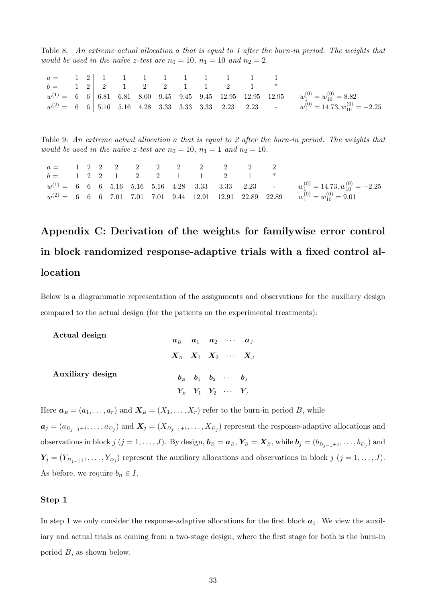Table 8: An extreme actual allocation a that is equal to 1 after the burn-in period. The weights that would be used in the naïve z-test are  $n_0 = 10$ ,  $n_1 = 10$  and  $n_2 = 2$ .

| $a = \begin{pmatrix} 1 & 2 & 1 & 1 & 1 & 1 & 1 & 1 & 1 & 1 & 1 & 1 \end{pmatrix}$ |  |  |  |  |  |                                                                                                                              |
|-----------------------------------------------------------------------------------|--|--|--|--|--|------------------------------------------------------------------------------------------------------------------------------|
| $b = \begin{array}{cccccc} 1 & 2 & 2 & 1 & 2 & 2 & 1 & 1 & 2 & 1 \end{array}$     |  |  |  |  |  |                                                                                                                              |
|                                                                                   |  |  |  |  |  | $w^{(1)} = 666   6.816681   8.0099.4599.4599.4512.9512.9512.95$<br>$w_1^{(0)} = w_{10}^{(0)} = 8.82$                         |
|                                                                                   |  |  |  |  |  | $w^{(2)}=~~6~~6 \biggm \, 5.16~~5.16~~5.16~~4.28~~3.33~~3.33~~3.33~~2.23~~2.23~~\cdots~~w^{(0)}_1=14.73, w^{(0)}_{10}=-2.25$ |

Table 9: An extreme actual allocation a that is equal to 2 after the burn-in period. The weights that would be used in the naïve z-test are  $n_0 = 10$ ,  $n_1 = 1$  and  $n_2 = 10$ .

| $a =$ | 1 | 2 | 2 | 2 | 2 | 2 | 2 | 2 | 2 | 2 | 2 | 2 | 2 | 2 | 2 | 2 | 2 | 2 | 2 | 2 | 2 | 2 | 2 | 2 | 2 | 2 | 2 | 2 | 2 | 2 | 2 | 2 | 2 | 2 | 2 | 2 | 2 | 2 | 2 | 2 | 2 | 2 | 2 | 2 | 2 | 2 | 2 | 2 | 2 | 2 | 2 | 2 | 2 | 2 | 2 | 2 | 2 | 2 | 2 | 2 | 2 | 2 | 2 | 2 | 2 | 2 | 2 | 2 | 2 | 2 | 2 | 3 | 3 | 3 | 3 | 3 | 3 | 3 | 3 | 3 | 3 | 3 | 3 | 3 | 3 | 3 | 3 | 3 | 3 | 3 | 3 | 3 | 3 | 3 | 3 | 3 | 3 | 3 | 3 | 3 | 3 | 3 | 3 | 3 | 3 | 3 | 3 |
|-------|---|---|---|---|---|---|---|---|---|---|---|---|---|---|---|---|---|---|---|---|---|---|---|---|---|---|---|---|---|---|---|---|---|---|---|---|---|---|---|---|---|---|---|---|---|---|---|---|---|---|---|---|---|---|---|---|---|---|---|---|---|---|---|---|---|---|---|---|---|---|---|---|---|---|---|---|---|---|---|---|---|---|---|---|---|---|---|---|---|---|---|---|---|---|---|---|---|---|---|---|---|---|---|---|---|---|---|
|-------|---|---|---|---|---|---|---|---|---|---|---|---|---|---|---|---|---|---|---|---|---|---|---|---|---|---|---|---|---|---|---|---|---|---|---|---|---|---|---|---|---|---|---|---|---|---|---|---|---|---|---|---|---|---|---|---|---|---|---|---|---|---|---|---|---|---|---|---|---|---|---|---|---|---|---|---|---|---|---|---|---|---|---|---|---|---|---|---|---|---|---|---|---|---|---|---|---|---|---|---|---|---|---|---|---|---|---|

# Appendix C: Derivation of the weights for familywise error control in block randomized response-adaptive trials with a fixed control allocation

Below is a diagrammatic representation of the assignments and observations for the auxiliary design compared to the actual design (for the patients on the experimental treatments):

| Actual design    |                                                                            |                                                                              |  | $a_{B}$ $a_{1}$ $a_{2}$ $\cdots$ $a_{J}$ |
|------------------|----------------------------------------------------------------------------|------------------------------------------------------------------------------|--|------------------------------------------|
|                  | $X_{\scriptscriptstyle B}$ $X_1$ $X_2$ $\cdots$ $X_{\scriptscriptstyle J}$ |                                                                              |  |                                          |
| Auxiliary design |                                                                            | $\mathbf{b}_B$ $\mathbf{b}_1$ $\mathbf{b}_2$ $\cdots$ $\mathbf{b}_L$         |  |                                          |
|                  |                                                                            | $Y_{\scriptscriptstyle{B}}$ $Y_1$ $Y_2$ $\cdots$ $Y_{\scriptscriptstyle{J}}$ |  |                                          |

Here  $a_B = (a_1, \ldots, a_r)$  and  $X_B = (X_1, \ldots, X_r)$  refer to the burn-in period B, while

 $a_j = (a_{D_{j-1}+1}, \ldots, a_{D_j})$  and  $X_j = (X_{D_{j-1}+1}, \ldots, X_{D_j})$  represent the response-adaptive allocations and observations in block  $j$   $(j = 1, \ldots, J)$ . By design,  $\bm{b}_B = \bm{a}_B$ ,  $\bm{Y}_B = \bm{X}_B$ , while  $\bm{b}_j = (b_{D_{j-1}+1}, \ldots, b_{D_j})$  and  $\mathbf{Y}_j = (Y_{D_{j-1}+1}, \ldots, Y_{D_j})$  represent the auxiliary allocations and observations in block  $j$   $(j = 1, \ldots, J)$ . As before, we require  $b_n \in I$ .

#### Step 1

In step 1 we only consider the response-adaptive allocations for the first block  $a_1$ . We view the auxiliary and actual trials as coming from a two-stage design, where the first stage for both is the burn-in period B, as shown below.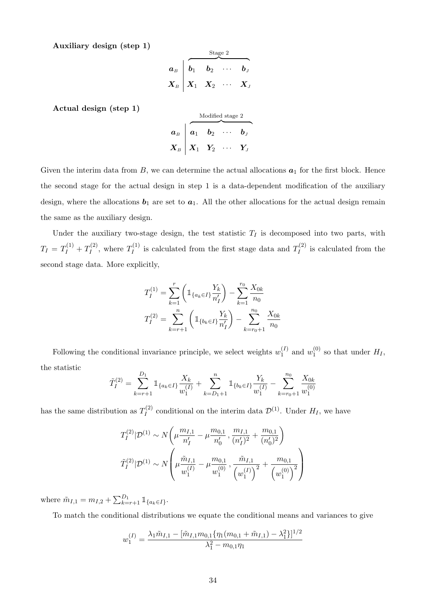Auxiliary design (step 1)

$$
\begin{array}{c|cccc}\n & & \text{Stage 2} \\
a_{B} & b_{1} & b_{2} & \cdots & b_{J} \\
X_{B} & X_{1} & X_{2} & \cdots & X_{J}\n\end{array}
$$

Actual design (step 1)

$$
\boldsymbol{a}_{B} \begin{array}{|l|} \hline \text{Modified stage 2} \\ \hline \textbf{a}_{1} \textbf{b}_{2} \text{ } \cdots \textbf{b}_{J} \\ \hline \textbf{X}_{B} \textbf{X}_{1} \textbf{Y}_{2} \text{ } \cdots \textbf{Y}_{J} \end{array}
$$

Given the interim data from  $B$ , we can determine the actual allocations  $a_1$  for the first block. Hence the second stage for the actual design in step 1 is a data-dependent modification of the auxiliary design, where the allocations  $b_1$  are set to  $a_1$ . All the other allocations for the actual design remain the same as the auxiliary design.

Under the auxiliary two-stage design, the test statistic  $T_I$  is decomposed into two parts, with  $T_I = T_I^{(1)} + T_I^{(2)}$  $T_I^{(2)}$ , where  $T_I^{(1)}$  $I_I^{(1)}$  is calculated from the first stage data and  $T_I^{(2)}$  $I_I^{(2)}$  is calculated from the second stage data. More explicitly,

$$
T_I^{(1)} = \sum_{k=1}^r \left( \mathbb{1}_{\{a_k \in I\}} \frac{Y_k}{n_I'} \right) - \sum_{k=1}^{r_0} \frac{X_{0k}}{n_0}
$$

$$
T_I^{(2)} = \sum_{k=r+1}^n \left( \mathbb{1}_{\{b_k \in I\}} \frac{Y_k}{n_I'} \right) - \sum_{k=r_0+1}^{n_0} \frac{X_{0k}}{n_0}
$$

Following the conditional invariance principle, we select weights  $w_1^{(I)}$  $y_1^{(I)}$  and  $w_1^{(0)}$  $I_1^{(0)}$  so that under  $H_I$ , the statistic

$$
\widetilde{T}_I^{(2)} = \sum_{k=r+1}^{D_1} \mathbb{1}_{\{a_k \in I\}} \frac{X_k}{w_1^{(I)}} + \sum_{k=D_1+1}^n \mathbb{1}_{\{b_k \in I\}} \frac{Y_k}{w_1^{(I)}} - \sum_{k=r_0+1}^{n_0} \frac{X_{0k}}{w_1^{(0)}}
$$

has the same distribution as  $T_I^{(2)}$  $U_I^{(2)}$  conditional on the interim data  $\mathcal{D}^{(1)}$ . Under  $H_I$ , we have

$$
T_I^{(2)}|\mathcal{D}^{(1)} \sim N\left(\mu \frac{m_{I,1}}{n_I'} - \mu \frac{m_{0,1}}{n_0'}, \frac{m_{I,1}}{(n_I')^2} + \frac{m_{0,1}}{(n_0')^2}\right)
$$

$$
\tilde{T}_I^{(2)}|\mathcal{D}^{(1)} \sim N\left(\mu \frac{\tilde{m}_{I,1}}{w_1^{(I)}} - \mu \frac{m_{0,1}}{w_1^{(0)}}, \frac{\tilde{m}_{I,1}}{(w_1^{(I)})^2} + \frac{m_{0,1}}{(w_1^{(0)})^2}\right)
$$

where  $\tilde{m}_{I,1} = m_{I,2} + \sum_{k=r+1}^{D_1} \mathbb{1}_{\{a_k \in I\}}$ .

To match the conditional distributions we equate the conditional means and variances to give

$$
w_1^{(I)} = \frac{\lambda_1 \tilde{m}_{I,1} - [\tilde{m}_{I,1} m_{0,1} {\eta_1 (m_{0,1} + \tilde{m}_{I,1}) - \lambda_1^2}]^{1/2}}{\lambda_1^2 - m_{0,1} \eta_1}
$$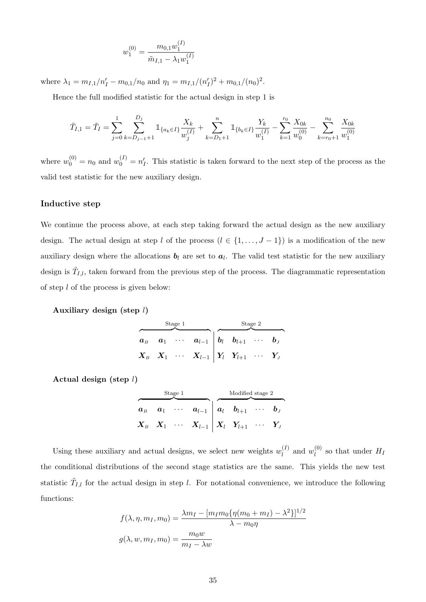$$
w_1^{(0)} = \frac{m_{0,1}w_1^{(I)}}{\tilde{m}_{I,1} - \lambda_1 w_1^{(I)}}
$$

where  $\lambda_1 = m_{I,1}/n'_I - m_{0,1}/n_0$  and  $\eta_1 = m_{I,1}/(n'_I)^2 + m_{0,1}/(n_0)^2$ .

Hence the full modified statistic for the actual design in step 1 is

$$
\tilde{T}_{I,1} = \tilde{T}_I = \sum_{j=0}^1 \sum_{k=D_{j-1}+1}^{D_j} \mathbb{1}_{\{a_k \in I\}} \frac{X_k}{w_j^{(I)}} + \sum_{k=D_1+1}^n \mathbb{1}_{\{b_k \in I\}} \frac{Y_k}{w_1^{(I)}} - \sum_{k=1}^{r_0} \frac{X_{0k}}{w_0^{(0)}} - \sum_{k=r_0+1}^{n_0} \frac{X_{0k}}{w_1^{(0)}}
$$

where  $w_0^{(0)} = n_0$  and  $w_0^{(I)} = n'_I$ . This statistic is taken forward to the next step of the process as the valid test statistic for the new auxiliary design.

#### Inductive step

We continue the process above, at each step taking forward the actual design as the new auxiliary design. The actual design at step l of the process  $(l \in \{1, ..., J - 1\})$  is a modification of the new auxiliary design where the allocations  $b_l$  are set to  $a_l$ . The valid test statistic for the new auxiliary design is  $\tilde{T}_{I,l}$ , taken forward from the previous step of the process. The diagrammatic representation of step  $l$  of the process is given below:

Auxiliary design (step l)

|  | Stage 1 |                                                                                                                                                                                  | Stage 2 |  |  |  |  |
|--|---------|----------------------------------------------------------------------------------------------------------------------------------------------------------------------------------|---------|--|--|--|--|
|  |         | $\begin{array}{ccccccccc} a_{B} & a_{1} & \cdots & a_{l-1} & b_{l} & b_{l+1} & \cdots & b_{J} \end{array}$                                                                       |         |  |  |  |  |
|  |         | $\boldsymbol{X}_{B} \quad \boldsymbol{X}_{1} \quad \cdots \quad \boldsymbol{X}_{l-1} \Bigm  \boldsymbol{Y}_{l} \quad \boldsymbol{Y}_{l+1} \quad \cdots \quad \boldsymbol{Y}_{J}$ |         |  |  |  |  |

Actual design (step l)

|         | Stage 1 |                                                                                                                                                                          | Modified stage 2 |  |  |  |  |  |
|---------|---------|--------------------------------------------------------------------------------------------------------------------------------------------------------------------------|------------------|--|--|--|--|--|
| $a_{B}$ |         | $a_1 \quad \cdots \quad a_{l-1} \mid a_l \quad b_{l+1} \quad \cdots \quad b_J$                                                                                           |                  |  |  |  |  |  |
|         |         | $\boldsymbol{X}_B \quad \boldsymbol{X}_1 \quad \cdots \quad \boldsymbol{X}_{l-1} \Bigm  \boldsymbol{X}_l \quad \boldsymbol{Y}_{l+1} \quad \cdots \quad \boldsymbol{Y}_J$ |                  |  |  |  |  |  |

Using these auxiliary and actual designs, we select new weights  $w_l^{(I)}$  $\mathbf{u}_l^{(I)}$  and  $\mathbf{w}_l^{(0)}$  $l_l^{(0)}$  so that under  $H_l$ the conditional distributions of the second stage statistics are the same. This yields the new test statistic  $\tilde{T}_{I,l}$  for the actual design in step l. For notational convenience, we introduce the following functions:

$$
f(\lambda, \eta, m_I, m_0) = \frac{\lambda m_I - [m_I m_0 \{\eta(m_0 + m_I) - \lambda^2\}]^{1/2}}{\lambda - m_0 \eta}
$$

$$
g(\lambda, w, m_I, m_0) = \frac{m_0 w}{m_I - \lambda w}
$$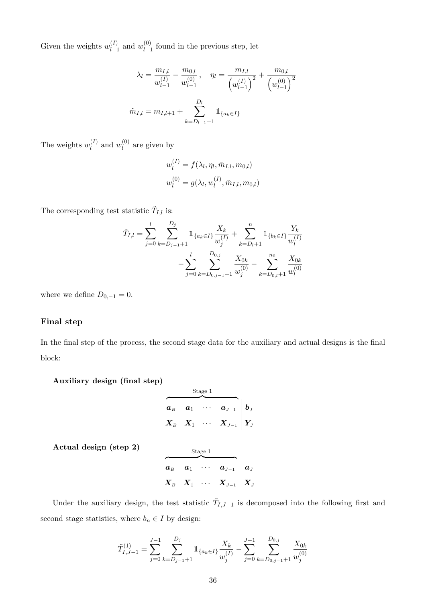Given the weights  $w_{l-1}^{(I)}$  $\binom{(I)}{l-1}$  and  $w_{l-1}^{(0)}$  $\int_{l-1}^{(0)}$  found in the previous step, let

$$
\lambda_l = \frac{m_{I,l}}{w_{l-1}^{(I)}} - \frac{m_{0,l}}{w_{l-1}^{(0)}}, \quad \eta_l = \frac{m_{I,l}}{\left(w_{l-1}^{(I)}\right)^2} + \frac{m_{0,l}}{\left(w_{l-1}^{(0)}\right)^2}
$$

$$
\tilde{m}_{I,l} = m_{I,l+1} + \sum_{k=D_{l-1}+1}^{D_l} \mathbb{1}_{\{a_k \in I\}}
$$

The weights  $w_l^{(I)}$  $\binom{I}{l}$  and  $w_l^{(0)}$  $\binom{0}{l}$  are given by

$$
w_l^{(I)} = f(\lambda_l, \eta_l, \tilde{m}_{I,l}, m_{0,l})
$$
  

$$
w_l^{(0)} = g(\lambda_l, w_l^{(I)}, \tilde{m}_{I,l}, m_{0,l})
$$

The corresponding test statistic  $\tilde{T}_{I,l}$  is:

$$
\tilde{T}_{I,l} = \sum_{j=0}^{l} \sum_{k=D_{j-1}+1}^{D_j} \mathbb{1}_{\{a_k \in I\}} \frac{X_k}{w_j^{(I)}} + \sum_{k=D_l+1}^{n} \mathbb{1}_{\{b_k \in I\}} \frac{Y_k}{w_l^{(I)}} - \sum_{j=0}^{l} \sum_{k=D_{0,j-1}+1}^{D_{0,j}} \frac{X_{0k}}{w_j^{(0)}} - \sum_{k=D_{0,l}+1}^{n_0} \frac{X_{0k}}{w_l^{(0)}}
$$

where we define  $D_{0,-1} = 0$ .

### Final step

In the final step of the process, the second stage data for the auxiliary and actual designs is the final block:

Auxiliary design (final step)

|            |       | Stage 1 |                                                                                                               |  |
|------------|-------|---------|---------------------------------------------------------------------------------------------------------------|--|
| $\bm{a}_B$ | $a_1$ |         | $\cdots \quad a_{J-1} \mid b_J$                                                                               |  |
|            |       |         | $\boldsymbol{X}_B \quad \boldsymbol{X}_1 \quad \cdots \quad \boldsymbol{X}_{J-1} \ \bigg  \ \boldsymbol{Y}_J$ |  |

Actual design (step 2)  $S_{\text{base 1}}$ 

|  | nege 1 |                                                                                                                                      |  |
|--|--------|--------------------------------------------------------------------------------------------------------------------------------------|--|
|  |        | $\begin{array}{cccc} a_B & a_1 & \cdots & a_{J-1} \end{array}$ a <sub>J</sub>                                                        |  |
|  |        | $\boldsymbol{X}_{B} \quad \boldsymbol{X}_{1} \quad \cdots \quad \boldsymbol{X}_{J-1} \ \textcolor{red}{\bigg } \ \boldsymbol{X}_{J}$ |  |

Under the auxiliary design, the test statistic  $\tilde{T}_{I,J-1}$  is decomposed into the following first and second stage statistics, where  $b_n \in I$  by design:

$$
\widetilde{T}_{I,J-1}^{(1)} = \sum_{j=0}^{J-1} \sum_{k=D_{j-1}+1}^{D_j} \mathbb{1}_{\{a_k \in I\}} \frac{X_k}{w_j^{(I)}} - \sum_{j=0}^{J-1} \sum_{k=D_{0,j-1}+1}^{D_{0,j}} \frac{X_{0k}}{w_j^{(0)}}
$$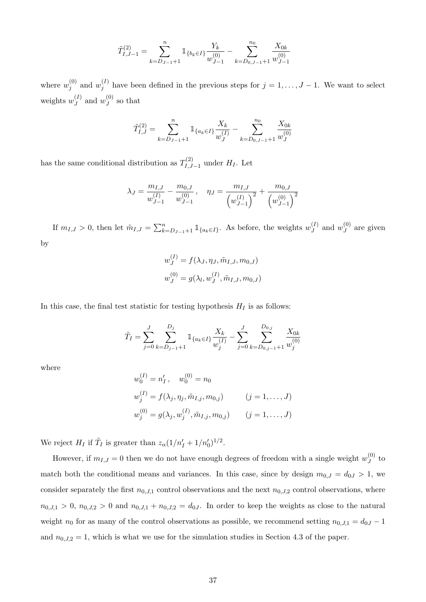$$
\tilde{T}_{I,J-1}^{(2)} = \sum_{k=D_{J-1}+1}^{n} \mathbb{1}_{\{b_k \in I\}} \frac{Y_k}{w_{J-1}^{(0)}} - \sum_{k=D_{0,J-1}+1}^{n_0} \frac{X_{0k}}{w_{J-1}^{(0)}}
$$

where  $w_i^{(0)}$  $j^{(0)}$  and  $w_j^{(I)}$  $j_j^{(1)}$  have been defined in the previous steps for  $j = 1, \ldots, J-1$ . We want to select weights  $w_J^{(I)}$  $\binom{I}{J}$  and  $w_J^{(0)}$  $J<sup>(0)</sup>$  so that

$$
\tilde{T}_{I,J}^{(2)} = \sum_{k=D_{J-1}+1}^{n} \mathbbm{1}_{\{a_k \in I\}} \frac{X_k}{w_J^{(I)}} - \sum_{k=D_{0,J-1}+1}^{n_0} \frac{X_{0k}}{w_J^{(0)}}
$$

has the same conditional distribution as  $T^{(2)}_{I,I}$  $\prod_{I,J=1}^{N^{(2)}}$  under  $H_I$ . Let

$$
\lambda_J = \frac{m_{I,J}}{w_{J-1}^{(I)}} - \frac{m_{0,J}}{w_{J-1}^{(0)}}, \quad \eta_J = \frac{m_{I,J}}{\left(w_{J-1}^{(I)}\right)^2} + \frac{m_{0,J}}{\left(w_{J-1}^{(0)}\right)^2}
$$

If  $m_{I,J} > 0$ , then let  $\tilde{m}_{I,J} = \sum_{k=D_{J-1}+1}^{n} \mathbb{1}_{\{a_k \in I\}}$ . As before, the weights  $w_J^{(I)}$  $y_J^{(I)}$  and  $w_J^{(0)}$  $J_J^{(0)}$  are given by

$$
w_J^{(I)} = f(\lambda_J, \eta_J, \tilde{m}_{I,J}, m_{0,J})
$$
  

$$
w_J^{(0)} = g(\lambda_l, w_J^{(I)}, \tilde{m}_{I,J}, m_{0,J})
$$

In this case, the final test statistic for testing hypothesis  $H_I$  is as follows:

$$
\tilde{T}_I = \sum_{j=0}^J \sum_{k=D_{j-1}+1}^{D_j} \mathbb{1}_{\{a_k \in I\}} \frac{X_k}{w_j^{(I)}} - \sum_{j=0}^J \sum_{k=D_{0,j-1}+1}^{D_{0,j}} \frac{X_{0k}}{w_j^{(0)}}
$$

where

$$
w_0^{(I)} = n'_I, \quad w_0^{(0)} = n_0
$$
  
\n
$$
w_j^{(I)} = f(\lambda_j, \eta_j, \tilde{m}_{I,j}, m_{0,j}) \qquad (j = 1, ..., J)
$$
  
\n
$$
w_j^{(0)} = g(\lambda_j, w_j^{(I)}, \tilde{m}_{I,j}, m_{0,j}) \qquad (j = 1, ..., J)
$$

We reject  $H_I$  if  $\tilde{T}_I$  is greater than  $z_\alpha(1/n'_I + 1/n'_0)^{1/2}$ .

However, if  $m_{I,J} = 0$  then we do not have enough degrees of freedom with a single weight  $w_J^{(0)}$  $J^{(0)}$  to match both the conditional means and variances. In this case, since by design  $m_{0,J} = d_{0,J} > 1$ , we consider separately the first  $n_{0,J,1}$  control observations and the next  $n_{0,J,2}$  control observations, where  $n_{0,J,1} > 0$ ,  $n_{0,J,2} > 0$  and  $n_{0,J,1} + n_{0,J,2} = d_{0,J}$ . In order to keep the weights as close to the natural weight  $n_0$  for as many of the control observations as possible, we recommend setting  $n_{0,J,1} = d_{0J} - 1$ and  $n_{0,J,2} = 1$ , which is what we use for the simulation studies in Section 4.3 of the paper.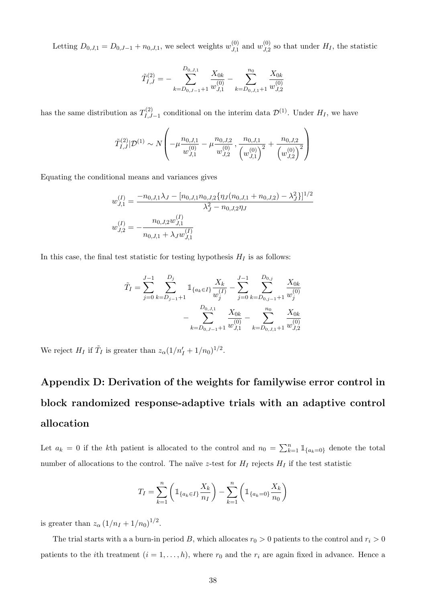Letting  $D_{0,J,1} = D_{0,J-1} + n_{0,J,1}$ , we select weights  $w_{J,1}^{(0)}$  $y_{J,1}^{(0)}$  and  $w_{J,2}^{(0)}$  $J_{J,2}^{(0)}$  so that under  $H_I$ , the statistic

$$
\tilde{T}_{I,J}^{(2)} = -\sum_{k=D_{0,J-1}+1}^{D_{0,J,1}} \frac{X_{0k}}{w_{J,1}^{(0)}} - \sum_{k=D_{0,J,1}+1}^{n_0} \frac{X_{0k}}{w_{J,2}^{(0)}}
$$

has the same distribution as  $T_{LL}^{(2)}$  $\mathcal{D}_{I,J-1}^{(2)}$  conditional on the interim data  $\mathcal{D}^{(1)}$ . Under  $H_I$ , we have

$$
\tilde{T}_{I,J}^{(2)}|\mathcal{D}^{(1)} \sim N\left(-\mu \frac{n_{0,J,1}}{w_{J,1}^{(0)}} - \mu \frac{n_{0,J,2}}{w_{J,2}^{(0)}}, \frac{n_{0,J,1}}{\left(w_{J,1}^{(0)}\right)^2} + \frac{n_{0,J,2}}{\left(w_{J,2}^{(0)}\right)^2}\right)
$$

Equating the conditional means and variances gives

$$
w_{J,1}^{(I)} = \frac{-n_{0,J,1}\lambda_J - [n_{0,J,1}n_{0,J,2}\{\eta_J(n_{0,J,1} + n_{0,J,2}) - \lambda_J^2\}]^{1/2}}{\lambda_J^2 - n_{0,J,2}\eta_J}
$$
  

$$
w_{J,2}^{(I)} = -\frac{n_{0,J,2}w_{J,1}^{(I)}}{n_{0,J,1} + \lambda_J w_{J,1}^{(I)}}
$$

In this case, the final test statistic for testing hypothesis  $H_I$  is as follows:

$$
\tilde{T}_I = \sum_{j=0}^{J-1} \sum_{k=D_{j-1}+1}^{D_j} \mathbb{1}_{\{a_k \in I\}} \frac{X_k}{w_j^{(I)}} - \sum_{j=0}^{J-1} \sum_{k=D_{0,j-1}+1}^{D_{0,j}} \frac{X_{0k}}{w_j^{(0)}} - \sum_{k=D_{0,J-1}+1}^{D_{0,J}} \frac{X_{0k}}{w_{J,1}^{(0)}} - \sum_{k=D_{0,J,1}+1}^{n_0} \frac{X_{0k}}{w_{J,2}^{(0)}}
$$

We reject  $H_I$  if  $\tilde{T}_I$  is greater than  $z_\alpha(1/n'_I + 1/n_0)^{1/2}$ .

# Appendix D: Derivation of the weights for familywise error control in block randomized response-adaptive trials with an adaptive control allocation

Let  $a_k = 0$  if the kth patient is allocated to the control and  $n_0 = \sum_{k=1}^n \mathbb{1}_{\{a_k=0\}}$  denote the total number of allocations to the control. The naïve z-test for  $H_I$  rejects  $H_I$  if the test statistic

$$
T_I = \sum_{k=1}^{n} \left( \mathbb{1}_{\{a_k \in I\}} \frac{X_k}{n_I} \right) - \sum_{k=1}^{n} \left( \mathbb{1}_{\{a_k = 0\}} \frac{X_k}{n_0} \right)
$$

is greater than  $z_{\alpha} (1/n_I + 1/n_0)^{1/2}$ .

The trial starts with a a burn-in period B, which allocates  $r_0 > 0$  patients to the control and  $r_i > 0$ patients to the *i*th treatment  $(i = 1, ..., h)$ , where  $r_0$  and the  $r_i$  are again fixed in advance. Hence a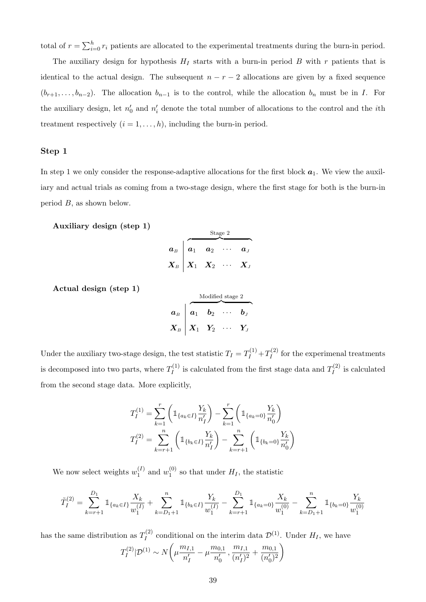total of  $r = \sum_{i=0}^{h} r_i$  patients are allocated to the experimental treatments during the burn-in period.

The auxiliary design for hypothesis  $H_I$  starts with a burn-in period B with r patients that is identical to the actual design. The subsequent  $n - r - 2$  allocations are given by a fixed sequence  $(b_{r+1}, \ldots, b_{n-2})$ . The allocation  $b_{n-1}$  is to the control, while the allocation  $b_n$  must be in I. For the auxiliary design, let  $n'_0$  and  $n'_i$  denote the total number of allocations to the control and the *i*th treatment respectively  $(i = 1, \ldots, h)$ , including the burn-in period.

#### Step 1

In step 1 we only consider the response-adaptive allocations for the first block  $a_1$ . We view the auxiliary and actual trials as coming from a two-stage design, where the first stage for both is the burn-in period B, as shown below.

Auxiliary design (step 1)

|                      |                                                                                                      |       | Stage 2 |         |
|----------------------|------------------------------------------------------------------------------------------------------|-------|---------|---------|
| $\boldsymbol{a}_{B}$ | $a_1$                                                                                                | $a_2$ |         | $a_{J}$ |
|                      | $\boldsymbol{X}_{B} \boldsymbol{\;\big }\ \boldsymbol{X}_{1} \boldsymbol{\;\;\:} \boldsymbol{X}_{2}$ |       |         |         |

Actual design (step 1)

$$
\boldsymbol{a}_{B} \begin{array}{|l|} \hline \text{Modified stage 2} \\ \hline \boldsymbol{a}_{1} \quad \boldsymbol{b}_{2} \quad \cdots \quad \boldsymbol{b}_{J} \\ \hline \boldsymbol{X}_{B} \end{array}
$$

Under the auxiliary two-stage design, the test statistic  $T_I = T_I^{(1)} + T_I^{(2)}$  $I_I^{(2)}$  for the experimenal treatments is decomposed into two parts, where  $T_I^{(1)}$  $I_I^{(1)}$  is calculated from the first stage data and  $T_I^{(2)}$  $\prod_{I}^{(2)}$  is calculated from the second stage data. More explicitly,

$$
T_I^{(1)} = \sum_{k=1}^r \left( \mathbb{1}_{\{a_k \in I\}} \frac{Y_k}{n_I'} \right) - \sum_{k=1}^r \left( \mathbb{1}_{\{a_k = 0\}} \frac{Y_k}{n_0'} \right)
$$
  

$$
T_I^{(2)} = \sum_{k=r+1}^n \left( \mathbb{1}_{\{b_k \in I\}} \frac{Y_k}{n_I'} \right) - \sum_{k=r+1}^n \left( \mathbb{1}_{\{b_k = 0\}} \frac{Y_k}{n_0'} \right)
$$

We now select weights  $w_1^{(I)}$  $_1^{(I)}$  and  $w_1^{(0)}$  $_1^{(0)}$  so that under  $H_I$ , the statistic

$$
\tilde{T}_I^{(2)} = \sum_{k=r+1}^{D_1} \mathbb{1}_{\{a_k \in I\}} \frac{X_k}{w_1^{(I)}} + \sum_{k=D_1+1}^n \mathbb{1}_{\{b_k \in I\}} \frac{Y_k}{w_1^{(I)}} - \sum_{k=r+1}^{D_1} \mathbb{1}_{\{a_k=0\}} \frac{X_k}{w_1^{(0)}} - \sum_{k=D_1+1}^n \mathbb{1}_{\{b_k=0\}} \frac{Y_k}{w_1^{(0)}}
$$

has the same distribution as  $T_I^{(2)}$  $I_I^{(2)}$  conditional on the interim data  $\mathcal{D}^{(1)}$ . Under  $H_I$ , we have  $T_I^{(2)}$  $\sum_{I}^{(2)}|\mathcal{D}^{(1)}| \sim N\bigg(\mu \frac{m_{I,1}}{n'}\bigg)$  $\overline{n'_I}$  $-\mu \frac{m_{0,1}}{l}$  $\overline{n'_0}$  $\frac{m_{I,1}}{\sqrt{N}}$  $\frac{m_{I,1}}{(n'_I)^2} + \frac{m_{0,1}}{(n'_0)^2}$  $\overline{(n_0')^2}$  $\setminus$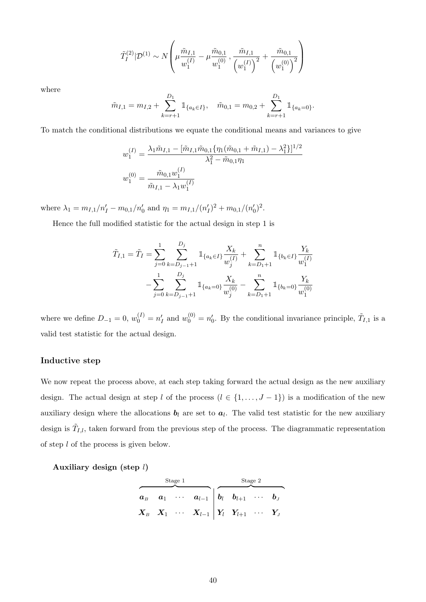$$
\tilde{T}_I^{(2)} | \mathcal{D}^{(1)} \sim N \left( \mu \frac{\tilde{m}_{I,1}}{w_1^{(I)}} - \mu \frac{\tilde{m}_{0,1}}{w_1^{(0)}}, \frac{\tilde{m}_{I,1}}{(w_1^{(I)})^2} + \frac{\tilde{m}_{0,1}}{(w_1^{(0)})^2} \right)
$$

where

$$
\tilde{m}_{I,1} = m_{I,2} + \sum_{k=r+1}^{D_1} 1\!\!1_{\{a_k \in I\}}, \quad \tilde{m}_{0,1} = m_{0,2} + \sum_{k=r+1}^{D_1} 1\!\!1_{\{a_k = 0\}}.
$$

To match the conditional distributions we equate the conditional means and variances to give

$$
w_1^{(I)} = \frac{\lambda_1 \tilde{m}_{I,1} - [\tilde{m}_{I,1} \tilde{m}_{0,1} {\eta_1 (\tilde{m}_{0,1} + \tilde{m}_{I,1}) - \lambda_1^2}]^{1/2}}{\lambda_1^2 - \tilde{m}_{0,1} \eta_1}
$$
  

$$
w_1^{(0)} = \frac{\tilde{m}_{0,1} w_1^{(I)}}{\tilde{m}_{I,1} - \lambda_1 w_1^{(I)}}
$$

where  $\lambda_1 = m_{I,1}/n'_I - m_{0,1}/n'_0$  and  $\eta_1 = m_{I,1}/(n'_I)^2 + m_{0,1}/(n'_0)^2$ .

Hence the full modified statistic for the actual design in step 1 is

$$
\tilde{T}_{I,1} = \tilde{T}_I = \sum_{j=0}^1 \sum_{k=D_{j-1}+1}^{D_j} \mathbb{1}_{\{a_k \in I\}} \frac{X_k}{w_j^{(I)}} + \sum_{k=D_1+1}^n \mathbb{1}_{\{b_k \in I\}} \frac{Y_k}{w_1^{(I)}} - \sum_{j=0}^1 \sum_{k=D_{j-1}+1}^{D_j} \mathbb{1}_{\{a_k=0\}} \frac{X_k}{w_j^{(0)}} - \sum_{k=D_1+1}^n \mathbb{1}_{\{b_k=0\}} \frac{Y_k}{w_1^{(0)}}
$$

where we define  $D_{-1} = 0$ ,  $w_0^{(I)} = n_I'$  and  $w_0^{(0)} = n_0'$ . By the conditional invariance principle,  $\tilde{T}_{I,1}$  is a valid test statistic for the actual design.

#### Inductive step

We now repeat the process above, at each step taking forward the actual design as the new auxiliary design. The actual design at step l of the process  $(l \in \{1, ..., J - 1\})$  is a modification of the new auxiliary design where the allocations  $b_l$  are set to  $a_l$ . The valid test statistic for the new auxiliary design is  $\tilde{T}_{I,l}$ , taken forward from the previous step of the process. The diagrammatic representation of step l of the process is given below.

Auxiliary design (step  $l$ )

|  | Stage 1 |                                                                                                                                                                                        | Stage 2 |  |  |  |  |
|--|---------|----------------------------------------------------------------------------------------------------------------------------------------------------------------------------------------|---------|--|--|--|--|
|  |         | $\begin{array}{ccccccccc}\boldsymbol{a}_{B} & \boldsymbol{a}_{1} & \cdots & \boldsymbol{a}_{l-1} & \boldsymbol{b}_{l} & \boldsymbol{b}_{l+1} & \cdots & \boldsymbol{b}_{J}\end{array}$ |         |  |  |  |  |
|  |         | $\boldsymbol{X}_B \quad \boldsymbol{X}_1 \quad \cdots \quad \boldsymbol{X}_{l-1} \; \Big  \; \boldsymbol{Y}_l \quad \boldsymbol{Y}_{l+1} \quad \cdots \quad \boldsymbol{Y}_J$          |         |  |  |  |  |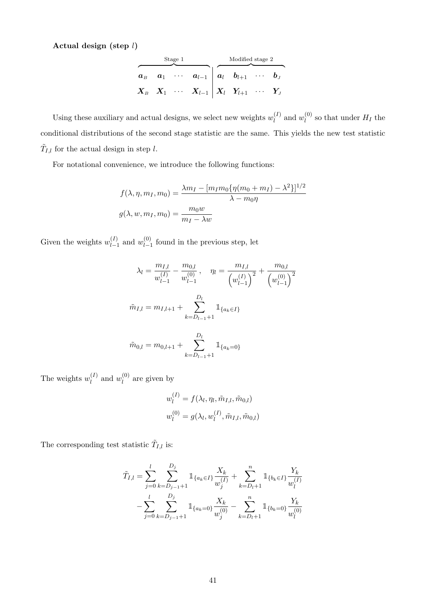Actual design (step  $l$ )

|              | Stage 1 |                                                                                                                                                                                                                      | Modified stage 2 |  |
|--------------|---------|----------------------------------------------------------------------------------------------------------------------------------------------------------------------------------------------------------------------|------------------|--|
| $\bm{a}_{B}$ |         | $\begin{array}{ccccccccc} a_1 & \cdots & a_{l-1} & a_l & b_{l+1} & \cdots & b_J \end{array}$                                                                                                                         |                  |  |
|              |         | $\begin{array}{ccccc} \boldsymbol{X}_{B} & \boldsymbol{X}_{1} & \cdots & \boldsymbol{X}_{l-1}\end{array} \begin{array}{c ccccc} \boldsymbol{X}_{l} & \boldsymbol{Y}_{l+1} & \cdots & \boldsymbol{Y}_{J} \end{array}$ |                  |  |

Using these auxiliary and actual designs, we select new weights  $w_l^{(I)}$  $\binom{I}{l}$  and  $w_l^{(0)}$  $\binom{0}{l}$  so that under  $H_I$  the conditional distributions of the second stage statistic are the same. This yields the new test statistic  $\tilde{T}_{I,l}$  for the actual design in step l.

For notational convenience, we introduce the following functions:

$$
f(\lambda, \eta, m_I, m_0) = \frac{\lambda m_I - [m_I m_0 \{ \eta (m_0 + m_I) - \lambda^2 \} ]^{1/2}}{\lambda - m_0 \eta}
$$

$$
g(\lambda, w, m_I, m_0) = \frac{m_0 w}{m_I - \lambda w}
$$

Given the weights  $w_{l-1}^{(I)}$  $\binom{(I)}{l-1}$  and  $w_{l-1}^{(0)}$  $\int_{l-1}^{(0)}$  found in the previous step, let

$$
\lambda_l = \frac{m_{I,l}}{w_{l-1}^{(I)}} - \frac{m_{0,l}}{w_{l-1}^{(0)}}, \quad \eta_l = \frac{m_{I,l}}{\left(w_{l-1}^{(I)}\right)^2} + \frac{m_{0,l}}{\left(w_{l-1}^{(0)}\right)^2}
$$

$$
\tilde{m}_{I,l} = m_{I,l+1} + \sum_{k=D_{l-1}+1}^{D_l} \mathbb{1}_{\{a_k \in I\}}
$$

$$
\tilde{m}_{0,l} = m_{0,l+1} + \sum_{k=D_{l-1}+1}^{D_l} \mathbb{1}_{\{a_k=0\}}
$$

The weights  $w_l^{(I)}$  $\binom{I}{l}$  and  $w_l^{(0)}$  $\binom{0}{l}$  are given by

$$
w_l^{(I)} = f(\lambda_l, \eta_l, \tilde{m}_{I,l}, \tilde{m}_{0,l})
$$
  

$$
w_l^{(0)} = g(\lambda_l, w_l^{(I)}, \tilde{m}_{I,l}, \tilde{m}_{0,l})
$$

The corresponding test statistic  $\tilde{T}_{I,l}$  is:

$$
\tilde{T}_{I,l} = \sum_{j=0}^{l} \sum_{k=D_{j-1}+1}^{D_j} \mathbb{1}_{\{a_k \in I\}} \frac{X_k}{w_j^{(I)}} + \sum_{k=D_l+1}^{n} \mathbb{1}_{\{b_k \in I\}} \frac{Y_k}{w_l^{(I)}} - \sum_{j=0}^{l} \sum_{k=D_{j-1}+1}^{D_j} \mathbb{1}_{\{a_k=0\}} \frac{X_k}{w_j^{(0)}} - \sum_{k=D_l+1}^{n} \mathbb{1}_{\{b_k=0\}} \frac{Y_k}{w_l^{(0)}}
$$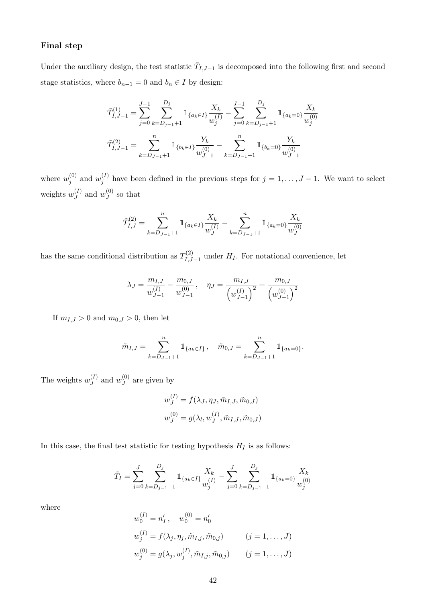# Final step

Under the auxiliary design, the test statistic  $\tilde{T}_{I,J-1}$  is decomposed into the following first and second stage statistics, where  $b_{n-1} = 0$  and  $b_n \in I$  by design:

$$
\tilde{T}_{I,J-1}^{(1)} = \sum_{j=0}^{J-1} \sum_{k=D_{j-1}+1}^{D_j} \mathbb{1}_{\{a_k \in I\}} \frac{X_k}{w_j^{(I)}} - \sum_{j=0}^{J-1} \sum_{k=D_{j-1}+1}^{D_j} \mathbb{1}_{\{a_k=0\}} \frac{X_k}{w_j^{(0)}}
$$
\n
$$
\tilde{T}_{I,J-1}^{(2)} = \sum_{k=D_{J-1}+1}^{n} \mathbb{1}_{\{b_k \in I\}} \frac{Y_k}{w_{J-1}^{(0)}} - \sum_{k=D_{J-1}+1}^{n} \mathbb{1}_{\{b_k=0\}} \frac{Y_k}{w_{J-1}^{(0)}}
$$

where  $w_i^{(0)}$  $y_j^{(0)}$  and  $w_j^{(I)}$  $j_j^{(I)}$  have been defined in the previous steps for  $j = 1, \ldots, J-1$ . We want to select weights  $w_J^{(I)}$  $\binom{I}{J}$  and  $w_J^{(0)}$  $J<sup>(0)</sup>$  so that

$$
\tilde{T}_{I,J}^{(2)} = \sum_{k=D_{J-1}+1}^{n} \mathbbm{1}_{\{a_k \in I\}} \frac{X_k}{w_J^{(I)}} - \sum_{k=D_{J-1}+1}^{n} \mathbbm{1}_{\{a_k=0\}} \frac{X_k}{w_J^{(0)}}
$$

has the same conditional distribution as  $T^{(2)}_{I,I}$  $I_{I,J-1}^{(2)}$  under  $H_I$ . For notational convenience, let

$$
\lambda_J = \frac{m_{I,J}}{w_{J-1}^{(I)}} - \frac{m_{0,J}}{w_{J-1}^{(0)}}, \quad \eta_J = \frac{m_{I,J}}{\left(w_{J-1}^{(I)}\right)^2} + \frac{m_{0,J}}{\left(w_{J-1}^{(0)}\right)^2}
$$

If  $m_{I,J} > 0$  and  $m_{0,J} > 0$ , then let

$$
\tilde{m}_{I,J} = \sum_{k=D_{J-1}+1}^{n} 1\!\!1_{\{a_k \in I\}}, \quad \tilde{m}_{0,J} = \sum_{k=D_{J-1}+1}^{n} 1\!\!1_{\{a_k=0\}}.
$$

The weights  $w_I^{(I)}$  $_J^{(I)}$  and  $w_J^{(0)}$  $J^{(0)}$  are given by

$$
w_J^{(I)} = f(\lambda_J, \eta_J, \tilde{m}_{I,J}, \tilde{m}_{0,J})
$$
  

$$
w_J^{(0)} = g(\lambda_l, w_J^{(I)}, \tilde{m}_{I,J}, \tilde{m}_{0,J})
$$

In this case, the final test statistic for testing hypothesis  $H_I$  is as follows:

$$
\tilde{T}_I = \sum_{j=0}^J \sum_{k=D_{j-1}+1}^{D_j} \mathbb{1}_{\{a_k \in I\}} \frac{X_k}{w_j^{(I)}} - \sum_{j=0}^J \sum_{k=D_{j-1}+1}^{D_j} \mathbb{1}_{\{a_k=0\}} \frac{X_k}{w_j^{(0)}}
$$

where

$$
w_0^{(I)} = n'_I, \t w_0^{(0)} = n'_0
$$
  

$$
w_j^{(I)} = f(\lambda_j, \eta_j, \tilde{m}_{I,j}, \tilde{m}_{0,j}) \t (j = 1, ..., J)
$$
  

$$
w_j^{(0)} = g(\lambda_j, w_j^{(I)}, \tilde{m}_{I,j}, \tilde{m}_{0,j}) \t (j = 1, ..., J)
$$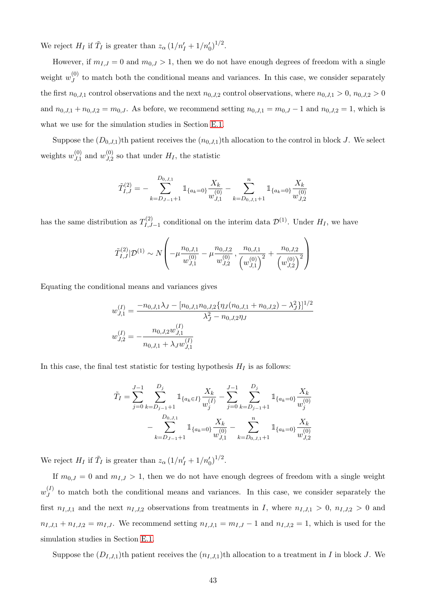We reject  $H_I$  if  $\tilde{T}_I$  is greater than  $z_\alpha \left(1/n'_I + 1/n'_0\right)^{1/2}$ .

However, if  $m_{I,J} = 0$  and  $m_{0,J} > 1$ , then we do not have enough degrees of freedom with a single weight  $w_J^{(0)}$  $J_J^{(0)}$  to match both the conditional means and variances. In this case, we consider separately the first  $n_{0,J,1}$  control observations and the next  $n_{0,J,2}$  control observations, where  $n_{0,J,1} > 0$ ,  $n_{0,J,2} > 0$ and  $n_{0,J,1} + n_{0,J,2} = m_{0,J}$ . As before, we recommend setting  $n_{0,J,1} = m_{0,J} - 1$  and  $n_{0,J,2} = 1$ , which is what we use for the simulation studies in Section [E.1.](#page-44-0)

Suppose the  $(D_{0,J,1})$ th patient receives the  $(n_{0,J,1})$ th allocation to the control in block J. We select weights  $w_{J,1}^{(0)}$  $\frac{(0)}{J,1}$  and  $w_{J,2}^{(0)}$  $\mathcal{J}_{J,2}^{(0)}$  so that under  $H_I$ , the statistic

$$
\tilde{T}_{I,J}^{(2)} = -\sum_{k=D_{J-1}+1}^{D_{0,J,1}} \mathbbm{1}_{\{a_k=0\}} \frac{X_k}{w_{J,1}^{(0)}} - \sum_{k=D_{0,J,1}+1}^{n} \mathbbm{1}_{\{a_k=0\}} \frac{X_k}{w_{J,2}^{(0)}}
$$

has the same distribution as  $T_{LL}^{(2)}$  $\mathcal{D}_{I,J-1}^{(2)}$  conditional on the interim data  $\mathcal{D}^{(1)}$ . Under  $H_I$ , we have

$$
\tilde{T}_{I,J}^{(2)}|\mathcal{D}^{(1)} \sim N\left(-\mu \frac{n_{0,J,1}}{w_{J,1}^{(0)}} - \mu \frac{n_{0,J,2}}{w_{J,2}^{(0)}}, \frac{n_{0,J,1}}{\left(w_{J,1}^{(0)}\right)^2} + \frac{n_{0,J,2}}{\left(w_{J,2}^{(0)}\right)^2}\right)
$$

Equating the conditional means and variances gives

$$
w_{J,1}^{(I)} = \frac{-n_{0,J,1}\lambda_J - [n_{0,J,1}n_{0,J,2}\{\eta_J(n_{0,J,1} + n_{0,J,2}) - \lambda_J^2\}]^{1/2}}{\lambda_J^2 - n_{0,J,2}\eta_J}
$$
  

$$
w_{J,2}^{(I)} = -\frac{n_{0,J,2}w_{J,1}^{(I)}}{n_{0,J,1} + \lambda_J w_{J,1}^{(I)}}
$$

In this case, the final test statistic for testing hypothesis  $H_I$  is as follows:

$$
\tilde{T}_I = \sum_{j=0}^{J-1} \sum_{k=D_{j-1}+1}^{D_j} \mathbb{1}_{\{a_k \in I\}} \frac{X_k}{w_j^{(I)}} - \sum_{j=0}^{J-1} \sum_{k=D_{j-1}+1}^{D_j} \mathbb{1}_{\{a_k=0\}} \frac{X_k}{w_j^{(0)}}
$$

$$
- \sum_{k=D_{J-1}+1}^{D_{0,J,1}} \mathbb{1}_{\{a_k=0\}} \frac{X_k}{w_{J,1}^{(0)}} - \sum_{k=D_{0,J,1}+1}^{n} \mathbb{1}_{\{a_k=0\}} \frac{X_k}{w_{J,2}^{(0)}}
$$

We reject  $H_I$  if  $\tilde{T}_I$  is greater than  $z_\alpha \left(1/n'_I + 1/n'_0\right)^{1/2}$ .

If  $m_{0,J} = 0$  and  $m_{I,J} > 1$ , then we do not have enough degrees of freedom with a single weight  $w^{(I)}_J$  $J_J^{(1)}$  to match both the conditional means and variances. In this case, we consider separately the first  $n_{I,J,1}$  and the next  $n_{I,J,2}$  observations from treatments in I, where  $n_{I,J,1} > 0$ ,  $n_{I,J,2} > 0$  and  $n_{I,J,1} + n_{I,J,2} = m_{I,J}$ . We recommend setting  $n_{I,J,1} = m_{I,J} - 1$  and  $n_{I,J,2} = 1$ , which is used for the simulation studies in Section [E.1.](#page-44-0)

Suppose the  $(D_{I,J,1})$ th patient receives the  $(n_{I,J,1})$ th allocation to a treatment in I in block J. We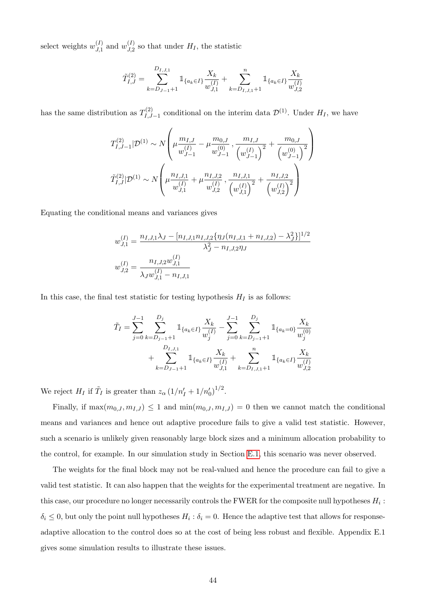select weights  $w_{J,1}^{(I)}$  $\binom{(I)}{J,1}$  and  $w_{J,2}^{(I)}$  $J_{J,2}^{(I)}$  so that under  $H_I$ , the statistic

$$
\tilde{T}_{I,J}^{(2)} = \sum_{k=D_{J-1}+1}^{D_{I,J,1}} \mathbb{1}_{\{a_k \in I\}} \frac{X_k}{w_{J,1}^{(I)}} + \sum_{k=D_{I,J,1}+1}^{n} \mathbb{1}_{\{a_k \in I\}} \frac{X_k}{w_{J,2}^{(I)}}
$$

has the same distribution as  $T_{LL}^{(2)}$  $\mathcal{D}_{I,J-1}^{(2)}$  conditional on the interim data  $\mathcal{D}^{(1)}$ . Under  $H_I$ , we have

$$
T_{I,J-1}^{(2)}|\mathcal{D}^{(1)} \sim N\left(\mu \frac{m_{I,J}}{w_{J-1}^{(I)}} - \mu \frac{m_{0,J}}{w_{J-1}^{(0)}}, \frac{m_{I,J}}{\left(w_{J-1}^{(I)}\right)^2} + \frac{m_{0,J}}{\left(w_{J-1}^{(0)}\right)^2}\right)
$$

$$
\tilde{T}_{I,J}^{(2)}|\mathcal{D}^{(1)} \sim N\left(\mu \frac{n_{I,J,1}}{w_{J,1}^{(I)}} + \mu \frac{n_{I,J,2}}{w_{J,2}^{(I)}} , \frac{n_{I,J,1}}{\left(w_{J,1}^{(I)}\right)^2} + \frac{n_{I,J,2}}{\left(w_{J,2}^{(I)}\right)^2}\right)
$$

Equating the conditional means and variances gives

$$
w_{J,1}^{(I)} = \frac{n_{I,J,1}\lambda_J - [n_{I,J,1}n_{I,J,2}\{\eta_J(n_{I,J,1} + n_{I,J,2}) - \lambda_J^2\}]^{1/2}}{\lambda_J^2 - n_{I,J,2}\eta_J}
$$
  

$$
w_{J,2}^{(I)} = \frac{n_{I,J,2}w_{J,1}^{(I)}}{\lambda_J w_{J,1}^{(I)} - n_{I,J,1}}
$$

In this case, the final test statistic for testing hypothesis  $H_I$  is as follows:

$$
\tilde{T}_I = \sum_{j=0}^{J-1} \sum_{k=D_{j-1}+1}^{D_j} \mathbb{1}_{\{a_k \in I\}} \frac{X_k}{w_j^{(I)}} - \sum_{j=0}^{J-1} \sum_{k=D_{j-1}+1}^{D_j} \mathbb{1}_{\{a_k=0\}} \frac{X_k}{w_j^{(0)}}
$$

$$
+ \sum_{k=D_{J-1}+1}^{D_{I,J,1}} \mathbb{1}_{\{a_k \in I\}} \frac{X_k}{w_{J,1}^{(I)}} + \sum_{k=D_{I,J,1}+1}^{n} \mathbb{1}_{\{a_k \in I\}} \frac{X_k}{w_{J,2}^{(I)}}
$$

We reject  $H_I$  if  $\tilde{T}_I$  is greater than  $z_\alpha \left(1/n'_I + 1/n'_0\right)^{1/2}$ .

Finally, if  $\max(m_{0,J}, m_{I,J}) \leq 1$  and  $\min(m_{0,J}, m_{I,J}) = 0$  then we cannot match the conditional means and variances and hence out adaptive procedure fails to give a valid test statistic. However, such a scenario is unlikely given reasonably large block sizes and a minimum allocation probability to the control, for example. In our simulation study in Section [E.1,](#page-44-0) this scenario was never observed.

The weights for the final block may not be real-valued and hence the procedure can fail to give a valid test statistic. It can also happen that the weights for the experimental treatment are negative. In this case, our procedure no longer necessarily controls the FWER for the composite null hypotheses  $H_i$ :  $\delta_i \leq 0$ , but only the point null hypotheses  $H_i : \delta_i = 0$ . Hence the adaptive test that allows for responseadaptive allocation to the control does so at the cost of being less robust and flexible. Appendix E.1 gives some simulation results to illustrate these issues.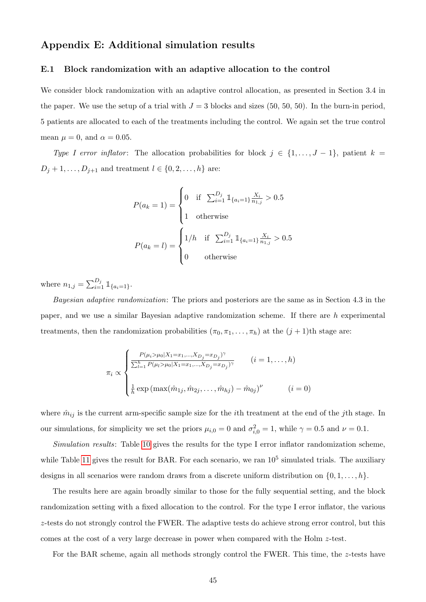# Appendix E: Additional simulation results

#### <span id="page-44-0"></span>E.1 Block randomization with an adaptive allocation to the control

We consider block randomization with an adaptive control allocation, as presented in Section 3.4 in the paper. We use the setup of a trial with  $J = 3$  blocks and sizes (50, 50, 50). In the burn-in period, 5 patients are allocated to each of the treatments including the control. We again set the true control mean  $\mu = 0$ , and  $\alpha = 0.05$ .

Type I error inflator: The allocation probabilities for block  $j \in \{1, \ldots, J-1\}$ , patient  $k =$  $D_j + 1, \ldots, D_{j+1}$  and treatment  $l \in \{0, 2, \ldots, h\}$  are:

$$
P(a_k = 1) = \begin{cases} 0 & \text{if } \sum_{i=1}^{D_j} \mathbb{1}_{\{a_i = 1\}} \frac{X_i}{n_{1,j}} > 0.5\\ 1 & \text{otherwise} \end{cases}
$$

$$
P(a_k = l) = \begin{cases} 1/h & \text{if } \sum_{i=1}^{D_j} \mathbb{1}_{\{a_i = 1\}} \frac{X_i}{n_{1,j}} > 0.5\\ 0 & \text{otherwise} \end{cases}
$$

where  $n_{1,j} = \sum_{i=1}^{D_j} \mathbb{1}_{\{a_i=1\}}$ .

Bayesian adaptive randomization: The priors and posteriors are the same as in Section 4.3 in the paper, and we use a similar Bayesian adaptive randomization scheme. If there are h experimental treatments, then the randomization probabilities  $(\pi_0, \pi_1, \ldots, \pi_h)$  at the  $(j + 1)$ th stage are:

$$
\pi_i \propto \begin{cases}\n\frac{P(\mu_i > \mu_0 | X_1 = x_1, ..., X_{D_j} = x_{D_j})^{\gamma}}{\sum_{l=1}^h P(\mu_l > \mu_0 | X_1 = x_1, ..., X_{D_j} = x_{D_j})^{\gamma}} & (i = 1, ..., h) \\
\frac{1}{h} \exp\left(\max(\hat{m}_{1j}, \hat{m}_{2j}, ..., \hat{m}_{hj}) - \hat{m}_{0j}\right)^{\nu} & (i = 0)\n\end{cases}
$$

where  $\hat{m}_{ij}$  is the current arm-specific sample size for the *i*th treatment at the end of the *j*th stage. In our simulations, for simplicity we set the priors  $\mu_{i,0} = 0$  and  $\sigma_{i,0}^2 = 1$ , while  $\gamma = 0.5$  and  $\nu = 0.1$ .

Simulation results: Table [10](#page-45-0) gives the results for the type I error inflator randomization scheme, while Table [11](#page-45-1) gives the result for BAR. For each scenario, we ran  $10^5$  simulated trials. The auxiliary designs in all scenarios were random draws from a discrete uniform distribution on  $\{0, 1, \ldots, h\}$ .

The results here are again broadly similar to those for the fully sequential setting, and the block randomization setting with a fixed allocation to the control. For the type I error inflator, the various z-tests do not strongly control the FWER. The adaptive tests do achieve strong error control, but this comes at the cost of a very large decrease in power when compared with the Holm z-test.

For the BAR scheme, again all methods strongly control the FWER. This time, the z-tests have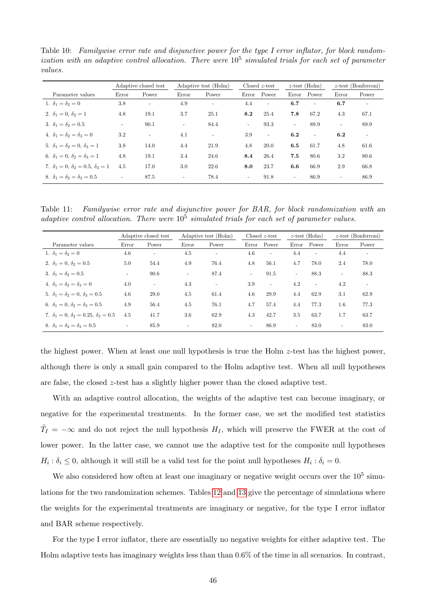<span id="page-45-0"></span>Table 10: Familywise error rate and disjunctive power for the type I error inflator, for block randomization with an adaptive control allocation. There were  $10^5$  simulated trials for each set of parameter values.

|                                                       |                          | Adaptive closed test     | Adaptive test (Holm)     |                          |                          | $Closed z-test$ | $z$ -test (Holm)         |                          | $z$ -test (Bonferroni)   |                          |
|-------------------------------------------------------|--------------------------|--------------------------|--------------------------|--------------------------|--------------------------|-----------------|--------------------------|--------------------------|--------------------------|--------------------------|
| Parameter values                                      | Error                    | Power                    | Error                    | Power                    | Error                    | Power           | Error                    | Power                    | Error                    | Power                    |
| 1. $\delta_1 = \delta_2 = 0$                          | 3.8                      | $\overline{\phantom{a}}$ | 4.9                      | $\overline{\phantom{a}}$ | 4.4                      | $\sim$          | 6.7                      | $\blacksquare$           | 6.7                      | $\overline{\phantom{a}}$ |
| 2. $\delta_1 = 0$ , $\delta_2 = 1$                    | 4.8                      | 19.1                     | 3.7                      | 25.1                     | 8.2                      | 25.4            | 7.8                      | 67.2                     | 4.3                      | 67.1                     |
| 3. $\delta_1 = \delta_2 = 0.5$                        | $\overline{\phantom{a}}$ | 90.1                     | $\overline{\phantom{a}}$ | 84.4                     | $\overline{\phantom{a}}$ | 93.3            | $\overline{\phantom{a}}$ | 89.9                     | $\overline{\phantom{a}}$ | 89.9                     |
| 4. $\delta_1 = \delta_2 = \delta_3 = 0$               | 3.2                      | $\overline{\phantom{a}}$ | 4.1                      | $\sim$                   | 3.9                      | $\sim$          | 6.2                      | $\overline{\phantom{a}}$ | 6.2                      | $\overline{\phantom{a}}$ |
| 5. $\delta_1 = \delta_2 = 0$ , $\delta_3 = 1$         | 3.8                      | 14.0                     | 4.4                      | 21.9                     | 4.8                      | 20.0            | 6.5                      | 61.7                     | 4.8                      | 61.6                     |
| 6. $\delta_1 = 0$ , $\delta_2 = \delta_3 = 1$         | 4.8                      | 19.1                     | 3.4                      | 24.6                     | 8.4                      | 26.4            | 7.5                      | 80.6                     | 3.2                      | 80.6                     |
| 7. $\delta_1 = 0$ , $\delta_2 = 0.5$ , $\delta_3 = 1$ | 4.5                      | 17.0                     | 3.0                      | 22.6                     | 8.0                      | 23.7            | 6.6                      | 66.9                     | 2.9                      | 66.8                     |
| 8. $\delta_1 = \delta_2 = \delta_3 = 0.5$             | $\sim$                   | 87.5                     | $\overline{\phantom{a}}$ | 78.4                     | $\sim$                   | 91.8            | $\sim$                   | 86.9                     | $\overline{\phantom{a}}$ | 86.9                     |

<span id="page-45-1"></span>Table 11: Familywise error rate and disjunctive power for BAR, for block randomization with an adaptive control allocation. There were  $10^5$  simulated trials for each set of parameter values.

|                                                          |                | Adaptive closed test     |        | Adaptive test (Holm) |        | $\text{Closed } z\text{-test}$ | $z$ -test (Holm)         |                          | $z$ -test (Bonferroni) |                |
|----------------------------------------------------------|----------------|--------------------------|--------|----------------------|--------|--------------------------------|--------------------------|--------------------------|------------------------|----------------|
| Parameter values                                         | Error          | Power                    | Error  | Power                | Error  | Power                          | Error                    | Power                    | Error                  | Power          |
| 1. $\delta_1 = \delta_2 = 0$                             | 4.6            | $\overline{\phantom{a}}$ | 4.5    | $\equiv$             | 4.6    | $\sim$                         | 4.4                      | $\overline{\phantom{a}}$ | 4.4                    | $\blacksquare$ |
| 2. $\delta_1 = 0, \delta_2 = 0.5$                        | 5.0            | 54.4                     | 4.9    | 76.4                 | 4.8    | 56.1                           | 4.7                      | 78.0                     | 2.4                    | 78.0           |
| 3. $\delta_1 = \delta_2 = 0.5$                           | $\blacksquare$ | 90.6                     | Ξ.     | 87.4                 | $\sim$ | 91.5                           | $\overline{\phantom{a}}$ | 88.3                     | $\sim$                 | 88.3           |
| 4. $\delta_1 = \delta_2 = \delta_3 = 0$                  | 4.0            | $\overline{\phantom{a}}$ | 4.3    | $\sim$               | 3.9    | $\overline{\phantom{a}}$       | 4.2                      | $\sim$                   | 4.2                    | $\sim$         |
| 5. $\delta_1 = \delta_2 = 0$ , $\delta_3 = 0.5$          | 4.6            | 29.0                     | 4.5    | 61.4                 | 4.6    | 29.9                           | 4.4                      | 62.9                     | 3.1                    | 62.9           |
| 6. $\delta_1 = 0$ , $\delta_2 = \delta_3 = 0.5$          | 4.9            | 56.4                     | 4.5    | 76.1                 | 4.7    | 57.4                           | 4.4                      | 77.3                     | $1.6\,$                | 77.3           |
| 7. $\delta_1 = 0$ , $\delta_2 = 0.25$ , $\delta_3 = 0.5$ | 4.5            | 41.7                     | 3.6    | 62.9                 | 4.3    | 42.7                           | 3.5                      | 63.7                     | 1.7                    | 63.7           |
| 8. $\delta_1 = \delta_2 = \delta_3 = 0.5$                | $\blacksquare$ | 85.9                     | $\sim$ | 82.0                 | $\sim$ | 86.9                           | $\sim$                   | 83.0                     | $\sim$                 | 83.0           |

the highest power. When at least one null hypothesis is true the Holm z-test has the highest power, although there is only a small gain compared to the Holm adaptive test. When all null hypotheses are false, the closed z-test has a slightly higher power than the closed adaptive test.

With an adaptive control allocation, the weights of the adaptive test can become imaginary, or negative for the experimental treatments. In the former case, we set the modified test statistics  $\tilde{T}_I = -\infty$  and do not reject the null hypothesis  $H_I$ , which will preserve the FWER at the cost of lower power. In the latter case, we cannot use the adaptive test for the composite null hypotheses  $H_i: \delta_i \leq 0$ , although it will still be a valid test for the point null hypotheses  $H_i: \delta_i = 0$ .

We also considered how often at least one imaginary or negative weight occurs over the  $10<sup>5</sup>$  simulations for the two randomization schemes. Tables [12](#page-46-0) and [13](#page-46-1) give the percentage of simulations where the weights for the experimental treatments are imaginary or negative, for the type I error inflator and BAR scheme respectively.

For the type I error inflator, there are essentially no negative weights for either adaptive test. The Holm adaptive tests has imaginary weights less than than 0.6% of the time in all scenarios. In contrast,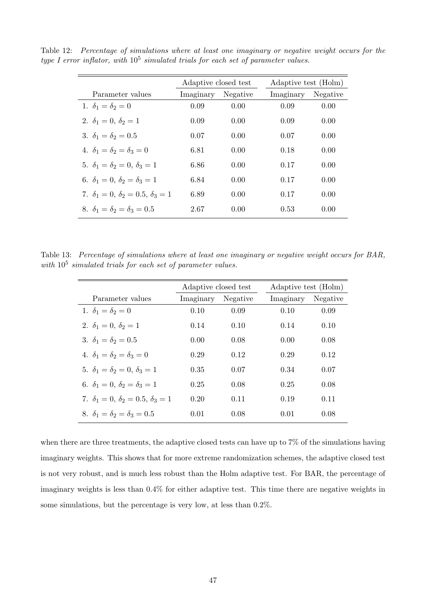<span id="page-46-0"></span>

|                                                       | Adaptive closed test |          | Adaptive test (Holm) |          |
|-------------------------------------------------------|----------------------|----------|----------------------|----------|
| Parameter values                                      | Imaginary            | Negative | Imaginary            | Negative |
| 1. $\delta_1 = \delta_2 = 0$                          | 0.09                 | 0.00     | 0.09                 | 0.00     |
| 2. $\delta_1 = 0, \delta_2 = 1$                       | 0.09                 | 0.00     | 0.09                 | 0.00     |
| 3. $\delta_1 = \delta_2 = 0.5$                        | 0.07                 | 0.00     | 0.07                 | 0.00     |
| 4. $\delta_1 = \delta_2 = \delta_3 = 0$               | 6.81                 | 0.00     | 0.18                 | 0.00     |
| 5. $\delta_1 = \delta_2 = 0, \delta_3 = 1$            | 6.86                 | 0.00     | 0.17                 | 0.00     |
| 6. $\delta_1 = 0$ , $\delta_2 = \delta_3 = 1$         | 6.84                 | 0.00     | 0.17                 | 0.00     |
| 7. $\delta_1 = 0$ , $\delta_2 = 0.5$ , $\delta_3 = 1$ | 6.89                 | 0.00     | 0.17                 | 0.00     |
| 8. $\delta_1 = \delta_2 = \delta_3 = 0.5$             | 2.67                 | 0.00     | 0.53                 | 0.00     |

Table 12: Percentage of simulations where at least one imaginary or negative weight occurs for the type I error inflator, with  $10^5$  simulated trials for each set of parameter values.

Table 13: Percentage of simulations where at least one imaginary or negative weight occurs for BAR, with  $10^5$  simulated trials for each set of parameter values.

<span id="page-46-1"></span>

|                                                       | Adaptive closed test |          | Adaptive test (Holm) |          |
|-------------------------------------------------------|----------------------|----------|----------------------|----------|
| Parameter values                                      | Imaginary            | Negative | Imaginary            | Negative |
| 1. $\delta_1 = \delta_2 = 0$                          | 0.10                 | 0.09     | 0.10                 | 0.09     |
| 2. $\delta_1 = 0, \delta_2 = 1$                       | 0.14                 | 0.10     | 0.14                 | 0.10     |
| 3. $\delta_1 = \delta_2 = 0.5$                        | 0.00                 | 0.08     | 0.00                 | 0.08     |
| 4. $\delta_1 = \delta_2 = \delta_3 = 0$               | 0.29                 | 0.12     | 0.29                 | 0.12     |
| 5. $\delta_1 = \delta_2 = 0, \delta_3 = 1$            | 0.35                 | 0.07     | 0.34                 | 0.07     |
| 6. $\delta_1 = 0$ , $\delta_2 = \delta_3 = 1$         | 0.25                 | 0.08     | 0.25                 | 0.08     |
| 7. $\delta_1 = 0$ , $\delta_2 = 0.5$ , $\delta_3 = 1$ | 0.20                 | 0.11     | 0.19                 | 0.11     |
| 8. $\delta_1 = \delta_2 = \delta_3 = 0.5$             | 0.01                 | 0.08     | 0.01                 | 0.08     |

when there are three treatments, the adaptive closed tests can have up to 7% of the simulations having imaginary weights. This shows that for more extreme randomization schemes, the adaptive closed test is not very robust, and is much less robust than the Holm adaptive test. For BAR, the percentage of imaginary weights is less than 0.4% for either adaptive test. This time there are negative weights in some simulations, but the percentage is very low, at less than 0.2%.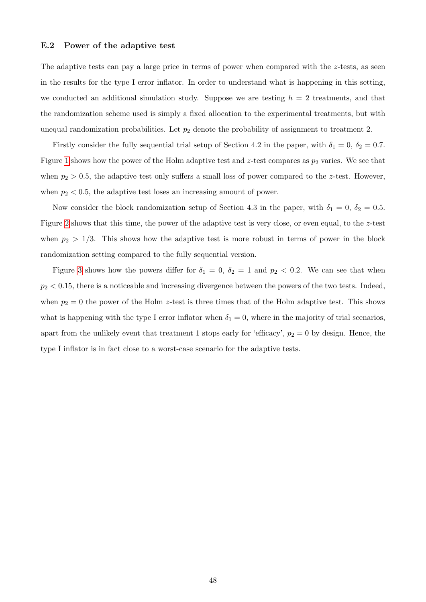#### E.2 Power of the adaptive test

The adaptive tests can pay a large price in terms of power when compared with the  $z$ -tests, as seen in the results for the type I error inflator. In order to understand what is happening in this setting, we conducted an additional simulation study. Suppose we are testing  $h = 2$  treatments, and that the randomization scheme used is simply a fixed allocation to the experimental treatments, but with unequal randomization probabilities. Let  $p_2$  denote the probability of assignment to treatment 2.

Firstly consider the fully sequential trial setup of Section 4.2 in the paper, with  $\delta_1 = 0$ ,  $\delta_2 = 0.7$ . Figure [1](#page-48-0) shows how the power of the Holm adaptive test and z-test compares as  $p_2$  varies. We see that when  $p_2 > 0.5$ , the adaptive test only suffers a small loss of power compared to the z-test. However, when  $p_2 < 0.5$ , the adaptive test loses an increasing amount of power.

Now consider the block randomization setup of Section 4.3 in the paper, with  $\delta_1 = 0$ ,  $\delta_2 = 0.5$ . Figure [2](#page-49-0) shows that this time, the power of the adaptive test is very close, or even equal, to the z-test when  $p_2 > 1/3$ . This shows how the adaptive test is more robust in terms of power in the block randomization setting compared to the fully sequential version.

Figure [3](#page-50-0) shows how the powers differ for  $\delta_1 = 0$ ,  $\delta_2 = 1$  and  $p_2 < 0.2$ . We can see that when  $p_2 < 0.15$ , there is a noticeable and increasing divergence between the powers of the two tests. Indeed, when  $p_2 = 0$  the power of the Holm z-test is three times that of the Holm adaptive test. This shows what is happening with the type I error inflator when  $\delta_1 = 0$ , where in the majority of trial scenarios, apart from the unlikely event that treatment 1 stops early for 'efficacy',  $p_2 = 0$  by design. Hence, the type I inflator is in fact close to a worst-case scenario for the adaptive tests.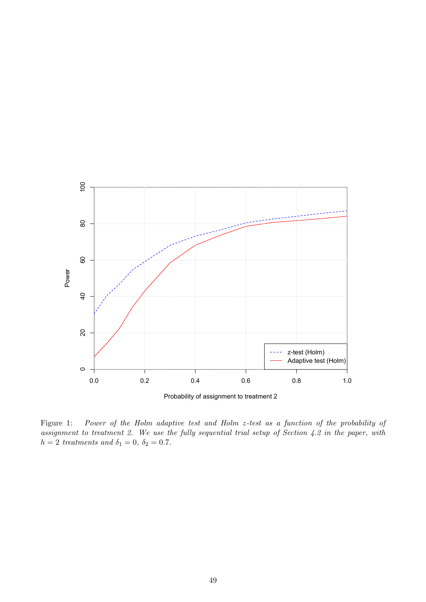

<span id="page-48-0"></span>Figure 1: Power of the Holm adaptive test and Holm z-test as a function of the probability of assignment to treatment 2. We use the fully sequential trial setup of Section 4.2 in the paper, with  $h = 2$  treatments and  $\delta_1 = 0$ ,  $\delta_2 = 0.7$ .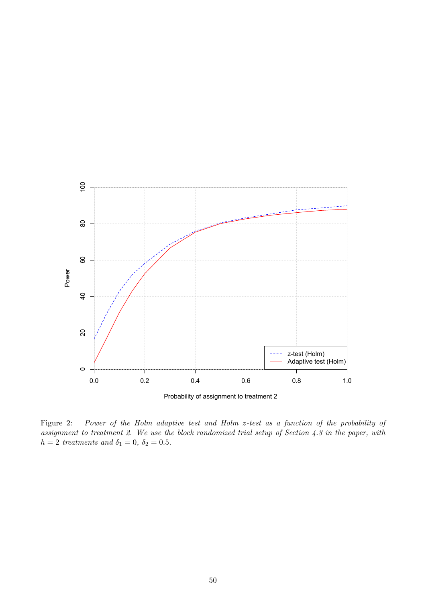

<span id="page-49-0"></span>Figure 2: Power of the Holm adaptive test and Holm z-test as a function of the probability of assignment to treatment 2. We use the block randomized trial setup of Section 4.3 in the paper, with  $h = 2$  treatments and  $\delta_1 = 0$ ,  $\delta_2 = 0.5$ .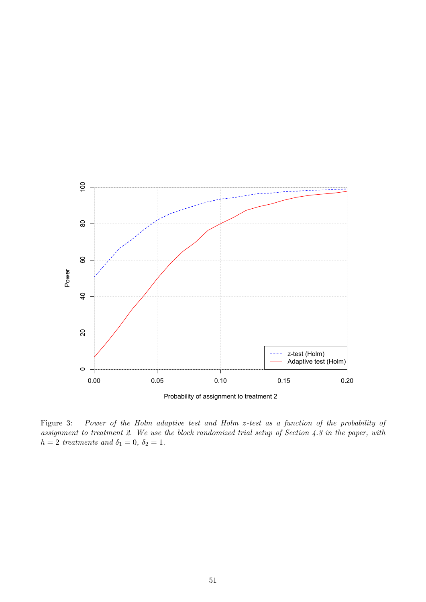

<span id="page-50-0"></span>Figure 3: Power of the Holm adaptive test and Holm z-test as a function of the probability of assignment to treatment 2. We use the block randomized trial setup of Section 4.3 in the paper, with  $h = 2$  treatments and  $\delta_1 = 0, \delta_2 = 1$ .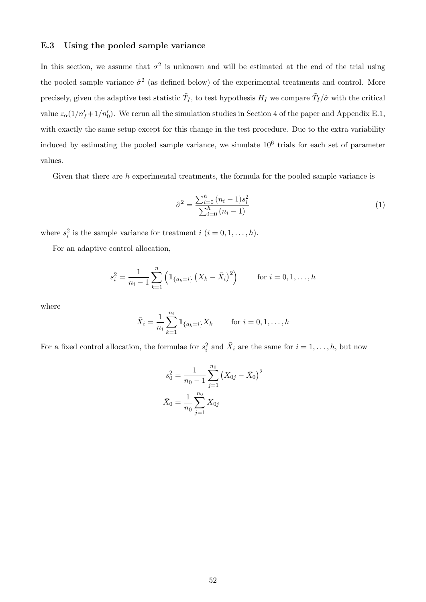### E.3 Using the pooled sample variance

In this section, we assume that  $\sigma^2$  is unknown and will be estimated at the end of the trial using the pooled sample variance  $\hat{\sigma}^2$  (as defined below) of the experimental treatments and control. More precisely, given the adaptive test statistic  $\tilde{T}_I$ , to test hypothesis  $H_I$  we compare  $\tilde{T}_I/\hat{\sigma}$  with the critical value  $z_{\alpha}(1/n'_1 + 1/n'_0)$ . We rerun all the simulation studies in Section 4 of the paper and Appendix E.1, with exactly the same setup except for this change in the test procedure. Due to the extra variability induced by estimating the pooled sample variance, we simulate  $10<sup>6</sup>$  trials for each set of parameter values.

Given that there are  $h$  experimental treatments, the formula for the pooled sample variance is

$$
\hat{\sigma}^2 = \frac{\sum_{i=0}^h (n_i - 1)s_i^2}{\sum_{i=0}^h (n_i - 1)}\tag{1}
$$

where  $s_i^2$  is the sample variance for treatment  $i$   $(i = 0, 1, \ldots, h)$ .

For an adaptive control allocation,

$$
s_i^2 = \frac{1}{n_i - 1} \sum_{k=1}^n \left( \mathbb{1}_{\{a_k = i\}} \left( X_k - \bar{X}_i \right)^2 \right) \qquad \text{for } i = 0, 1, \dots, h
$$

where

$$
\bar{X}_i = \frac{1}{n_i} \sum_{k=1}^{n_i} \mathbb{1}_{\{a_k = i\}} X_k \quad \text{for } i = 0, 1, \dots, h
$$

For a fixed control allocation, the formulae for  $s_i^2$  and  $\bar{X}_i$  are the same for  $i = 1, \ldots, h$ , but now

$$
s_0^2 = \frac{1}{n_0 - 1} \sum_{j=1}^{n_0} (X_{0j} - \bar{X}_0)^2
$$

$$
\bar{X}_0 = \frac{1}{n_0} \sum_{j=1}^{n_0} X_{0j}
$$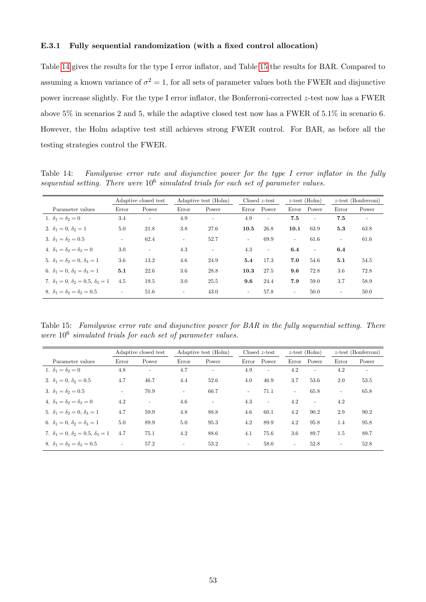#### E.3.1 Fully sequential randomization (with a fixed control allocation)

Table [14](#page-52-0) gives the results for the type I error inflator, and Table [15](#page-52-1) the results for BAR. Compared to assuming a known variance of  $\sigma^2 = 1$ , for all sets of parameter values both the FWER and disjunctive power increase slightly. For the type I error inflator, the Bonferroni-corrected z-test now has a FWER above 5% in scenarios 2 and 5, while the adaptive closed test now has a FWER of 5.1% in scenario 6. However, the Holm adaptive test still achieves strong FWER control. For BAR, as before all the testing strategies control the FWER.

<span id="page-52-0"></span>Table 14: Familywise error rate and disjunctive power for the type I error inflator in the fully sequential setting. There were  $10^6$  simulated trials for each set of parameter values.

|                                                 |                          | Adaptive closed test     | Adaptive test (Holm)     |                          |        | $\text{Closed } z\text{-test}$ |                          | $z$ -test (Holm) |                          | $z$ -test (Bonferroni)   |
|-------------------------------------------------|--------------------------|--------------------------|--------------------------|--------------------------|--------|--------------------------------|--------------------------|------------------|--------------------------|--------------------------|
| Parameter values                                | Error                    | Power                    | Error                    | Power                    | Error  | Power                          | Error                    | Power            | Error                    | Power                    |
| 1. $\delta_1 = \delta_2 = 0$                    | 3.4                      | $\overline{\phantom{a}}$ | 4.9                      | $\overline{\phantom{a}}$ | 4.9    | $\overline{\phantom{a}}$       | 7.5                      | $\sim$           | 7.5                      | $\overline{\phantom{a}}$ |
| 2. $\delta_1 = 0, \delta_2 = 1$                 | 5.0                      | 21.8                     | 3.8                      | 27.6                     | 10.5   | 26.8                           | 10.1                     | 63.9             | 5.3                      | 63.8                     |
| 3. $\delta_1 = \delta_2 = 0.5$                  | $\overline{\phantom{a}}$ | 62.4                     | $\bar{a}$                | 52.7                     | $\sim$ | 69.9                           | $\overline{\phantom{a}}$ | 61.6             | $\overline{\phantom{a}}$ | 61.6                     |
| 4. $\delta_1 = \delta_2 = \delta_3 = 0$         | 3.0                      | $\overline{\phantom{a}}$ | 4.3                      | $\sim$                   | 4.3    | $\sim$                         | 6.4                      | $\sim$           | 6.4                      |                          |
| 5. $\delta_1 = \delta_2 = 0$ , $\delta_3 = 1$   | 3.6                      | 13.2                     | 4.6                      | 24.9                     | 5.4    | 17.3                           | 7.0                      | 54.6             | 5.1                      | 54.5                     |
| 6. $\delta_1 = 0$ , $\delta_2 = \delta_3 = 1$   | 5.1                      | 22.6                     | 3.6                      | 28.8                     | 10.3   | 27.5                           | 9.6                      | 72.8             | 3.6                      | 72.8                     |
| 7. $\delta_1 = 0, \delta_2 = 0.5, \delta_3 = 1$ | 4.5                      | 19.5                     | 3.0                      | 25.5                     | 9.6    | 24.4                           | 7.9                      | 59.0             | 3.7                      | 58.9                     |
| 8. $\delta_1 = \delta_2 = \delta_3 = 0.5$       | $\overline{\phantom{a}}$ | 51.6                     | $\overline{\phantom{a}}$ | 43.0                     | $\sim$ | 57.8                           | $\sim$                   | 50.0             | $\overline{\phantom{a}}$ | 50.0                     |

<span id="page-52-1"></span>Table 15: Familywise error rate and disjunctive power for BAR in the fully sequential setting. There were  $10^6$  simulated trials for each set of parameter values.

|                                                       |                          | Adaptive closed test     | Adaptive test (Holm)     |                          | $Closed z-test$          |                          | $z$ -test (Holm)         |        |                          | $z$ -test (Bonferroni) |
|-------------------------------------------------------|--------------------------|--------------------------|--------------------------|--------------------------|--------------------------|--------------------------|--------------------------|--------|--------------------------|------------------------|
| Parameter values                                      | Error                    | Power                    | Error                    | Power                    |                          | Error Power              | Error                    | Power  | Error                    | Power                  |
| 1. $\delta_1 = \delta_2 = 0$                          | 4.8                      | $\overline{\phantom{a}}$ | 4.7                      | $\overline{\phantom{a}}$ | 4.9                      | $\bar{a}$                | 4.2                      | $\sim$ | 4.2                      |                        |
| 2. $\delta_1 = 0$ , $\delta_2 = 0.5$                  | 4.7                      | 46.7                     | 4.4                      | 52.6                     | 4.0                      | 46.9                     | 3.7                      | 53.6   | 2.0                      | 53.5                   |
| 3. $\delta_1 = \delta_2 = 0.5$                        | $\overline{\phantom{a}}$ | 70.9                     | $\overline{\phantom{0}}$ | 66.7                     | $\overline{\phantom{a}}$ | 71.1                     | $\overline{\phantom{a}}$ | 65.8   | $\overline{\phantom{a}}$ | 65.8                   |
| 4. $\delta_1 = \delta_2 = \delta_3 = 0$               | 4.2                      | $\overline{\phantom{a}}$ | 4.6                      | $\sim$                   | 4.3                      | $\overline{\phantom{a}}$ | 4.2                      | $\sim$ | 4.2                      |                        |
| 5. $\delta_1 = \delta_2 = 0$ , $\delta_3 = 1$         | 4.7                      | 59.9                     | 4.8                      | 88.8                     | 4.6                      | 60.1                     | 4.2                      | 90.2   | 2.9                      | 90.2                   |
| 6. $\delta_1 = 0$ , $\delta_2 = \delta_3 = 1$         | 5.0                      | 89.9                     | 5.0                      | 95.3                     | 4.2                      | 89.9                     | 4.2                      | 95.8   | 1.4                      | 95.8                   |
| 7. $\delta_1 = 0$ , $\delta_2 = 0.5$ , $\delta_3 = 1$ | 4.7                      | 75.1                     | 4.2                      | 88.6                     | 4.1                      | 75.6                     | 3.6                      | 89.7   | 1.5                      | 89.7                   |
| 8. $\delta_1 = \delta_2 = \delta_3 = 0.5$             | $\overline{\phantom{a}}$ | 57.2                     | Ξ.                       | 53.2                     | $\sim$                   | 58.0                     | $\overline{\phantom{a}}$ | 52.8   | $\overline{\phantom{a}}$ | 52.8                   |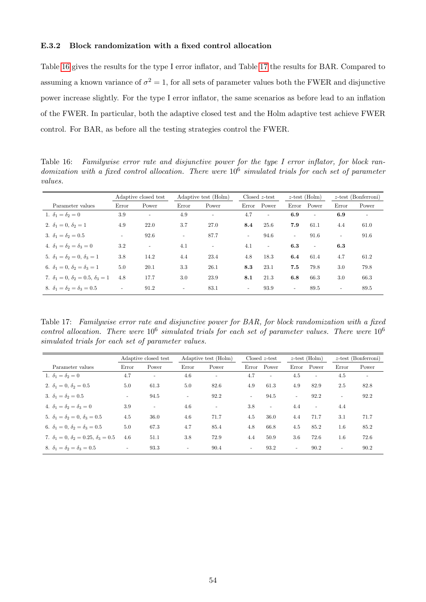#### E.3.2 Block randomization with a fixed control allocation

Table [16](#page-53-0) gives the results for the type I error inflator, and Table [17](#page-53-1) the results for BAR. Compared to assuming a known variance of  $\sigma^2 = 1$ , for all sets of parameter values both the FWER and disjunctive power increase slightly. For the type I error inflator, the same scenarios as before lead to an inflation of the FWER. In particular, both the adaptive closed test and the Holm adaptive test achieve FWER control. For BAR, as before all the testing strategies control the FWER.

<span id="page-53-0"></span>Table 16: Familywise error rate and disjunctive power for the type I error inflator, for block randomization with a fixed control allocation. There were  $10^6$  simulated trials for each set of parameter values.

|                                                       |                          | Adaptive closed test     | Adaptive test (Holm)     |                          | $Closed z-test$ |                          | $z$ -test (Holm)         |        |                          | $z$ -test (Bonferroni)   |
|-------------------------------------------------------|--------------------------|--------------------------|--------------------------|--------------------------|-----------------|--------------------------|--------------------------|--------|--------------------------|--------------------------|
| Parameter values                                      | Error                    | Power                    | Error                    | Power                    | Error           | Power                    | Error                    | Power  | Error                    | Power                    |
| 1. $\delta_1 = \delta_2 = 0$                          | 3.9                      | $\overline{a}$           | 4.9                      | $\overline{\phantom{a}}$ | 4.7             | $\overline{\phantom{a}}$ | 6.9                      | $\sim$ | 6.9                      | $\overline{\phantom{a}}$ |
| 2. $\delta_1 = 0$ , $\delta_2 = 1$                    | 4.9                      | 22.0                     | 3.7                      | 27.0                     | $8.4\,$         | 25.6                     | 7.9                      | 61.1   | 4.4                      | 61.0                     |
| 3. $\delta_1 = \delta_2 = 0.5$                        | $\overline{\phantom{a}}$ | 92.6                     | $\overline{\phantom{a}}$ | 87.7                     | $\sim$          | 94.6                     | $\overline{\phantom{a}}$ | 91.6   | $\sim$                   | 91.6                     |
| 4. $\delta_1 = \delta_2 = \delta_3 = 0$               | 3.2                      | $\overline{\phantom{a}}$ | 4.1                      | $\sim$                   | 4.1             | $\sim$                   | 6.3                      | $\sim$ | 6.3                      |                          |
| 5. $\delta_1 = \delta_2 = 0, \delta_3 = 1$            | 3.8                      | 14.2                     | 4.4                      | 23.4                     | 4.8             | 18.3                     | 6.4                      | 61.4   | 4.7                      | 61.2                     |
| 6. $\delta_1 = 0$ , $\delta_2 = \delta_3 = 1$         | 5.0                      | 20.1                     | 3.3                      | 26.1                     | 8.3             | 23.1                     | 7.5                      | 79.8   | 3.0                      | 79.8                     |
| 7. $\delta_1 = 0$ , $\delta_2 = 0.5$ , $\delta_3 = 1$ | 4.8                      | 17.7                     | 3.0                      | 23.9                     | 8.1             | 21.3                     | 6.8                      | 66.3   | 3.0                      | 66.3                     |
| 8. $\delta_1 = \delta_2 = \delta_3 = 0.5$             | $\overline{\phantom{a}}$ | 91.2                     | ÷                        | 83.1                     | $\sim$          | 93.9                     | $\overline{\phantom{a}}$ | 89.5   | $\overline{\phantom{a}}$ | 89.5                     |

<span id="page-53-1"></span>Table 17: Familywise error rate and disjunctive power for BAR, for block randomization with a fixed control allocation. There were  $10^6$  simulated trials for each set of parameter values. There were  $10^6$ simulated trials for each set of parameter values.

|                                                          |                          | Adaptive closed test     | Adaptive test (Holm)     |          | $\text{Closed } z\text{-test}$ |                | $z$ -test (Holm)         |                          | $z$ -test (Bonferroni)   |                          |
|----------------------------------------------------------|--------------------------|--------------------------|--------------------------|----------|--------------------------------|----------------|--------------------------|--------------------------|--------------------------|--------------------------|
| Parameter values                                         | Error                    | Power                    | Error                    | Power    | Error                          | Power          | Error                    | Power                    | Error                    | Power                    |
| 1. $\delta_1 = \delta_2 = 0$                             | 4.7                      | $\overline{\phantom{a}}$ | 4.6                      |          | 4.7                            | $\blacksquare$ | 4.5                      | $\equiv$                 | 4.5                      | $\overline{\phantom{0}}$ |
| 2. $\delta_1 = 0, \delta_2 = 0.5$                        | 5.0                      | 61.3                     | 5.0                      | 82.6     | 4.9                            | 61.3           | 4.9                      | 82.9                     | 2.5                      | 82.8                     |
| 3. $\delta_1 = \delta_2 = 0.5$                           | $\overline{\phantom{a}}$ | 94.5                     | $\sim$                   | 92.2     | $\sim$                         | 94.5           | $\overline{\phantom{a}}$ | 92.2                     | $\sim$                   | 92.2                     |
| 4. $\delta_1 = \delta_2 = \delta_3 = 0$                  | 3.9                      | $\overline{\phantom{a}}$ | 4.6                      | $\equiv$ | 3.8                            | $\equiv$       | 4.4                      | $\overline{\phantom{a}}$ | 4.4                      |                          |
| 5. $\delta_1 = \delta_2 = 0$ , $\delta_3 = 0.5$          | 4.5                      | 36.0                     | 4.6                      | 71.7     | 4.5                            | 36.0           | 4.4                      | 71.7                     | 3.1                      | 71.7                     |
| 6. $\delta_1 = 0$ , $\delta_2 = \delta_3 = 0.5$          | 5.0                      | 67.3                     | 4.7                      | 85.4     | 4.8                            | 66.8           | 4.5                      | 85.2                     | $1.6\,$                  | 85.2                     |
| 7. $\delta_1 = 0$ , $\delta_2 = 0.25$ , $\delta_3 = 0.5$ | 4.6                      | 51.1                     | 3.8                      | 72.9     | 4.4                            | 50.9           | 3.6                      | 72.6                     | $1.6\,$                  | 72.6                     |
| 8. $\delta_1 = \delta_2 = \delta_3 = 0.5$                | $\overline{\phantom{a}}$ | 93.3                     | $\overline{\phantom{a}}$ | 90.4     | $\sim$                         | 93.2           | $\overline{\phantom{a}}$ | 90.2                     | $\overline{\phantom{a}}$ | 90.2                     |